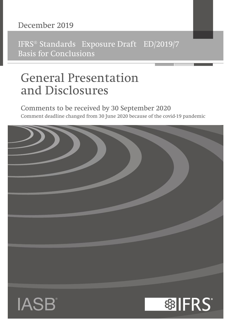# December 2019

IFRS® Standards Exposure Draft ED/2019/7 Basis for Conclusions

# General Presentation and Disclosures

# Comments to be received by 30 September 2020 Comment deadline changed from 30 June 2020 because of the covid-19 pandemic

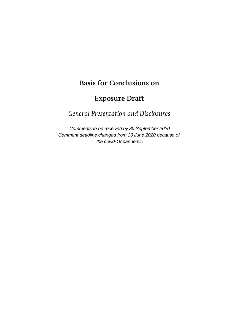# **Basis for Conclusions on**

# **Exposure Draft**

*General Presentation and Disclosures*

Comments to be received by 30 September 2020 Comment deadline changed from 30 June 2020 because of the covid-19 pandemic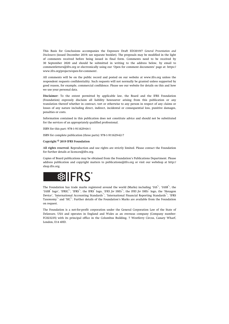This Basis for Conclusions accompanies the Exposure Draft ED/2019/7 *General Presentation and Disclosures* (issued December 2019; see separate booklet). The proposals may be modified in the light of comments received before being issued in final form. Comments need to be received by 30 September 2020 and should be submitted in writing to the address below, by email to [commentletters@ifrs.org](mailto:commentletters@ifrs.org) or electronically using our 'Open for comment documents' page at: [https://](https://www.ifrs.org/projects/open-for-comment/) [www.ifrs.org/projects/open-for-comment/](https://www.ifrs.org/projects/open-for-comment/).

All comments will be on the public record and posted on our website at [www.ifrs.org](http://www.ifrs.org) unless the respondent requests confidentiality. Such requests will not normally be granted unless supported by good reason, for example, commercial confidence. Please see our website for details on this and how we use your personal data.

**Disclaimer:** To the extent permitted by applicable law, the Board and the IFRS Foundation (Foundation) expressly disclaim all liability howsoever arising from this publication or any translation thereof whether in contract, tort or otherwise to any person in respect of any claims or losses of any nature including direct, indirect, incidental or consequential loss, punitive damages, penalties or costs.

Information contained in this publication does not constitute advice and should not be substituted for the services of an appropriately qualified professional.

ISBN for this part: 978-1-911629-64-1

ISBN for complete publication (three parts): 978-1-911629-62-7

#### **Copyright © 2019 IFRS Foundation**

**All rights reserved.** Reproduction and use rights are strictly limited. Please contact the Foundation for further details at [licences@ifrs.org](mailto:licences@ifrs.org).

Copies of Board publications may be obtained from the Foundation's Publications Department. Please address publication and copyright matters to [publications@ifrs.org](mailto:publications@ifrs.org) or visit our webshop at [http://](http://shop.ifrs.org) [shop.ifrs.org.](http://shop.ifrs.org)



The Foundation has trade marks registered around the world (Marks) including 'IAS<sup>®</sup>, 'IASB<sup>®</sup>, the 'IASB<sup>®</sup> logo', 'IFRIC<sup>®</sup>', 'IFRS<sup>®</sup>', the IFRS<sup>®</sup> logo, 'IFRS for SMEs<sup>®</sup>', the IFRS for SMEs<sup>®</sup> logo, the 'Hexagon Device', 'International Accounting Standards<sup>®</sup>', 'International Financial Reporting Standards<sup>®</sup>', 'IFRS Taxonomy<sup>®</sup>' and 'SIC<sup>®</sup>'. Further details of the Foundation's Marks are available from the Foundation on request.

The Foundation is a not-for-profit corporation under the General Corporation Law of the State of Delaware, USA and operates in England and Wales as an overseas company (Company number: FC023235) with its principal office in the Columbus Building, 7 Westferry Circus, Canary Wharf, London, E14 4HD.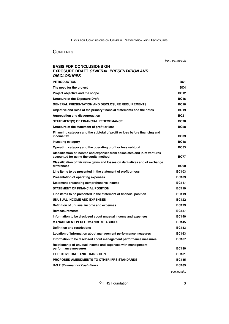# **CONTENTS**

from paragraph

# **BASIS FOR CONCLUSIONS ON EXPOSURE DRAFT GENERAL PRESENTATION AND DISCLOSURES**

| INTRODUCTION                                                                                                      | BC1          |
|-------------------------------------------------------------------------------------------------------------------|--------------|
| The need for the project                                                                                          | BC4          |
| Project objective and the scope                                                                                   | <b>BC12</b>  |
| <b>Structure of the Exposure Draft</b>                                                                            | <b>BC15</b>  |
| <b>GENERAL PRESENTATION AND DISCLOSURE REQUIREMENTS</b>                                                           | <b>BC18</b>  |
| Objective and roles of the primary financial statements and the notes                                             | <b>BC19</b>  |
| <b>Aggregation and disaggregation</b>                                                                             | <b>BC21</b>  |
| <b>STATEMENT(S) OF FINANCIAL PERFORMANCE</b>                                                                      | <b>BC28</b>  |
| Structure of the statement of profit or loss                                                                      | <b>BC28</b>  |
| Financing category and the subtotal of profit or loss before financing and<br>income tax                          | <b>BC33</b>  |
| Investing category                                                                                                | <b>BC48</b>  |
| Operating category and the operating profit or loss subtotal                                                      | <b>BC53</b>  |
| Classification of income and expenses from associates and joint ventures<br>accounted for using the equity method | <b>BC77</b>  |
| Classification of fair value gains and losses on derivatives and of exchange<br>differences                       | <b>BC90</b>  |
| Line items to be presented in the statement of profit or loss                                                     | <b>BC103</b> |
| Presentation of operating expenses                                                                                | <b>BC109</b> |
| Statement presenting comprehensive income                                                                         | <b>BC117</b> |
| <b>STATEMENT OF FINANCIAL POSITION</b>                                                                            | <b>BC119</b> |
| Line items to be presented in the statement of financial position                                                 | <b>BC119</b> |
| UNUSUAL INCOME AND EXPENSES                                                                                       | <b>BC122</b> |
| Definition of unusual income and expenses                                                                         | <b>BC129</b> |
| <b>Remeasurements</b>                                                                                             | <b>BC137</b> |
| Information to be disclosed about unusual income and expenses                                                     | <b>BC140</b> |
| <b>MANAGEMENT PERFORMANCE MEASURES</b>                                                                            | <b>BC145</b> |
| <b>Definition and restrictions</b>                                                                                | <b>BC153</b> |
| Location of information about management performance measures                                                     | <b>BC163</b> |
| Information to be disclosed about management performance measures                                                 | <b>BC167</b> |
| Relationship of unusual income and expenses with management<br>performance measures                               | <b>BC180</b> |
| <b>EFFECTIVE DATE AND TRANSITION</b>                                                                              | <b>BC181</b> |
| PROPOSED AMENDMENTS TO OTHER IFRS STANDARDS                                                                       | <b>BC185</b> |
| <b>IAS 7 Statement of Cash Flows</b>                                                                              | <b>BC185</b> |
|                                                                                                                   | continued    |

© IFRS Foundation 3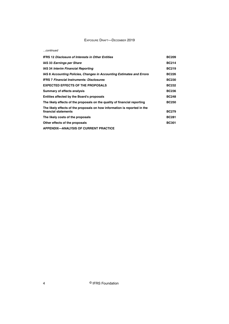#### ...continued

| <b>IFRS 12 Disclosure of Interests in Other Entities</b>                                          | <b>BC209</b> |
|---------------------------------------------------------------------------------------------------|--------------|
| IAS 33 Earnings per Share                                                                         | <b>BC214</b> |
| IAS 34 Interim Financial Reporting                                                                | <b>BC219</b> |
| IAS 8 Accounting Policies, Changes in Accounting Estimates and Errors                             | <b>BC226</b> |
| <b>IFRS 7 Financial Instruments: Disclosures</b>                                                  | <b>BC230</b> |
| <b>EXPECTED EFFECTS OF THE PROPOSALS</b>                                                          | <b>BC232</b> |
| Summary of effects analysis                                                                       | <b>BC236</b> |
| Entities affected by the Board's proposals                                                        | <b>BC248</b> |
| The likely effects of the proposals on the quality of financial reporting                         | <b>BC250</b> |
| The likely effects of the proposals on how information is reported in the<br>financial statements | <b>BC279</b> |
| The likely costs of the proposals                                                                 | <b>BC281</b> |
| Other effects of the proposals                                                                    | <b>BC301</b> |
| <b>APPENDIX-ANALYSIS OF CURRENT PRACTICE</b>                                                      |              |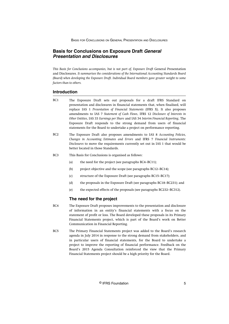# <span id="page-5-0"></span>**Basis for Conclusions on Exposure Draft General Presentation and Disclosures**

*This Basis for Conclusions accompanies, but is not part of, Exposure Draft* General Presentation and Disclosures*. It summarises the considerations of the International Accounting Standards Board (Board) when developing the Exposure Draft. Individual Board members gave greater weight to some factors than to others.*

# **Introduction**

- The Exposure Draft sets out proposals for a draft IFRS Standard on presentation and disclosures in financial statements that, when finalised, will replace IAS 1 *Presentation of Financial Statements* (IFRS X). It also proposes amendments to IAS 7 *Statement of Cash Flows*, IFRS 12 *Disclosure of Interests in Other Entities*, IAS 33 *Earnings per Share* and IAS 34 *Interim Financial Reporting*. The Exposure Draft responds to the strong demand from users of financial statements for the Board to undertake a project on performance reporting. BC1
- The Exposure Draft also proposes amendments to IAS 8 *Accounting Policies, Changes in Accounting Estimates and Errors* and IFRS 7 *Financial Instruments: Disclosures* to move the requirements currently set out in IAS 1 that would be better located in those Standards.  $RC2$
- This Basis for Conclusions is organised as follows:  $RC<sub>3</sub>$ 
	- (a) the need for the project (see paragraphs BC4–BC11);
	- (b) project objective and the scope (see paragraphs BC12–BC14);
	- (c) structure of the Exposure Draft (see paragraphs BC15–BC17);
	- (d) the proposals in the Exposure Draft (see paragraphs BC18–BC231); and
	- (e) the expected effects of the proposals (see paragraphs BC232–BC312).

### **The need for the project**

- The Exposure Draft proposes improvements to the presentation and disclosure of information in an entity's financial statements with a focus on the statement of profit or loss. The Board developed these proposals in its Primary Financial Statements project, which is part of the Board's work on Better Communication in Financial Reporting. BC4
- The Primary Financial Statements project was added to the Board's research agenda in July 2014 in response to the strong demand from stakeholders, and in particular users of financial statements, for the Board to undertake a project to improve the reporting of financial performance. Feedback on the Board's 2015 Agenda Consultation reinforced the view that the Primary Financial Statements project should be a high priority for the Board.  $RC5$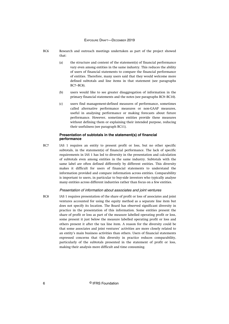- Research and outreach meetings undertaken as part of the project showed that: BC6
	- (a) the structure and content of the statement(s) of financial performance vary even among entities in the same industry. This reduces the ability of users of financial statements to compare the financial performance of entities. Therefore, many users said that they would welcome more defined subtotals and line items in that statement (see paragraphs BC7–BC8).
	- (b) users would like to see greater disaggregation of information in the primary financial statements and the notes (see paragraphs BC9–BC10).
	- (c) users find management-defined measures of performance, sometimes called alternative performance measures or non-GAAP measures, useful in analysing performance or making forecasts about future performance. However, sometimes entities provide these measures without defining them or explaining their intended purpose, reducing their usefulness (see paragraph BC11).

#### **Presentation of subtotals in the statement(s) of financial performance**

IAS 1 requires an entity to present profit or loss, but no other specific subtotals, in the statement(s) of financial performance. The lack of specific requirements in IAS 1 has led to diversity in the presentation and calculation of subtotals even among entities in the same industry. Subtotals with the same label are often defined differently by different entities. This diversity makes it difficult for users of financial statements to understand the information provided and compare information across entities. Comparability is important to users, in particular to buy-side investors who typically analyse many entities across different industries rather than focus on a few entities. BC7

#### Presentation of information about associates and joint ventures

IAS 1 requires presentation of the share of profit or loss of associates and joint ventures accounted for using the equity method as a separate line item but does not specify its location. The Board has observed significant diversity in practice in the presentation of this information. Some entities present the share of profit or loss as part of the measure labelled operating profit or loss, some present it just below the measure labelled operating profit or loss and others present it after the tax line item. A reason for the diversity could be that some associates and joint ventures' activities are more closely related to an entity's main business activities than others. Users of financial statements expressed concerns that this diversity in practice reduces comparability, particularly of the subtotals presented in the statement of profit or loss, making their analysis more difficult and time consuming. BC8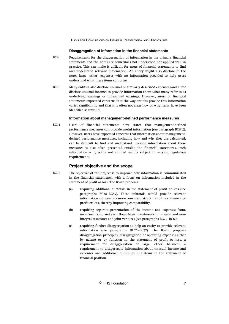#### **Disaggregation of information in the financial statements**

- <span id="page-7-0"></span>Requirements for the disaggregation of information in the primary financial statements and the notes are sometimes not understood nor applied well in practice. This can make it difficult for users of financial statements to find and understand relevant information. An entity might also disclose in the notes large 'other' expenses with no information provided to help users understand what these items comprise. B<sub>C9</sub>
- Many entities also disclose unusual or similarly described expenses (and a few disclose unusual income) to provide information about what many refer to as underlying earnings or normalised earnings. However, users of financial statements expressed concerns that the way entities provide this information varies significantly and that it is often not clear how or why items have been identified as unusual. BC10

#### **Information about management-defined performance measures**

Users of financial statements have stated that management-defined performance measures can provide useful information (see paragraph BC6(c)). However, users have expressed concerns that information about managementdefined performance measures, including how and why they are calculated, can be difficult to find and understand. Because information about these measures is also often presented outside the financial statements, such information is typically not audited and is subject to varying regulatory requirements. BC11

# **Project objective and the scope**

- The objective of the project is to improve how information is communicated in the financial statements, with a focus on information included in the statement of profit or loss. The Board proposes: BC12
	- (a) requiring additional subtotals in the statement of profit or loss (see paragraphs BC28–BC89). These subtotals would provide relevant information and create a more consistent structure to the statement of profit or loss, thereby improving comparability.
	- (b) requiring separate presentation of the income and expenses from, investments in, and cash flows from investments in integral and nonintegral associates and joint ventures (see paragraphs BC77–BC89).
	- (c) requiring further disaggregation to help an entity to provide relevant information (see paragraphs BC21–BC27). The Board proposes disaggregation principles, disaggregation of operating expenses either by nature or by function in the statement of profit or loss, a requirement for disaggregation of large 'other' balances, a requirement to disaggregate information about unusual income and expenses and additional minimum line items in the statement of financial position.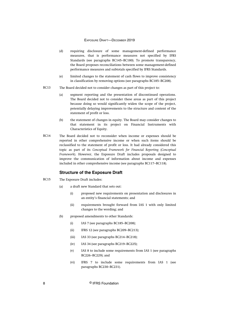- <span id="page-8-0"></span>(d) requiring disclosure of some management-defined performance measures, that is performance measures not specified by IFRS Standards (see paragraphs BC145–BC180). To promote transparency, the Board proposes reconciliations between some management-defined performance measures and subtotals specified by IFRS Standards.
- (e) limited changes to the statement of cash flows to improve consistency in classification by removing options (see paragraphs BC185–BC208).
- The Board decided not to consider changes as part of this project to: BC13
	- (a) segment reporting and the presentation of discontinued operations. The Board decided not to consider these areas as part of this project because doing so would significantly widen the scope of the project, potentially delaying improvements to the structure and content of the statement of profit or loss.
	- (b) the statement of changes in equity. The Board may consider changes to that statement in its project on Financial Instruments with Characteristics of Equity.
- The Board decided not to reconsider when income or expenses should be reported in other comprehensive income or when such items should be reclassified to the statement of profit or loss. It had already considered this topic as part of its *Conceptual Framework for Financial Reporting* (*Conceptual Framework*). However, the Exposure Draft includes proposals designed to improve the communication of information about income and expenses included in other comprehensive income (see paragraphs BC117–BC118). BC14

#### **Structure of the Exposure Draft**

- The Exposure Draft includes: BC15
	- (a) a draft new Standard that sets out:
		- (i) proposed new requirements on presentation and disclosures in an entity's financial statements; and
		- (ii) requirements brought forward from IAS 1 with only limited changes to the wording; and
	- (b) proposed amendments to other Standards:
		- (i) IAS 7 (see paragraphs BC185–BC208);
		- (ii) IFRS 12 (see paragraphs BC209–BC213);
		- (iii) IAS 33 (see paragraphs BC214–BC218);
		- (iv) IAS 34 (see paragraphs BC219–BC225);
		- (v) IAS 8 to include some requirements from IAS 1 (see paragraphs BC226–BC229); and
		- (vi) IFRS 7 to include some requirements from IAS 1 (see paragraphs BC230–BC231).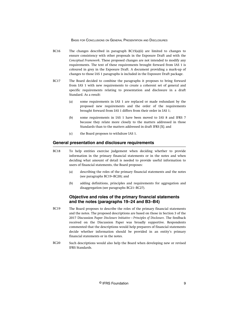- <span id="page-9-0"></span>The changes described in paragraph BC15(a)(ii) are limited to changes to ensure consistency with other proposals in the Exposure Draft and with the *Conceptual Framework*. These proposed changes are not intended to modify any requirements. The text of these requirements brought forward from IAS 1 is coloured in grey in the Exposure Draft. A document providing a mark-up of changes to those IAS 1 paragraphs is included in the Exposure Draft package. BC16
- The Board decided to combine the paragraphs it proposes to bring forward from IAS 1 with new requirements to create a coherent set of general and specific requirements relating to presentation and disclosure in a draft Standard. As a result: BC17
	- (a) some requirements in IAS 1 are replaced or made redundant by the proposed new requirements and the order of the requirements brought forward from IAS 1 differs from their order in IAS 1;
	- (b) some requirements in IAS 1 have been moved to IAS 8 and IFRS 7 because they relate more closely to the matters addressed in those Standards than to the matters addressed in draft IFRS [X]; and
	- (c) the Board proposes to withdraw IAS 1.

# **General presentation and disclosure requirements**

- To help entities exercise judgement when deciding whether to provide information in the primary financial statements or in the notes and when deciding what amount of detail is needed to provide useful information to users of financial statements, the Board proposes: BC18
	- (a) describing the roles of the primary financial statements and the notes (see paragraphs BC19–BC20); and
	- (b) adding definitions, principles and requirements for aggregation and disaggregation (see paragraphs BC21–BC27).

# **Objective and roles of the primary financial statements and the notes (paragraphs 19–24 and B3–B4)**

- The Board proposes to describe the roles of the primary financial statements and the notes. The proposed descriptions are based on those in Section 3 of the 2017 Discussion Paper *Disclosure Initiative—Principles of Disclosure*. The feedback received on the Discussion Paper was broadly supportive. Respondents commented that the descriptions would help preparers of financial statements decide whether information should be provided in an entity's primary financial statements or in the notes. BC19
- Such descriptions would also help the Board when developing new or revised IFRS Standards. BC20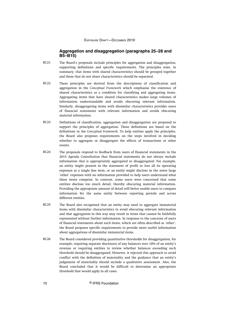### **Aggregation and disaggregation (paragraphs 25–28 and B5–B15)**

- <span id="page-10-0"></span>The Board's proposals include principles for aggregation and disaggregation, supporting definitions and specific requirements. The principles state, in summary, that items with shared characteristics should be grouped together and those that do not share characteristics should be separated. BC21
- These principles are derived from the descriptions of classification and aggregation in the *Conceptual Framework* which emphasise the existence of shared characteristics as a condition for classifying and aggregating items. Aggregating items that have shared characteristics makes large volumes of information understandable and avoids obscuring relevant information. Similarly, disaggregating items with dissimilar characteristics provides users of financial statements with relevant information and avoids obscuring material information. BC22
- Definitions of classification, aggregation and disaggregation are proposed to support the principles of aggregation. These definitions are based on the definitions in the *Conceptual Framework*. To help entities apply the principles, the Board also proposes requirements on the steps involved in deciding whether to aggregate or disaggregate the effects of transactions or other events. BC23
- The proposals respond to feedback from users of financial statements in the 2015 Agenda Consultation that financial statements do not always include information that is appropriately aggregated or disaggregated. For example, an entity might present in the statement of profit or loss all its operating expenses as a single line item, or an entity might disclose in the notes large 'other' expenses with no information provided to help users understand what these items comprise. In contrast, some users were concerned that some entities disclose too much detail, thereby obscuring material information. Providing the appropriate amount of detail will better enable users to compare information for the same entity between reporting periods and across different entities. BC24
- The Board also recognised that an entity may need to aggregate immaterial items with dissimilar characteristics to avoid obscuring relevant information and that aggregation in this way may result in items that cannot be faithfully represented without further information. In response to the concerns of users of financial statements about such items, which are often described as 'other', the Board proposes specific requirements to provide more useful information about aggregations of dissimilar immaterial items. BC25
- The Board considered providing quantitative thresholds for disaggregation, for example, requiring separate disclosure of any balances over 10% of an entity's revenue or requiring entities to review whether balances exceeding such threshold should be disaggregated. However, it rejected this approach to avoid conflict with the definition of materiality and the guidance that an entity's judgement of materiality should include a qualitative assessment. Also, the Board concluded that it would be difficult to determine an appropriate threshold that would apply in all cases. BC26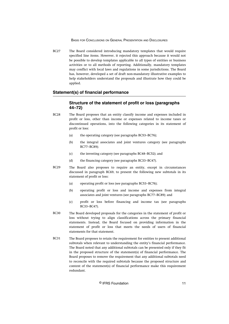<span id="page-11-0"></span>The Board considered introducing mandatory templates that would require specified line items. However, it rejected this approach because it would not be possible to develop templates applicable to all types of entities or business activities or to all methods of reporting. Additionally, mandatory templates may conflict with local laws and regulations in some jurisdictions. The Board has, however, developed a set of draft non-mandatory illustrative examples to help stakeholders understand the proposals and illustrate how they could be applied. BC27

# **Statement(s) of financial performance**

# **Structure of the statement of profit or loss (paragraphs 44–72)**

- The Board proposes that an entity classify income and expenses included in profit or loss, other than income or expenses related to income taxes or discontinued operations, into the following categories in its statement of profit or loss: BC28
	- (a) the operating category (see paragraphs BC53–BC76);
	- (b) the integral associates and joint ventures category (see paragraphs BC77–BC89);
	- (c) the investing category (see paragraphs BC48–BC52); and
	- (d) the financing category (see paragraphs BC33–BC47).
- The Board also proposes to require an entity, except in circumstances discussed in paragraph BC69, to present the following new subtotals in its statement of profit or loss: BC29
	- (a) operating profit or loss (see paragraphs BC53–BC76);
	- (b) operating profit or loss and income and expenses from integral associates and joint ventures (see paragraphs BC77–BC89); and
	- (c) profit or loss before financing and income tax (see paragraphs BC33–BC47).
- The Board developed proposals for the categories in the statement of profit or loss without trying to align classifications across the primary financial statements. Instead, the Board focused on providing information in the statement of profit or loss that meets the needs of users of financial statements for that statement. BC30
- The Board proposes to retain the requirement for entities to present additional subtotals when relevant to understanding the entity's financial performance. The Board noted that any additional subtotals can be presented only if they fit in the proposed structure of the statement(s) of financial performance. The Board proposes to remove the requirement that any additional subtotals need to reconcile with the required subtotals because the proposed structure and content of the statement(s) of financial performance make this requirement redundant. BC31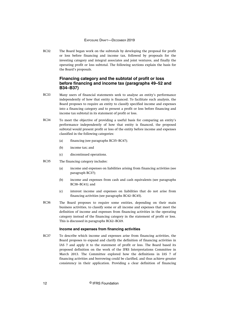<span id="page-12-0"></span>The Board began work on the subtotals by developing the proposal for profit or loss before financing and income tax, followed by proposals for the investing category and integral associates and joint ventures, and finally the operating profit or loss subtotal. The following sections explain the basis for the Board's proposals. BC32

# **Financing category and the subtotal of profit or loss before financing and income tax (paragraphs 49–52 and B34–B37)**

- Many users of financial statements seek to analyse an entity's performance independently of how that entity is financed. To facilitate such analysis, the Board proposes to require an entity to classify specified income and expenses into a financing category and to present a profit or loss before financing and income tax subtotal in its statement of profit or loss. BC33
- To meet the objective of providing a useful basis for comparing an entity's performance independently of how that entity is financed, the proposed subtotal would present profit or loss of the entity before income and expenses classified in the following categories: BC34
	- (a) financing (see paragraphs BC35–BC47);
	- (b) income tax; and
	- (c) discontinued operations.
- The financing category includes: BC35
	- (a) income and expenses on liabilities arising from financing activities (see paragraph BC37);
	- (b) income and expenses from cash and cash equivalents (see paragraphs BC38–BC41); and
	- (c) interest income and expenses on liabilities that do not arise from financing activities (see paragraphs BC42–BC45).
- The Board proposes to require some entities, depending on their main business activities, to classify some or all income and expenses that meet the definition of income and expenses from financing activities in the operating category instead of the financing category in the statement of profit or loss. This is discussed in paragraphs BC62–BC69. BC36

#### **Income and expenses from financing activities**

To describe which income and expenses arise from financing activities, the Board proposes to expand and clarify the definition of financing activities in IAS 7 and apply it to the statement of profit or loss. The Board based its proposed definition on the work of the IFRS Interpretations Committee in March 2013. The Committee explored how the definitions in IAS 7 of financing activities and borrowing could be clarified, and thus achieve greater consistency in their application. Providing a clear definition of financing BC37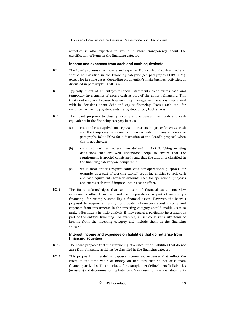activities is also expected to result in more transparency about the classification of items in the financing category.

#### **Income and expenses from cash and cash equivalents**

- The Board proposes that income and expenses from cash and cash equivalents should be classified in the financing category (see paragraphs BC39–BC41), except for in some cases, depending on an entity's main business activities, as discussed in paragraphs BC70–BC72. BC38
- Typically, users of an entity's financial statements treat excess cash and temporary investments of excess cash as part of the entity's financing. This treatment is typical because how an entity manages such assets is interrelated with its decisions about debt and equity financing. Excess cash can, for instance, be used to pay dividends, repay debt or buy back shares. BC39
- The Board proposes to classify income and expenses from cash and cash equivalents in the financing category because: BC40
	- (a) cash and cash equivalents represent a reasonable proxy for excess cash and the temporary investments of excess cash for many entities (see paragraphs BC70–BC72 for a discussion of the Board's proposal when this is not the case).
	- (b) cash and cash equivalents are defined in IAS 7. Using existing definitions that are well understood helps to ensure that the requirement is applied consistently and that the amounts classified in the financing category are comparable.
	- (c) while most entities require some cash for operational purposes (for example, as a part of working capital) requiring entities to split cash and cash equivalents between amounts used for operational purposes and excess cash would impose undue cost or effort.
- The Board acknowledges that some users of financial statements view investments other than cash and cash equivalents as part of an entity's financing—for example, some liquid financial assets. However, the Board's proposal to require an entity to provide information about income and expenses from investments in the investing category should enable users to make adjustments in their analysis if they regard a particular investment as part of the entity's financing. For example, a user could reclassify items of income from the investing category and include them in the financing category. BC41

#### **Interest income and expenses on liabilities that do not arise from financing activities**

- The Board proposes that the unwinding of a discount on liabilities that do not arise from financing activities be classified in the financing category. BC42
- This proposal is intended to capture income and expenses that reflect the effect of the time value of money on liabilities that do not arise from financing activities. These include, for example, net defined benefit liabilities (or assets) and decommissioning liabilities. Many users of financial statements BC43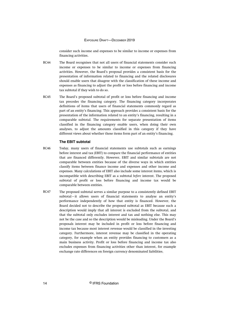consider such income and expenses to be similar to income or expenses from financing activities.

- The Board recognises that not all users of financial statements consider such income or expenses to be similar to income or expenses from financing activities. However, the Board's proposal provides a consistent basis for the presentation of information related to financing and the related disclosures should enable users that disagree with the classification of these income and expenses as financing to adjust the profit or loss before financing and income tax subtotal if they wish to do so. BC44
- The Board's proposed subtotal of profit or loss before financing and income tax precedes the financing category. The financing category incorporates definitions of items that users of financial statements commonly regard as part of an entity's financing. This approach provides a consistent basis for the presentation of the information related to an entity's financing, resulting in a comparable subtotal. The requirements for separate presentation of items classified in the financing category enable users, when doing their own analyses, to adjust the amounts classified in this category if they have different views about whether those items form part of an entity's financing. BC45

#### **The EBIT subtotal**

- Today, many users of financial statements use subtotals such as earnings before interest and tax (EBIT) to compare the financial performance of entities that are financed differently. However, EBIT and similar subtotals are not comparable between entities because of the diverse ways in which entities classify items between finance income and expenses and other income and expenses. Many calculations of EBIT also include some interest items, which is incompatible with describing EBIT as a subtotal *before* interest. The proposed subtotal of profit or loss before financing and income tax would be comparable between entities. BC46
- The proposed subtotal serves a similar purpose to a consistently defined EBIT subtotal—it allows users of financial statements to analyse an entity's performance independently of how that entity is financed. However, the Board decided not to describe the proposed subtotal as EBIT because such a description would imply that all interest is excluded from the subtotal, and that the subtotal only excludes interest and tax and nothing else. This may not be the case and so the description would be misleading. Under the Board's proposals interest may be included in profit or loss before financing and income tax because most interest revenue would be classified in the investing category. Furthermore, interest revenue may be classified in the operating category, for example when an entity provides financing to customers as a main business activity. Profit or loss before financing and income tax also excludes expenses from financing activities other than interest, for example exchange rate differences on foreign currency denominated liabilities. BC47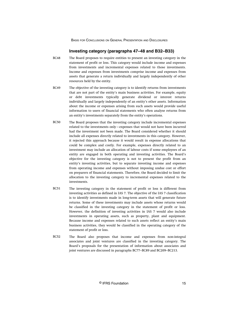# **Investing category (paragraphs 47–48 and B32–B33)**

- <span id="page-15-0"></span>The Board proposes to require entities to present an investing category in the statement of profit or loss. This category would include income and expenses from investments and incremental expenses related to those investments. Income and expenses from investments comprise income and expenses from assets that generate a return individually and largely independently of other resources held by the entity. BC48
- The objective of the investing category is to identify returns from investments that are not part of the entity's main business activities. For example, equity or debt investments typically generate dividend or interest returns individually and largely independently of an entity's other assets. Information about the income or expenses arising from such assets would provide useful information to users of financial statements who often analyse returns from an entity's investments separately from the entity's operations. BC49
- The Board proposes that the investing category include incremental expenses related to the investments only—expenses that would not have been incurred had the investment not been made. The Board considered whether it should include all expenses directly related to investments in this category. However, it rejected this approach because it would result in expense allocations that could be complex and costly. For example, expenses directly related to an investment may include an allocation of labour costs if some employees of an entity are engaged in both operating and investing activities. The Board's objective for the investing category is not to present the profit from an entity's investing activities, but to separate investing income and expenses from operating income and expenses without imposing undue cost or effort on preparers of financial statements. Therefore, the Board decided to limit the allocation to the investing category to incremental expenses related to the investments. BC50
- The investing category in the statement of profit or loss is different from investing activities as defined in IAS 7. The objective of the IAS 7 classification is to identify investments made in long-term assets that will generate future returns. Some of these investments may include assets whose returns would be classified in the investing category in the statement of profit or loss. However, the definition of investing activities in IAS 7 would also include investments in operating assets, such as property, plant and equipment. Because income and expenses related to such assets reflect an entity's main business activities, they would be classified in the operating category of the statement of profit or loss. BC51
- The Board also proposes that income and expenses from non-integral associates and joint ventures are classified in the investing category. The Board's proposals for the presentation of information about associates and joint ventures are discussed in paragraphs BC77–BC89 and BC209–BC213. BC52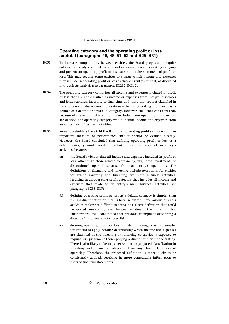### **Operating category and the operating profit or loss subtotal (paragraphs 46, 48, 51–52 and B25–B31)**

- <span id="page-16-0"></span>To increase comparability between entities, the Board proposes to require entities to classify specified income and expenses into an operating category and present an operating profit or loss subtotal in the statement of profit or loss. This may require some entities to change which income and expenses they include in operating profit or loss as they currently define it, as discussed in the effects analysis (see paragraphs BC232–BC312). BC53
- The operating category comprises all income and expenses included in profit or loss that are not classified as income or expenses from integral associates and joint ventures, investing or financing, and those that are not classified in income taxes or discontinued operations—that is, operating profit or loss is defined as a default or a residual category. However, the Board considers that, because of the way in which amounts excluded from operating profit or loss are defined, the operating category would include income and expenses from an entity's main business activities. BC54
- Some stakeholders have told the Board that operating profit or loss is such an important measure of performance that it should be defined directly. However, the Board concluded that defining operating profit or loss as a default category would result in a faithful representation of an entity's activities, because: BC55
	- (a) the Board's view is that all income and expenses included in profit or loss, other than those related to financing, tax, some investments or discontinued operations, arise from an entity's operations. The definitions of financing and investing include exceptions for entities for which investing and financing are main business activities, resulting in an operating profit category that includes all income and expenses that relate to an entity's main business activities (see paragraphs BC58–BC76).
	- (b) defining operating profit or loss as a default category is simpler than using a direct definition. This is because entities have various business activities making it difficult to arrive at a direct definition that could be applied consistently, even between entities in the same industry. Furthermore, the Board noted that previous attempts at developing a direct definition were not successful.
	- (c) defining operating profit or loss as a default category is also simpler for entities to apply because determining which income and expenses are classified in the investing or financing categories is expected to require less judgement then applying a direct definition of operating. There is also likely to be more agreement on proposed classification in investing and financing categories than any direct definition of operating. Therefore, the proposed definition is more likely to be consistently applied, resulting in more comparable information to users of financial statements.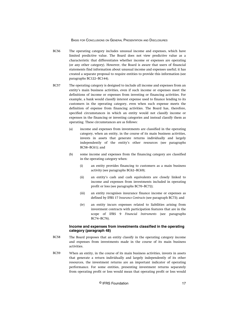- The operating category includes unusual income and expenses, which have limited predictive value. The Board does not view predictive value as a characteristic that differentiates whether income or expenses are operating (or any other category). However, the Board is aware that users of financial statements find information about unusual income and expenses useful; it has created a separate proposal to require entities to provide this information (see paragraphs BC122–BC144). BC56
- The operating category is designed to include all income and expenses from an entity's main business activities, even if such income or expenses meet the definitions of income or expenses from investing or financing activities. For example, a bank would classify interest expense used to finance lending to its customers in the operating category, even when such expense meets the definition of expense from financing activities. The Board has, therefore, specified circumstances in which an entity would not classify income or expenses in the financing or investing categories and instead classify them as operating. These circumstances are as follows: BC57
	- (a) income and expenses from investments are classified in the operating category, when an entity, in the course of its main business activities, invests in assets that generate returns individually and largely independently of the entity's other resources (see paragraphs BC58–BC61); and
	- (b) some income and expenses from the financing category are classified in the operating category when:
		- (i) an entity provides financing to customers as a main business activity (see paragraphs BC62–BC69);
		- (ii) an entity's cash and cash equivalents are closely linked to income and expenses from investments included in operating profit or loss (see paragraphs BC70–BC72);
		- (iii) an entity recognises insurance finance income or expenses as defined by IFRS 17 *Insurance Contracts* (see paragraph BC73); and
		- (iv) an entity incurs expenses related to liabilities arising from investment contracts with participation features that are in the scope of IFRS 9 *Financial Instruments* (see paragraphs BC74–BC76).

#### **Income and expenses from investments classified in the operating category (paragraph 48)**

- The Board proposes that an entity classify in the operating category income and expenses from investments made in the course of its main business activities. BC58
- When an entity, in the course of its main business activities, invests in assets that generate a return individually and largely independently of its other resources, the investment returns are an important indicator of operating performance. For some entities, presenting investment returns separately from operating profit or loss would mean that operating profit or loss would BC59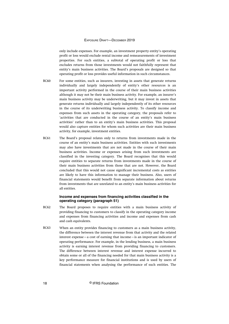only include expenses. For example, an investment property entity's operating profit or loss would exclude rental income and remeasurements of investment properties. For such entities, a subtotal of operating profit or loss that excludes returns from those investments would not faithfully represent that entity's main business activities. The Board's proposals are designed so that operating profit or loss provides useful information in such circumstances.

- For some entities, such as insurers, investing in assets that generate returns individually and largely independently of entity's other resources is an important activity performed in the course of their main business activities although it may not be their main business activity. For example, an insurer's main business activity may be underwriting, but it may invest in assets that generate returns individually and largely independently of its other resources in the course of its underwriting business activity. To classify income and expenses from such assets in the operating category, the proposals refer to 'activities that are conducted in the course of an entity's main business activities' rather than to an entity's main business activities. This proposal would also capture entities for whom such activities are their main business activity, for example, investment entities. BC60
- The Board's proposal relates only to returns from investments made in the course of an entity's main business activities. Entities with such investments may also have investments that are not made in the course of their main business activities. Income or expenses arising from such investments are classified in the investing category. The Board recognises that this would require entities to separate returns from investments made in the course of their main business activities from those that are not. However, the Board concluded that this would not cause significant incremental costs as entities are likely to have this information to manage their business. Also, users of financial statements would benefit from separate information about returns from investments that are unrelated to an entity's main business activities for all entities. BC61

## **Income and expenses from financing activities classified in the operating category (paragraph 51)**

- The Board proposes to require entities with a main business activity of providing financing to customers to classify in the operating category income and expenses from financing activities and income and expenses from cash and cash equivalents. BC62
- When an entity provides financing to customers as a main business activity, the difference between the interest revenue from that activity and the related interest expense—a cost of earning that income—is an important indicator of operating performance. For example, in the lending business, a main business activity is earning interest revenue from providing financing to customers. The difference between interest revenue and interest expense incurred to obtain some or all of the financing needed for that main business activity is a key performance measure for financial institutions and is used by users of financial statements when analysing the performance of such entities. The BC63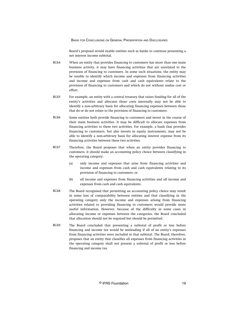Board's proposal would enable entities such as banks to continue presenting a net interest income subtotal.

- When an entity that provides financing to customers has more than one main business activity, it may have financing activities that are unrelated to the provision of financing to customers. In some such situations, the entity may be unable to identify which income and expenses from financing activities and income and expenses from cash and cash equivalents relate to the provision of financing to customers and which do not without undue cost or effort. BC64
- For example, an entity with a central treasury that raises funding for all of the entity's activities and allocates those costs internally may not be able to identify a non-arbitrary basis for allocating financing expenses between those that do or do not relate to the provision of financing to customers. BC65
- Some entities both provide financing to customers and invest in the course of their main business activities. It may be difficult to allocate expenses from financing activities to these two activities. For example, a bank that provides financing to customers, but also invests in equity instruments, may not be able to identify a non-arbitrary basis for allocating interest expense from its financing activities between these two activities. BC66
- Therefore, the Board proposes that when an entity provides financing to customers, it should make an accounting policy choice between classifying in the operating category: BC67
	- (a) only income and expenses that arise from financing activities and income and expenses from cash and cash equivalents relating to its provision of financing to customers; or
	- (b) all income and expenses from financing activities and all income and expenses from cash and cash equivalents.
- The Board recognised that permitting an accounting policy choice may result in some loss of comparability between entities and that classifying in the operating category only the income and expenses arising from financing activities related to providing financing to customers would provide more useful information. However, because of the difficulty in some cases in allocating income or expenses between the categories, the Board concluded that allocation should not be required but should be permitted. BC68
- The Board concluded that presenting a subtotal of profit or loss before financing and income tax would be misleading if all of an entity's expenses from financing activities were included in that subtotal. The Board, therefore, proposes that an entity that classifies all expenses from financing activities in the operating category shall not present a subtotal of profit or loss before financing and income tax. BC69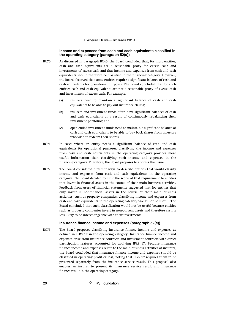#### **Income and expenses from cash and cash equivalents classified in the operating category (paragraph 52(a))**

- As discussed in paragraph BC40, the Board concluded that, for most entities, cash and cash equivalents are a reasonable proxy for excess cash and investments of excess cash and that income and expenses from cash and cash equivalents should therefore be classified in the financing category. However, the Board observed that some entities require a significant balance of cash and cash equivalents for operational purposes. The Board concluded that for such entities cash and cash equivalents are not a reasonable proxy of excess cash and investments of excess cash. For example: BC70
	- (a) insurers need to maintain a significant balance of cash and cash equivalents to be able to pay out insurance claims;
	- (b) insurers and investment funds often have significant balances of cash and cash equivalents as a result of continuously rebalancing their investment portfolios; and
	- (c) open-ended investment funds need to maintain a significant balance of cash and cash equivalents to be able to buy back shares from investors who wish to redeem their shares.
- In cases where an entity needs a significant balance of cash and cash equivalents for operational purposes, classifying the income and expenses from cash and cash equivalents in the operating category provides more useful information than classifying such income and expenses in the financing category. Therefore, the Board proposes to address this issue. BC71
- The Board considered different ways to describe entities that would classify income and expenses from cash and cash equivalents in the operating category. The Board decided to limit the scope of that requirement to entities that invest in financial assets in the course of their main business activities. Feedback from users of financial statements suggested that for entities that only invest in non-financial assets in the course of their main business activities, such as property companies, classifying income and expenses from cash and cash equivalents in the operating category would not be useful. The Board concluded that such classification would not be useful because entities such as property companies invest in non-current assets and therefore cash is less likely to be interchangeable with their investments. BC72

#### **Insurance finance income and expenses (paragraph 52(c))**

The Board proposes classifying insurance finance income and expenses as defined in IFRS 17 in the operating category. Insurance finance income and expenses arise from insurance contracts and investment contracts with direct participation features accounted for applying IFRS 17. Because insurance finance income and expenses relate to the main business activities of insurers, the Board concluded that insurance finance income and expenses should be classified in operating profit or loss, noting that IFRS 17 requires them to be presented separately from the insurance service result. This proposal also enables an insurer to present its insurance service result and insurance finance result in the operating category. BC73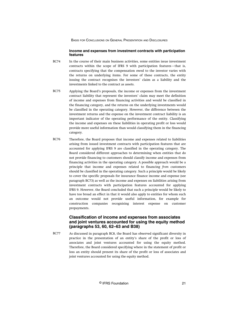#### **Income and expenses from investment contracts with participation features**

- <span id="page-21-0"></span>In the course of their main business activities, some entities issue investment contracts within the scope of IFRS 9 with participation features—that is, contracts specifying that the compensation owed to the investor varies with the returns on underlying items. For some of these contracts, the entity issuing the contract recognises the investors' claim as a liability and the investments linked to the contract as assets. BC74
- Applying the Board's proposals, the income or expenses from the investment contract liability that represent the investors' claim may meet the definition of income and expenses from financing activities and would be classified in the financing category, and the returns on the underlying investments would be classified in the operating category. However, the difference between the investment returns and the expense on the investment contract liability is an important indicator of the operating performance of the entity. Classifying the income and expenses on these liabilities in operating profit or loss would provide more useful information than would classifying them in the financing category. BC75
- Therefore, the Board proposes that income and expenses related to liabilities arising from issued investment contracts with participation features that are accounted for applying IFRS 9 are classified in the operating category. The Board considered different approaches to determining when entities that do not provide financing to customers should classify income and expenses from financing activities in the operating category. A possible approach would be a principle that income and expenses related to financing *from* customers should be classified in the operating category. Such a principle would be likely to cover the specific proposals for insurance finance income and expense (see paragraph BC73) as well as the income and expenses on liabilities arising from investment contracts with participation features accounted for applying IFRS 9. However, the Board concluded that such a principle would be likely to have too broad an effect in that it would also apply to entities for whom such an outcome would not provide useful information, for example for construction companies recognising interest expense on customer prepayments. BC76

# **Classification of income and expenses from associates and joint ventures accounted for using the equity method (paragraphs 53, 60, 62–63 and B38)**

As discussed in paragraph BC8, the Board has observed significant diversity in practice in the presentation of an entity's share of the profit or loss of associates and joint ventures accounted for using the equity method. Therefore, the Board considered specifying where in the statement of profit or loss an entity should present its share of the profit or loss of associates and joint ventures accounted for using the equity method. BC77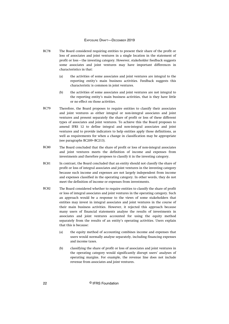- The Board considered requiring entities to present their share of the profit or loss of associates and joint ventures in a single location in the statement of profit or loss—the investing category. However, stakeholder feedback suggests some associates and joint ventures may have important differences in characteristics in that: BC78
	- (a) the activities of some associates and joint ventures are integral to the reporting entity's main business activities. Feedback suggests this characteristic is common in joint ventures.
	- (b) the activities of some associates and joint ventures are not integral to the reporting entity's main business activities, that is they have little or no effect on those activities.
- Therefore, the Board proposes to require entities to classify their associates and joint ventures as either integral or non-integral associates and joint ventures and present separately the share of profit or loss of these different types of associates and joint ventures. To achieve this the Board proposes to amend IFRS 12 to define integral and non-integral associates and joint ventures and to provide indicators to help entities apply those definitions, as well as requirements for when a change in classification may be appropriate (see paragraphs BC209–BC213). BC79
- The Board concluded that the share of profit or loss of non-integral associates and joint ventures meets the definition of income and expenses from investments and therefore proposes to classify it in the investing category. BC80
- In contrast, the Board concluded that an entity should not classify the share of profit or loss of integral associates and joint ventures in the investing category because such income and expenses are not largely independent from income and expenses classified in the operating category. In other words, they do not meet the definition of income or expenses from investments. BC81
- The Board considered whether to require entities to classify the share of profit or loss of integral associates and joint ventures in the operating category. Such an approach would be a response to the views of some stakeholders that entities may invest in integral associates and joint ventures in the course of their main business activities. However, it rejected this approach because many users of financial statements analyse the results of investments in associates and joint ventures accounted for using the equity method separately from the results of an entity's operating activities. Users explain that this is because: BC82
	- (a) the equity method of accounting combines income and expenses that users would normally analyse separately, including financing expenses and income taxes.
	- (b) classifying the share of profit or loss of associates and joint ventures in the operating category would significantly disrupt users' analyses of operating margins. For example, the revenue line does not include revenue from associates and joint ventures.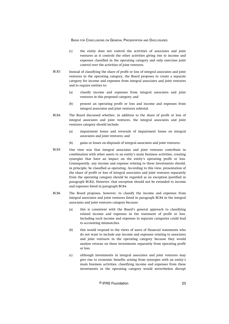- (c) the entity does not control the activities of associates and joint ventures as it controls the other activities giving rise to income and expenses classified in the operating category and only exercises joint control over the activities of joint ventures.
- Instead of classifying the share of profit or loss of integral associates and joint ventures in the operating category, the Board proposes to create a separate category for income and expenses from integral associates and joint ventures and to require entities to: BC83
	- (a) classify income and expenses from integral associates and joint ventures in this proposed category; and
	- (b) present an operating profit or loss and income and expenses from integral associates and joint ventures subtotal.
- The Board discussed whether, in addition to the share of profit or loss of integral associates and joint ventures, the integral associates and joint ventures category should include: BC84
	- (a) impairment losses and reversals of impairment losses on integral associates and joint ventures; and
	- (b) gains or losses on disposals of integral associates and joint ventures.
- One view was that integral associates and joint ventures contribute in combination with other assets to an entity's main business activities, creating synergies that have an impact on the entity's operating profit or loss. Consequently, any income and expense relating to these investments should, in principle, be classified as operating. According to this view, presentation of the share of profit or loss of integral associates and joint ventures separately from the operating category should be regarded as an exception (justified in paragraph BC82). However, that exception should not be extended to income and expenses listed in paragraph BC84. BC85
- The Board proposes, however, to classify the income and expenses from integral associates and joint ventures listed in paragraph BC84 in the integral associates and joint ventures category because: BC86
	- (a) this is consistent with the Board's general approach to classifying related income and expenses in the statement of profit or loss. Including such income and expenses in separate categories could lead to accounting mismatches.
	- (b) this would respond to the views of users of financial statements who do not want to include any income and expenses relating to associates and joint ventures in the operating category because they would analyse returns on these investments separately from operating profit or loss.
	- (c) although investments in integral associates and joint ventures may give rise to economic benefits arising from synergies with an entity's main business activities, classifying income and expenses from these investments in the operating category would nevertheless disrupt

© IFRS Foundation 23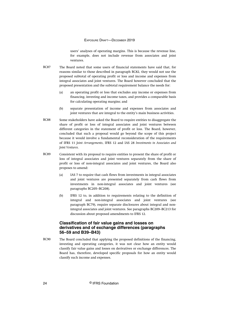users' analyses of operating margins. This is because the revenue line, for example, does not include revenue from associates and joint ventures.

- <span id="page-24-0"></span>The Board noted that some users of financial statements have said that, for reasons similar to those described in paragraph BC82, they would not use the proposed subtotal of operating profit or loss and income and expenses from integral associates and joint ventures. The Board however concluded that the proposed presentation and the subtotal requirement balance the needs for: BC87
	- (a) an operating profit or loss that excludes any income or expenses from financing, investing and income taxes, and provides a comparable basis for calculating operating margins; and
	- (b) separate presentation of income and expenses from associates and joint ventures that are integral to the entity's main business activities.
- Some stakeholders have asked the Board to require entities to disaggregate the share of profit or loss of integral associates and joint ventures between different categories in the statement of profit or loss. The Board, however, concluded that such a proposal would go beyond the scope of this project because it would involve a fundamental reconsideration of the requirements of IFRS 11 *Joint Arrangements*, IFRS 12 and IAS 28 *Investments in Associates and Joint Ventures*. BC88
- Consistent with its proposal to require entities to present the share of profit or loss of integral associates and joint ventures separately from the share of profit or loss of non-integral associates and joint ventures, the Board also proposes to amend: BC89
	- (a) IAS 7 to require that cash flows from investments in integral associates and joint ventures are presented separately from cash flows from investments in non-integral associates and joint ventures (see paragraphs BC205–BC208).
	- (b) IFRS 12 to, in addition to requirements relating to the definition of integral and non-integral associates and joint ventures (see paragraph BC79), require separate disclosures about integral and nonintegral associates and joint ventures. See paragraphs BC209–BC213 for discussion about proposed amendments to IFRS 12.

# **Classification of fair value gains and losses on derivatives and of exchange differences (paragraphs 56–59 and B39–B43)**

The Board concluded that applying the proposed definitions of the financing, investing and operating categories, it was not clear how an entity would classify fair value gains and losses on derivatives or exchange differences. The Board has, therefore, developed specific proposals for how an entity would classify such income and expenses. BC90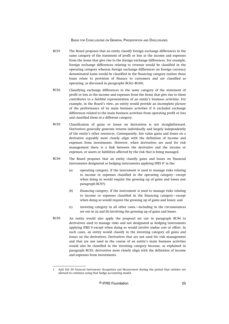- The Board proposes that an entity classify foreign exchange differences in the same category of the statement of profit or loss as the income and expenses from the items that give rise to the foreign exchange differences. For example, foreign exchange differences relating to revenue would be classified in the operating category whereas foreign exchange differences on foreign currency denominated loans would be classified in the financing category (unless those loans relate to provision of finance to customers and are classified as operating, as discussed in paragraphs BC62–BC69). BC91
- Classifying exchange differences in the same category of the statement of profit or loss as the income and expenses from the items that give rise to them contributes to a faithful representation of an entity's business activities. For example, in the Board's view, an entity would provide an incomplete picture of the performance of its main business activities if it excluded exchange differences related to the main business activities from operating profit or loss and classified them in a different category. BC92
- Classification of gains or losses on derivatives is not straightforward. Derivatives generally generate returns individually and largely independently of the entity's other resources. Consequently, fair value gains and losses on a derivative arguably most closely align with the definition of income and expenses from investments. However, when derivatives are used for risk management there is a link between the derivative and the income or expenses, or assets or liabilities affected by the risk that is being managed. BC93
- The Board proposes that an entity classify gains and losses on financial instruments designated as hedging instruments applying IFRS 9<sup>1</sup> in the: BC94
	- (a) operating category, if the instrument is used to manage risks relating to income or expenses classified in the operating category—except when doing so would require the grossing up of gains and losses (see paragraph BC97);
	- (b) financing category, if the instrument is used to manage risks relating to income or expenses classified in the financing category—except when doing so would require the grossing up of gains and losses; and
	- (c) investing category in all other cases—including in the circumstances set out in (a) and (b) involving the grossing up of gains and losses.
- An entity would also apply the proposal set out in paragraph BC94 to derivatives used to manage risks and not designated as hedging instruments applying IFRS 9 except when doing so would involve undue cost or effort. In such cases, an entity would classify in the investing category all gains and losses on the derivatives. Derivatives that are not used for risk management and that are not used in the course of an entity's main business activities would also be classified in the investing category because, as explained in paragraph BC93, derivatives most closely align with the definition of income and expenses from investments. BC95

<sup>1</sup> And IAS 39 *Financial Instruments: Recognition and Measurement* during the period that entities are allowed to continue using that hedge accounting model.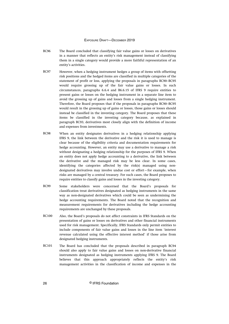- The Board concluded that classifying fair value gains or losses on derivatives in a manner that reflects an entity's risk management instead of classifying them in a single category would provide a more faithful representation of an entity's activities. BC96
- However, when a hedging instrument hedges a group of items with offsetting risk positions and the hedged items are classified in multiple categories of the statement of profit or loss, applying the proposals in paragraphs BC90–BC95 would require grossing up of the fair value gains or losses. In such circumstances, paragraphs 6.6.4 and B6.6.15 of IFRS 9 require entities to present gains or losses on the hedging instrument in a separate line item to avoid the grossing up of gains and losses from a single hedging instrument. Therefore, the Board proposes that if the proposals in paragraphs BC90–BC95 would result in the grossing up of gains or losses, those gains or losses should instead be classified in the investing category. The Board proposes that these items be classified in the investing category because, as explained in paragraph BC93, derivatives most closely align with the definition of income and expenses from investments. BC97
- When an entity designates derivatives in a hedging relationship applying IFRS 9, the link between the derivative and the risk it is used to manage is clear because of the eligibility criteria and documentation requirements for hedge accounting. However, an entity may use a derivative to manage a risk without designating a hedging relationship for the purposes of IFRS 9. When an entity does not apply hedge accounting to a derivative, the link between the derivative and the managed risk may be less clear. In some cases, identifying the categories affected by the risk(s) managed using nondesignated derivatives may involve undue cost or effort—for example, when risks are managed by a central treasury. For such cases, the Board proposes to require entities to classify gains and losses in the investing category. BC98
- Some stakeholders were concerned that the Board's proposals for classification treat derivatives designated as hedging instruments in the same way as non-designated derivatives which could be seen as undermining the hedge accounting requirements. The Board noted that the recognition and measurement requirements for derivatives including the hedge accounting requirements are unchanged by these proposals. BC99
- Also, the Board's proposals do not affect constraints in IFRS Standards on the presentation of gains or losses on derivatives and other financial instruments used for risk management. Specifically, IFRS Standards only permit entities to include components of fair value gains and losses in the line item 'interest revenue calculated using the effective interest method' if those arise from designated hedging instruments. BC100
- The Board has concluded that the proposals described in paragraph BC94 should also apply to fair value gains and losses on non-derivative financial instruments designated as hedging instruments applying IFRS 9. The Board believes that this approach appropriately reflects the entity's risk management activities in the classification of income and expenses in the BC101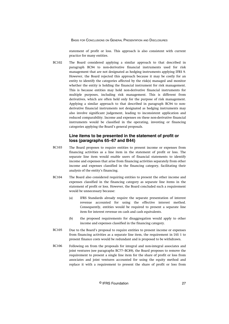statement of profit or loss. This approach is also consistent with current practice for many entities.

<span id="page-27-0"></span>The Board considered applying a similar approach to that described in paragraph BC94 to non-derivative financial instruments used for risk management that are not designated as hedging instruments applying IFRS 9. However, the Board rejected this approach because it may be costly for an entity to identify the categories affected by the risk(s) managed and monitor whether the entity is holding the financial instrument for risk management. This is because entities may hold non-derivative financial instruments for multiple purposes, including risk management. This is different from derivatives, which are often held only for the purpose of risk management. Applying a similar approach to that described in paragraph BC94 to nonderivative financial instruments not designated as hedging instruments may also involve significant judgement, leading to inconsistent application and reduced comparability. Income and expenses on these non-derivative financial instruments would be classified in the operating, investing or financing categories applying the Board's general proposals. **BC102** 

## **Line items to be presented in the statement of profit or loss (paragraphs 65–67 and B44)**

- The Board proposes to require entities to present income or expenses from financing activities as a line item in the statement of profit or loss. The separate line item would enable users of financial statements to identify income and expenses that arise from financing activities separately from other income and expenses classified in the financing category, facilitating their analysis of the entity's financing. BC103
- The Board also considered requiring entities to present the other income and expenses classified in the financing category as separate line items in the statement of profit or loss. However, the Board concluded such a requirement would be unnecessary because: BC104
	- (a) IFRS Standards already require the separate presentation of interest revenue accounted for using the effective interest method. Consequently, entities would be required to present a separate line item for interest revenue on cash and cash equivalents.
	- (b) the proposed requirements for disaggregation would apply to other income and expenses classified in the financing category.
- Due to the Board's proposal to require entities to present income or expenses from financing activities as a separate line item, the requirement in IAS 1 to present finance costs would be redundant and is proposed to be withdrawn. BC105
- Following on from the proposals for integral and non-integral associates and joint ventures (see paragraphs BC77–BC89), the Board proposes to remove the requirement to present a single line item for the share of profit or loss from associates and joint ventures accounted for using the equity method and replace it with a requirement to present the share of profit or loss from BC106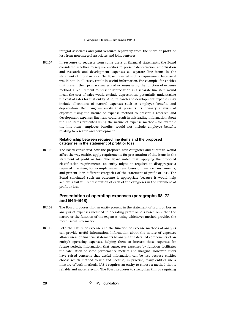integral associates and joint ventures separately from the share of profit or loss from non-integral associates and joint ventures.

<span id="page-28-0"></span>In response to requests from some users of financial statements, the Board considered whether to require entities to present depreciation, amortisation and research and development expenses as separate line items in the statement of profit or loss. The Board rejected such a requirement because it would not, in all cases, result in useful information. For example, for entities that present their primary analysis of expenses using the function of expense method, a requirement to present depreciation as a separate line item would mean the cost of sales would exclude depreciation, potentially understating the cost of sales for that entity. Also, research and development expenses may include allocations of natural expenses such as employee benefits and depreciation. Requiring an entity that presents its primary analysis of expenses using the nature of expense method to present a research and development expenses line item could result in misleading information about the line items presented using the nature of expense method—for example the line item 'employee benefits' would not include employee benefits relating to research and development. BC107

#### **Relationship between required line items and the proposed categories in the statement of profit or loss**

The Board considered how the proposed new categories and subtotals would affect the way entities apply requirements for presentation of line items in the statement of profit or loss. The Board noted that, applying the proposed classification requirements, an entity might be required to disaggregate a required line item, for example impairment losses on financial instruments, and present it in different categories of the statement of profit or loss. The Board concluded such an outcome is appropriate because it would help achieve a faithful representation of each of the categories in the statement of profit or loss. BC108

# **Presentation of operating expenses (paragraphs 68–72 and B45–B48)**

- The Board proposes that an entity present in the statement of profit or loss an analysis of expenses included in operating profit or loss based on either the nature or the function of the expenses, using whichever method provides the most useful information. BC109
- Both the nature of expense and the function of expense methods of analysis can provide useful information. Information about the nature of expenses allows users of financial statements to analyse the detailed components of an entity's operating expenses, helping them to forecast those expenses for future periods. Information that aggregates expenses by function facilitates the calculation of some performance metrics and margins. However, users have raised concerns that useful information can be lost because entities choose which method to use and because, in practice, many entities use a mixture of both methods. IAS 1 requires an entity to choose a method that is reliable and more relevant. The Board proposes to strengthen this by requiring BC110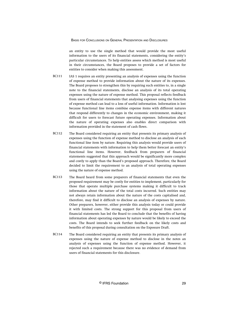an entity to use the single method that would provide the most useful information to the users of its financial statements, considering the entity's particular circumstances. To help entities assess which method is most useful in their circumstances, the Board proposes to provide a set of factors for entities to consider when making this assessment.

- IAS 1 requires an entity presenting an analysis of expenses using the function of expense method to provide information about the nature of its expenses. The Board proposes to strengthen this by requiring such entities to, in a single note to the financial statements, disclose an analysis of its total operating expenses using the nature of expense method. This proposal reflects feedback from users of financial statements that analysing expenses using the function of expense method can lead to a loss of useful information. Information is lost because functional line items combine expense items with different natures that respond differently to changes in the economic environment, making it difficult for users to forecast future operating expenses. Information about the nature of operating expenses also enables direct comparison with information provided in the statement of cash flows. BC111
- The Board considered requiring an entity that presents its primary analysis of expenses using the function of expense method to disclose an analysis of each functional line item by nature. Requiring this analysis would provide users of financial statements with information to help them better forecast an entity's functional line items. However, feedback from preparers of financial statements suggested that this approach would be significantly more complex and costly to apply than the Board's proposed approach. Therefore, the Board decided to limit the requirement to an analysis of total operating expenses using the nature of expense method. BC112
- The Board heard from some preparers of financial statements that even the proposed requirement may be costly for entities to implement, particularly for those that operate multiple purchase systems making it difficult to track information about the nature of the total costs incurred. Such entities may not always retain information about the nature of the costs capitalised and, therefore, may find it difficult to disclose an analysis of expenses by nature. Other preparers, however, either provide this analysis today or could provide it with limited costs. The strong support for this proposal from users of financial statements has led the Board to conclude that the benefits of having information about operating expenses by nature would be likely to exceed the costs. The Board intends to seek further feedback on the likely costs and benefits of this proposal during consultation on the Exposure Draft. BC113
- The Board considered requiring an entity that presents its primary analysis of expenses using the nature of expense method to disclose in the notes an analysis of expenses using the function of expense method. However, it rejected such a requirement because there was no evidence of demand from users of financial statements for this disclosure. BC114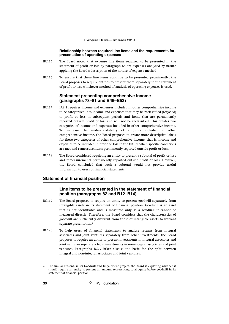#### **Relationship between required line items and the requirements for presentation of operating expenses**

- <span id="page-30-0"></span>The Board noted that expense line items required to be presented in the statement of profit or loss by paragraph 68 are expenses analysed by nature applying the Board's description of the nature of expense method. BC115
- To ensure that these line items continue to be presented prominently, the Board proposes to require entities to present them separately in the statement of profit or loss whichever method of analysis of operating expenses is used. BC116

## **Statement presenting comprehensive income (paragraphs 73–81 and B49–B52)**

- IAS 1 requires income and expenses included in other comprehensive income to be categorised into income and expenses that may be reclassified (recycled) to profit or loss in subsequent periods and items that are permanently reported outside profit or loss and will not be reclassified. This creates two categories of income and expenses included in other comprehensive income. To increase the understandability of amounts included in other comprehensive income, the Board proposes to create more descriptive labels for these two categories of other comprehensive income, that is, income and expenses to be included in profit or loss in the future when specific conditions are met and remeasurements permanently reported outside profit or loss. BC117
- The Board considered requiring an entity to present a subtotal of profit or loss and remeasurements permanently reported outside profit or loss. However, the Board concluded that such a subtotal would not provide useful information to users of financial statements. BC118

# **Statement of financial position**

# **Line items to be presented in the statement of financial position (paragraphs 82 and B12–B14)**

- The Board proposes to require an entity to present goodwill separately from intangible assets in its statement of financial position. Goodwill is an asset that is not identifiable and is measured only as a residual; it cannot be measured directly. Therefore, the Board considers that the characteristics of goodwill are sufficiently different from those of intangible assets to warrant separate presentation.<sup>2</sup> BC119
- To help users of financial statements to analyse returns from integral associates and joint ventures separately from other investments, the Board proposes to require an entity to present investments in integral associates and joint ventures separately from investments in non-integral associates and joint ventures. Paragraphs BC77–BC89 discuss the basis for the split between integral and non-integral associates and joint ventures. BC120

<sup>2</sup> For similar reasons, in its Goodwill and Impairment project, the Board is exploring whether it should require an entity to present an amount representing total equity before goodwill in its statement of financial position.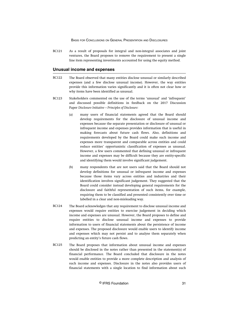<span id="page-31-0"></span>As a result of proposals for integral and non-integral associates and joint ventures, the Board proposes to remove the requirement to present a single line item representing investments accounted for using the equity method. BC121

#### **Unusual income and expenses**

- The Board observed that many entities disclose unusual or similarly described expenses (and a few disclose unusual income). However, the way entities provide this information varies significantly and it is often not clear how or why items have been identified as unusual. BC122
- Stakeholders commented on the use of the terms 'unusual' and 'infrequent' and discussed possible definitions in feedback on the 2017 Discussion Paper *Disclosure Initiative—Principles of Disclosure:* BC123
	- (a) many users of financial statements agreed that the Board should develop requirements for the disclosure of unusual income and expenses because the separate presentation or disclosure of unusual or infrequent income and expenses provides information that is useful in making forecasts about future cash flows. Also, definitions and requirements developed by the Board could make such income and expenses more transparent and comparable across entities and could reduce entities' opportunistic classification of expenses as unusual. However, a few users commented that defining unusual or infrequent income and expenses may be difficult because they are entity-specific and identifying them would involve significant judgement.
	- (b) many respondents that are not users said that the Board should not develop definitions for unusual or infrequent income and expenses because those items vary across entities and industries and their identification involves significant judgement. They suggested that the Board could consider instead developing general requirements for the disclosure and faithful representation of such items, for example, requiring them to be classified and presented consistently over time or labelled in a clear and non-misleading way.
- The Board acknowledges that any requirement to disclose unusual income and expenses would require entities to exercise judgement in deciding which income and expenses are unusual. However, the Board proposes to define and require entities to disclose unusual income and expenses to provide information to users of financial statements about the persistence of income and expenses. The proposed disclosure would enable users to identify income and expenses which may not persist and to analyse them separately when predicting an entity's future cash flows. BC124
- The Board proposes that information about unusual income and expenses should be disclosed in the notes rather than presented in the statement(s) of financial performance. The Board concluded that disclosure in the notes would enable entities to provide a more complete description and analysis of such income and expenses. Disclosure in the notes also provides users of financial statements with a single location to find information about such BC125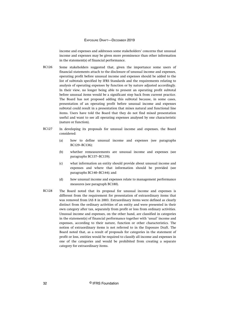income and expenses and addresses some stakeholders' concerns that unusual income and expenses may be given more prominence than other information in the statement(s) of financial performance.

- Some stakeholders suggested that, given the importance some users of financial statements attach to the disclosure of unusual income and expenses, operating profit before unusual income and expenses should be added to the list of subtotals specified by IFRS Standards and the requirements relating to analysis of operating expenses by function or by nature adjusted accordingly. In their view, no longer being able to present an operating profit subtotal before unusual items would be a significant step back from current practice. The Board has not proposed adding this subtotal because, in some cases, presentation of an operating profit before unusual income and expenses subtotal could result in a presentation that mixes natural and functional line items. Users have told the Board that they do not find mixed presentation useful and want to see all operating expenses analysed by one characteristic (nature or function). BC126
- In developing its proposals for unusual income and expenses, the Board considered: BC127
	- (a) how to define unusual income and expenses (see paragraphs BC129–BC136);
	- (b) whether remeasurements are unusual income and expenses (see paragraphs BC137–BC139);
	- (c) what information an entity should provide about unusual income and expenses and where that information should be provided (see paragraphs BC140–BC144); and
	- (d) how unusual income and expenses relate to management performance measures (see paragraph BC180).
- The Board noted that its proposal for unusual income and expenses is different from the requirement for presentation of extraordinary items that was removed from IAS 8 in 2003. Extraordinary items were defined as clearly distinct from the ordinary activities of an entity and were presented in their own category after tax, separately from profit or loss from ordinary activities. Unusual income and expenses, on the other hand, are classified in categories in the statement(s) of financial performance together with 'usual' income and expenses, according to their nature, function or other characteristics. The notion of extraordinary items is not referred to in the Exposure Draft. The Board noted that, as a result of proposals for categories in the statement of profit or loss, entities would be required to classify all income and expenses in one of the categories and would be prohibited from creating a separate category for extraordinary items. BC128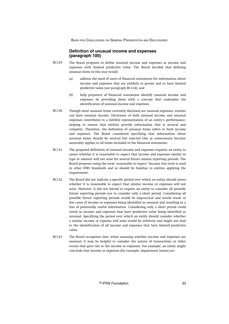# **Definition of unusual income and expenses (paragraph 100)**

- <span id="page-33-0"></span>The Board proposes to define unusual income and expenses as income and expenses with limited predictive value. The Board decided that defining unusual items in this way would: BC129
	- (a) address the need of users of financial statements for information about income and expenses that are unlikely to persist and so have limited predictive value (see paragraph BC124); and
	- (b) help preparers of financial statements identify unusual income and expenses by providing them with a concept that underpins the identification of unusual income and expenses.
- Though most unusual items currently disclosed are unusual expenses, entities can have unusual income. Disclosure of both unusual income and unusual expenses contributes to a faithful representation of an entity's performance, helping to ensure that entities provide information that is neutral and complete. Therefore, the definition of unusual items refers to both income and expenses. The Board considered specifying that information about unusual items should be neutral but rejected this as unnecessary because neutrality applies to all items included in the financial statements. BC130
- The proposed definition of unusual income and expenses requires an entity to assess whether it is reasonable to expect that income and expenses similar in type or amount will not arise for several future annual reporting periods. The Board proposes using the term 'reasonable to expect' because this term is used in other IFRS Standards and so should be familiar to entities applying the requirement. BC131
- The Board did not indicate a specific period over which an entity should assess whether it is reasonable to expect that similar income or expenses will not arise. However, it did not intend to require an entity to consider all possible future reporting periods nor to consider only a short period. Considering all possible future reporting periods would be impractical and would result in few cases of income or expenses being identified as unusual and resulting in a loss of potentially useful information. Considering only a short period could result in income and expenses that have predictive value being identified as unusual. Specifying the period over which an entity should consider whether a similar income or expense will arise would be arbitrary and might not lead to the identification of all income and expenses that have limited predictive value. BC132
- The Board recognises that, when assessing whether income and expenses are unusual, it may be helpful to consider the nature of transactions or other events that gave rise to the income or expenses. For example, an entity might conclude that income or expenses (for example, impairment losses) are: BC133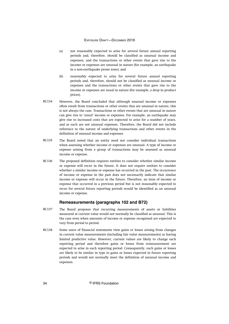- <span id="page-34-0"></span>(a) not reasonably expected to arise for several future annual reporting periods and, therefore, should be classified as unusual income and expenses, and the transactions or other events that gave rise to the income or expenses are unusual in nature (for example, an earthquake in a non-earthquake prone zone); and
- (b) reasonably expected to arise for several future annual reporting periods and, therefore, should not be classified as unusual income or expenses and the transactions or other events that gave rise to the income or expenses are usual in nature (for example, a drop in product prices).
- However, the Board concluded that although unusual income or expenses often result from transactions or other events that are unusual in nature, this is not always the case. Transactions or other events that are unusual in nature can give rise to 'usual' income or expenses. For example, an earthquake may give rise to increased costs that are expected to arise for a number of years, and as such are not unusual expenses. Therefore, the Board did not include reference to the nature of underlying transactions and other events in the definition of unusual income and expenses. BC134
- The Board noted that an entity need not consider individual transactions when assessing whether income or expenses are unusual. A type of income or expense arising from a group of transactions may be assessed as unusual income or expense. BC135
- The proposed definition requires entities to consider whether similar income or expense will recur in the future. It does not require entities to consider whether a similar income or expense has occurred in the past. The occurrence of income or expense in the past does not necessarily indicate that similar income or expense will occur in the future. Therefore, an item of income or expense that occurred in a previous period but is not reasonably expected to recur for several future reporting periods would be identified as an unusual income or expense. BC136

# **Remeasurements (paragraphs 102 and B72)**

- The Board proposes that recurring measurements of assets or liabilities measured at current value would not normally be classified as unusual. This is the case even when amounts of income or expense recognised are expected to vary from period to period. BC137
- Some users of financial statements view gains or losses arising from changes in current value measurements (including fair value measurements) as having limited predictive value. However, current values are likely to change each reporting period and therefore gains or losses from remeasurement are expected to arise in each reporting period. Consequently, such gains or losses are likely to be similar in type to gains or losses expected in future reporting periods and would not normally meet the definition of unusual income and expenses. BC138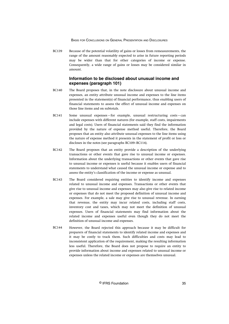<span id="page-35-0"></span>Because of the potential volatility of gains or losses from remeasurements, the range of the amount reasonably expected to arise in future reporting periods may be wider than that for other categories of income or expense. Consequently, a wide range of gains or losses may be considered similar in amount. BC139

# **Information to be disclosed about unusual income and expenses (paragraph 101)**

- The Board proposes that, in the note disclosure about unusual income and expenses, an entity attribute unusual income and expenses to the line items presented in the statement(s) of financial performance, thus enabling users of financial statements to assess the effect of unusual income and expenses on those line items and on subtotals. BC140
- Some unusual expenses—for example, unusual restructuring costs—can include expenses with different natures (for example, staff costs, impairments and legal costs). Users of financial statements said they find the information provided by the nature of expense method useful. Therefore, the Board proposes that an entity also attribute unusual expenses to the line items using the nature of expense method it presents in the statement of profit or loss or discloses in the notes (see paragraphs BC109–BC114). BC141
- The Board proposes that an entity provide a description of the underlying transactions or other events that gave rise to unusual income or expenses. Information about the underlying transactions or other events that gave rise to unusual income or expenses is useful because it enables users of financial statements to understand what caused the unusual income or expense and to assess the entity's classification of the income or expense as unusual. BC142
- The Board considered requiring entities to identify income and expenses related to unusual income and expenses. Transactions or other events that give rise to unusual income and expenses may also give rise to related income or expenses that do not meet the proposed definition of unusual income and expenses. For example, a sale may give rise to unusual revenue. In earning that revenue, the entity may incur related costs, including staff costs, inventory cost and taxes, which may not meet the definition of unusual expenses. Users of financial statements may find information about the related income and expenses useful even though they do not meet the definition of unusual income and expenses. BC143
- However, the Board rejected this approach because it may be difficult for preparers of financial statements to identify related income and expenses and it may be costly to track them. Such difficulties and costs may lead to inconsistent application of the requirement, making the resulting information less useful. Therefore, the Board does not propose to require an entity to provide information about income and expenses related to unusual income or expenses unless the related income or expenses are themselves unusual. BC144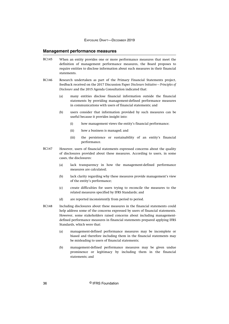### **Management performance measures**

- When an entity provides one or more performance measures that meet the definition of management performance measures, the Board proposes to require entities to disclose information about such measures in their financial statements. BC145
- Research undertaken as part of the Primary Financial Statements project, feedback received on the 2017 Discussion Paper *Disclosure Initiative—Principles of Disclosure* and the 2015 Agenda Consultation indicated that: BC146
	- (a) many entities disclose financial information outside the financial statements by providing management-defined performance measures in communications with users of financial statements; and
	- (b) users consider that information provided by such measures can be useful because it provides insight into:
		- (i) how management views the entity's financial performance;
		- (ii) how a business is managed; and
		- (iii) the persistence or sustainability of an entity's financial performance.
- However, users of financial statements expressed concerns about the quality of disclosures provided about these measures. According to users, in some cases, the disclosures: BC147
	- (a) lack transparency in how the management-defined performance measures are calculated;
	- (b) lack clarity regarding why these measures provide management's view of the entity's performance;
	- (c) create difficulties for users trying to reconcile the measures to the related measures specified by IFRS Standards; and
	- (d) are reported inconsistently from period to period.
- Including disclosures about these measures in the financial statements could help address some of the concerns expressed by users of financial statements. However, some stakeholders raised concerns about including managementdefined performance measures in financial statements prepared applying IFRS Standards, which were that: BC148
	- (a) management-defined performance measures may be incomplete or biased and therefore including them in the financial statements may be misleading to users of financial statements;
	- (b) management-defined performance measures may be given undue prominence or legitimacy by including them in the financial statements; and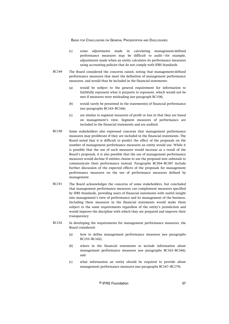- (c) some adjustments made in calculating management-defined performance measures may be difficult to audit—for example, adjustments made when an entity calculates its performance measures using accounting policies that do not comply with IFRS Standards.
- The Board considered the concerns raised, noting that management-defined performance measures that meet the definition of management performance measures, and would thus be included in the financial statements: BC149
	- (a) would be subject to the general requirement for information to faithfully represent what it purports to represent, which would not be met if measures were misleading (see paragraph BC158).
	- (b) would rarely be presented in the statement(s) of financial performance (see paragraphs BC163–BC166).
	- (c) are similar to segment measures of profit or loss in that they are based on management's view. Segment measures of performance are included in the financial statements and are audited.
- Some stakeholders also expressed concerns that management performance measures may proliferate if they are included in the financial statements. The Board noted that it is difficult to predict the effect of the proposals on the number of management performance measures an entity would use. While it is possible that the use of such measures would increase as a result of the Board's proposals, it is also possible that the use of management performance measures would decline if entities choose to use the proposed new subtotals to communicate their performance instead. Paragraphs BC304–BC307 include further discussion of the expected effects of the proposals for management performance measures on the use of performance measures defined by management. BC150
- The Board acknowledges the concerns of some stakeholders, but concluded that management performance measures can complement measures specified by IFRS Standards, providing users of financial statements with useful insight into management's view of performance and its management of the business. Including these measures in the financial statements would make them subject to the same requirements regardless of the entity's jurisdiction and would improve the discipline with which they are prepared and improve their transparency. BC151
- In developing the requirements for management performance measures, the Board considered: BC152
	- (a) how to define management performance measures (see paragraphs BC153–BC162);
	- (b) where in the financial statements to include information about management performance measures (see paragraphs BC163–BC166); and
	- (c) what information an entity should be required to provide about management performance measures (see paragraphs BC167–BC179).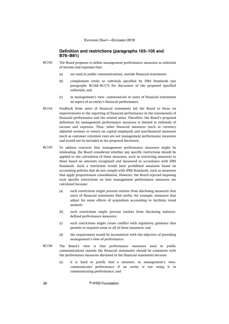# **Definition and restrictions (paragraphs 103–105 and B76–B81)**

- The Board proposes to define management performance measures as subtotals of income and expenses that: BC153
	- (a) are used in public communications, outside financial statements;
	- (b) complement totals or subtotals specified by IFRS Standards (see paragraphs BC168–BC173 for discussion of the proposed specified subtotals); and
	- (c) in management's view, communicate to users of financial statements an aspect of an entity's financial performance.
- Feedback from users of financial statements led the Board to focus on improvements to the reporting of financial performance in the statement(s) of financial performance and the related notes. Therefore, the Board's proposed definition for management performance measures is limited to subtotals of income and expenses. Thus, other financial measures (such as currency adjusted revenue or return on capital employed) and non-financial measures (such as customer retention rate) are not management performance measures and would not be included in the proposed disclosure. BC154
- To address concerns that management performance measures might be misleading, the Board considered whether any specific restrictions should be applied to the calculation of these measures, such as restricting measures to those based on amounts recognised and measured in accordance with IFRS Standards. Such a restriction would have prohibited measures based on accounting policies that do not comply with IFRS Standards, such as measures that apply proportionate consolidation. However, the Board rejected imposing such specific restrictions on how management performance measures are calculated because: BC155
	- (a) such restrictions might prevent entities from disclosing measures that users of financial statements find useful, for example, measures that adjust for some effects of acquisition accounting to facilitate trend analysis;
	- (b) such restrictions might prevent entities from disclosing industrydefined performance measures;
	- (c) such restrictions might create conflict with regulatory guidance that permits or requires some or all of these measures; and
	- (d) the requirement would be inconsistent with the objective of providing management's view of performance.
- The Board's view is that performance measures used in public communications outside the financial statements should be consistent with the performance measures disclosed in the financial statements because: BC156
	- (a) it is hard to justify that a measure, in management's view, communicates performance if an entity is not using it in communicating performance; and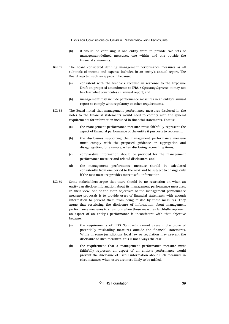- (b) it would be confusing if one entity were to provide two sets of management-defined measures, one within and one outside the financial statements.
- The Board considered defining management performance measures as all subtotals of income and expense included in an entity's annual report. The Board rejected such an approach because: BC157
	- (a) consistent with the feedback received in response to the Exposure Draft on proposed amendments to IFRS 8 *Operating Segments*, it may not be clear what constitutes an annual report; and
	- (b) management may include performance measures in an entity's annual report to comply with regulatory or other requirements.
- The Board noted that management performance measures disclosed in the notes to the financial statements would need to comply with the general requirements for information included in financial statements. That is: BC158
	- (a) the management performance measure must faithfully represent the aspect of financial performance of the entity it purports to represent;
	- (b) the disclosures supporting the management performance measure must comply with the proposed guidance on aggregation and disaggregation, for example, when disclosing reconciling items;
	- (c) comparative information should be provided for the management performance measure and related disclosures; and
	- (d) the management performance measure should be calculated consistently from one period to the next and be subject to change only if the new measure provides more useful information.
- Some stakeholders argue that there should be no restriction on when an entity can disclose information about its management performance measures. In their view, one of the main objectives of the management performance measure proposals is to provide users of financial statements with enough information to prevent them from being misled by these measures. They argue that restricting the disclosure of information about management performance measures to situations when those measures faithfully represent an aspect of an entity's performance is inconsistent with that objective because: BC159
	- (a) the requirements of IFRS Standards cannot prevent disclosure of potentially misleading measures outside the financial statements. While in some jurisdictions local law or regulation may prevent the disclosure of such measures, this is not always the case.
	- (b) the requirement that a management performance measure must faithfully represent an aspect of an entity's performance would prevent the disclosure of useful information about such measures in circumstances when users are most likely to be misled.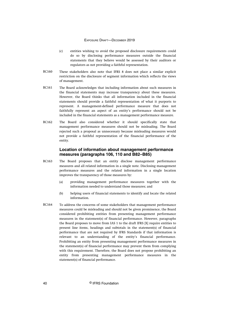- (c) entities wishing to avoid the proposed disclosure requirements could do so by disclosing performance measures outside the financial statements that they believe would be assessed by their auditors or regulators as not providing a faithful representation.
- These stakeholders also note that IFRS 8 does not place a similar explicit restriction on the disclosure of segment information which reflects the views of management. BC160
- The Board acknowledges that including information about such measures in the financial statements may increase transparency about these measures. However, the Board thinks that all information included in the financial statements should provide a faithful representation of what it purports to represent. A management-defined performance measure that does not faithfully represent an aspect of an entity's performance should not be included in the financial statements as a management performance measure. BC161
- The Board also considered whether it should specifically state that management performance measures should not be misleading. The Board rejected such a proposal as unnecessary because misleading measures would not provide a faithful representation of the financial performance of the entity. BC162

# **Location of information about management performance measures (paragraphs 106, 110 and B82–B85)**

- The Board proposes that an entity disclose management performance measures and all related information in a single note. Disclosing management performance measures and the related information in a single location improves the transparency of those measures by: BC163
	- (a) providing management performance measures together with the information needed to understand those measures; and
	- (b) helping users of financial statements to identify and locate the related information.
- To address the concerns of some stakeholders that management performance measures could be misleading and should not be given prominence, the Board considered prohibiting entities from presenting management performance measures in the statement(s) of financial performance. However, paragraphs the Board proposes to move from IAS 1 to the draft IFRS [X] require entities to present line items, headings and subtotals in the statement(s) of financial performance that are not required by IFRS Standards if that information is relevant to an understanding of the entity's financial performance. Prohibiting an entity from presenting management performance measures in the statement(s) of financial performance may prevent them from complying with this requirement. Therefore, the Board does not propose prohibiting an entity from presenting management performance measures in the statement(s) of financial performance. BC164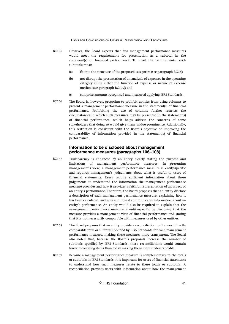- However, the Board expects that few management performance measures would meet the requirements for presentation as a subtotal in the statement(s) of financial performance. To meet the requirements, such subtotals must: BC165
	- (a) fit into the structure of the proposed categories (see paragraph BC28);
	- (b) not disrupt the presentation of an analysis of expenses in the operating category using either the function of expense or nature of expense method (see paragraph BC109); and
	- (c) comprise amounts recognised and measured applying IFRS Standards.
- The Board is, however, proposing to prohibit entities from using columns to present a management performance measure in the statement(s) of financial performance. Prohibiting the use of columns further restricts the circumstances in which such measures may be presented in the statement(s) of financial performance, which helps address the concerns of some stakeholders that doing so would give them undue prominence. Additionally, this restriction is consistent with the Board's objective of improving the comparability of information provided in the statement(s) of financial performance. BC166

# **Information to be disclosed about management performance measures (paragraphs 106–108)**

- Transparency is enhanced by an entity clearly stating the purpose and limitations of management performance measures. In presenting management's view, a management performance measure is entity-specific and requires management's judgements about what is useful to users of financial statements. Users require sufficient information about those judgements to understand the information the management performance measure provides and how it provides a faithful representation of an aspect of an entity's performance. Therefore, the Board proposes that an entity disclose a description of each management performance measure, explaining how it has been calculated, and why and how it communicates information about an entity's performance. An entity would also be required to explain that the management performance measure is entity-specific by disclosing that the measure provides a management view of financial performance and stating that it is not necessarily comparable with measures used by other entities. BC167
- The Board proposes that an entity provide a reconciliation to the most directly comparable total or subtotal specified by IFRS Standards for each management performance measure, making these measures more transparent. The Board also noted that, because the Board's proposals increase the number of subtotals specified by IFRS Standards, these reconciliations would contain fewer reconciling items than today making them more understandable. BC168
- Because a management performance measure is complementary to the totals or subtotals in IFRS Standards, it is important for users of financial statements to understand how such measures relate to these totals or subtotals. A reconciliation provides users with information about how the management BC169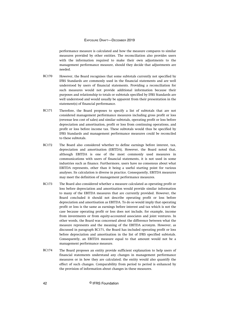performance measure is calculated and how the measure compares to similar measures provided by other entities. The reconciliation also provides users with the information required to make their own adjustments to the management performance measure, should they decide that adjustments are needed.

- However, the Board recognises that some subtotals currently not specified by IFRS Standards are commonly used in the financial statements and are well understood by users of financial statements. Providing a reconciliation for such measures would not provide additional information because their purposes and relationship to totals or subtotals specified by IFRS Standards are well understood and would usually be apparent from their presentation in the statement(s) of financial performance. BC170
- Therefore, the Board proposes to specify a list of subtotals that are not considered management performance measures including gross profit or loss (revenue less cost of sales) and similar subtotals, operating profit or loss before depreciation and amortisation, profit or loss from continuing operations, and profit or loss before income tax. These subtotals would thus be specified by IFRS Standards and management performance measures could be reconciled to these subtotals. BC171
- The Board also considered whether to define earnings before interest, tax, depreciation and amortisation (EBITDA). However, the Board noted that, although EBITDA is one of the most commonly used measures in communications with users of financial statements, it is not used in some industries such as finance. Furthermore, users have no consensus about what EBITDA represents, other than it being a useful starting point for various analyses. Its calculation is diverse in practice. Consequently, EBITDA measures may meet the definition of management performance measures. BC172
- The Board also considered whether a measure calculated as operating profit or loss before depreciation and amortisation would provide similar information to many of the EBITDA measures that are currently provided. However, the Board concluded it should not describe operating profit or loss before depreciation and amortisation as EBITDA. To do so would imply that operating profit or loss is the same as earnings before interest and tax which is not the case because operating profit or loss does not include, for example, income from investments or from equity-accounted associates and joint ventures. In other words, the Board was concerned about the difference between what the measure represents and the meaning of the EBITDA acronym. However, as discussed in paragraph BC171, the Board has included operating profit or loss before depreciation and amortisation in the list of IFRS specified subtotals. Consequently, an EBITDA measure equal to that amount would not be a management performance measure. BC173
- The Board proposes an entity provide sufficient explanation to help users of financial statements understand any changes in management performance measures or in how they are calculated; the entity would also quantify the effect of such changes. Comparability from period to period is enhanced by the provision of information about changes in these measures. BC174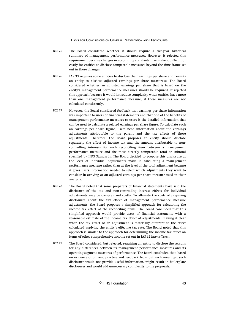- The Board considered whether it should require a five-year historical summary of management performance measures. However, it rejected this requirement because changes in accounting standards may make it difficult or costly for entities to disclose comparable measures beyond the time frame set out in those changes. BC175
- IAS 33 requires some entities to disclose their earnings per share and permits an entity to disclose adjusted earnings per share measure(s). The Board considered whether an adjusted earnings per share that is based on the entity's management performance measures should be required. It rejected this approach because it would introduce complexity when entities have more than one management performance measure, if these measures are not calculated consistently. BC176
- However, the Board considered feedback that earnings per share information was important to users of financial statements and that one of the benefits of management performance measures to users is the detailed information that can be used to calculate a related earnings per share figure. To calculate such an earnings per share figure, users need information about the earnings adjustments attributable to the parent and the tax effects of those adjustments. Therefore, the Board proposes an entity should disclose separately the effect of income tax and the amount attributable to noncontrolling interests for each reconciling item between a management performance measure and the most directly comparable total or subtotal specified by IFRS Standards. The Board decided to propose this disclosure at the level of individual adjustments made in calculating a management performance measure rather than at the level of the total adjustment because it gives users information needed to select which adjustments they want to consider in arriving at an adjusted earnings per share measure used in their analysis. BC177
- The Board noted that some preparers of financial statements have said the disclosure of the tax and non-controlling interest effects for individual adjustments may be complex and costly. To alleviate the costs of preparing disclosures about the tax effect of management performance measure adjustments, the Board proposes a simplified approach for calculating the income tax effect of the reconciling items. The Board concluded that this simplified approach would provide users of financial statements with a reasonable estimate of the income tax effect of adjustments, making it clear when the tax effect of an adjustment is materially different to the effect calculated applying the entity's effective tax rate. The Board noted that this approach is similar to the approach for determining the income tax effect on items of other comprehensive income set out in IAS 12 *Income Taxes*. BC178
- The Board considered, but rejected, requiring an entity to disclose the reasons for any differences between its management performance measures and its operating segment measures of performance. The Board concluded that, based on evidence of current practice and feedback from outreach meetings, such disclosure would not provide useful information, might result in boilerplate disclosures and would add unnecessary complexity to the proposals. BC179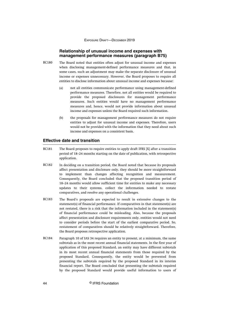# **Relationship of unusual income and expenses with management performance measures (paragraph B75)**

- The Board noted that entities often adjust for unusual income and expenses when disclosing management-defined performance measures and that, in some cases, such an adjustment may make the separate disclosure of unusual income or expenses unnecessary. However, the Board proposes to require all entities to disclose information about unusual income and expenses because: BC180
	- (a) not all entities communicate performance using management-defined performance measures. Therefore, not all entities would be required to provide the proposed disclosures for management performance measures. Such entities would have no management performance measures and, hence, would not provide information about unusual income and expenses unless the Board required such information.
	- (b) the proposals for management performance measures do not require entities to adjust for unusual income and expenses. Therefore, users would not be provided with the information that they need about such income and expenses on a consistent basis.

# **Effective date and transition**

- The Board proposes to require entities to apply draft IFRS [X] after a transition period of 18–24 months starting on the date of publication, with retrospective application. BC181
- In deciding on a transition period, the Board noted that because its proposals affect presentation and disclosure only, they should be more straightforward to implement than changes affecting recognition and measurement. Consequently, the Board concluded that the proposed transition period of 18–24 months would allow sufficient time for entities to make any necessary updates to their systems, collect the information needed to restate comparatives, and resolve any operational challenges. BC182
- The Board's proposals are expected to result in extensive changes to the statement(s) of financial performance. If comparatives in that statement(s) are not restated, there is a risk that the information included in the statement(s) of financial performance could be misleading. Also, because the proposals affect presentation and disclosure requirements only, entities would not need to consider periods before the start of the earliest comparative period. So, restatement of comparatives should be relatively straightforward. Therefore, the Board proposes retrospective application. BC183
- Paragraph 10 of IAS 34 requires an entity to present, at a minimum, the same subtotals as in the most recent annual financial statements. In the first year of application of this proposed Standard, an entity may have different subtotals in its most recent annual financial statements from those required by the proposed Standard. Consequently, the entity would be prevented from presenting the subtotals required by the proposed Standard in its interim financial report. The Board concluded that presenting the subtotals required by the proposed Standard would provide useful information to users of BC184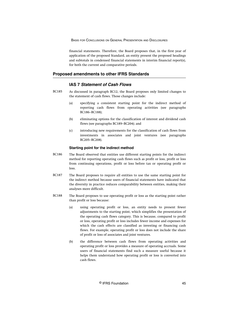financial statements. Therefore, the Board proposes that, in the first year of application of the proposed Standard, an entity present the proposed headings and subtotals in condensed financial statements in interim financial report(s), for both the current and comparative periods.

## **Proposed amendments to other IFRS Standards**

# **IAS 7 Statement of Cash Flows**

- As discussed in paragraph BC12, the Board proposes only limited changes to the statement of cash flows. Those changes include: BC185
	- (a) specifying a consistent starting point for the indirect method of reporting cash flows from operating activities (see paragraphs BC186–BC188);
	- (b) eliminating options for the classification of interest and dividend cash flows (see paragraphs BC189–BC204); and
	- (c) introducing new requirements for the classification of cash flows from investments in associates and joint ventures (see paragraphs BC205–BC208).

#### **Starting point for the indirect method**

- The Board observed that entities use different starting points for the indirect method for reporting operating cash flows such as profit or loss, profit or loss from continuing operations, profit or loss before tax or operating profit or loss. BC186
- The Board proposes to require all entities to use the same starting point for the indirect method because users of financial statements have indicated that the diversity in practice reduces comparability between entities, making their analyses more difficult. BC187
- The Board proposes to use operating profit or loss as the starting point rather than profit or loss because: BC188
	- (a) using operating profit or loss, an entity needs to present fewer adjustments to the starting point, which simplifies the presentation of the operating cash flows category. This is because, compared to profit or loss, operating profit or loss includes fewer income and expenses for which the cash effects are classified as investing or financing cash flows. For example, operating profit or loss does not include the share of profit or loss of associates and joint ventures.
	- (b) the difference between cash flows from operating activities and operating profit or loss provides a measure of operating accruals. Some users of financial statements find such a measure useful because it helps them understand how operating profit or loss is converted into cash flows.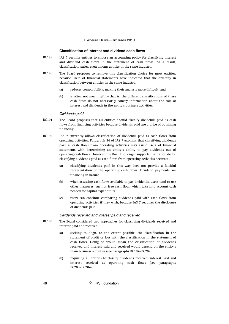#### **Classification of interest and dividend cash flows**

- IAS 7 permits entities to choose an accounting policy for classifying interest and dividend cash flows in the statement of cash flows. As a result, classification varies, even among entities in the same industry. BC189
- The Board proposes to remove this classification choice for most entities, because users of financial statements have indicated that the diversity in classification between entities in the same industry: BC190
	- (a) reduces comparability, making their analysis more difficult; and
	- (b) is often not meaningful—that is, the different classifications of these cash flows do not necessarily convey information about the role of interest and dividends in the entity's business activities.

#### Dividends paid

- The Board proposes that all entities should classify dividends paid as cash flows from financing activities because dividends paid are a price of obtaining financing. BC191
- IAS 7 currently allows classification of dividends paid as cash flows from operating activities. Paragraph 34 of IAS 7 explains that classifying dividends paid as cash flows from operating activities may assist users of financial statements with determining an entity's ability to pay dividends out of operating cash flows. However, the Board no longer supports that rationale for classifying dividends paid as cash flows from operating activities because: BC192
	- (a) classifying dividends paid in this way does not provide a faithful representation of the operating cash flows. Dividend payments are financing in nature.
	- (b) when assessing cash flows available to pay dividends, users tend to use other measures, such as free cash flow, which take into account cash needed for capital expenditure.
	- (c) users can continue comparing dividends paid with cash flows from operating activities if they wish, because IAS 7 requires the disclosure of dividends paid.

#### Dividends received and interest paid and received

- The Board considered two approaches for classifying dividends received and interest paid and received: BC193
	- (a) seeking to align, to the extent possible, the classification in the statement of profit or loss with the classification in the statement of cash flows. Doing so would mean the classification of dividends received and interest paid and received would depend on the entity's main business activities (see paragraphs BC194–BC202).
	- (b) requiring all entities to classify dividends received, interest paid and interest received as operating cash flows (see paragraphs BC203–BC204).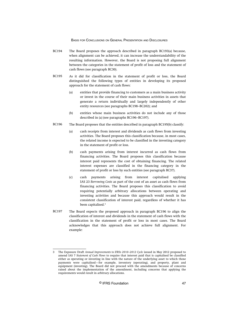- The Board proposes the approach described in paragraph BC193(a) because, when alignment can be achieved, it can increase the understandability of the resulting information. However, the Board is not proposing full alignment between the categories in the statement of profit of loss and the statement of cash flows (see paragraph BC30). BC194
- As it did for classification in the statement of profit or loss, the Board distinguished the following types of entities in developing its proposed approach for the statement of cash flows: BC195
	- (a) entities that provide financing to customers as a main business activity or invest in the course of their main business activities in assets that generate a return individually and largely independently of other entity resources (see paragraphs BC198–BC202); and
	- (b) entities whose main business activities do not include any of those described in (a) (see paragraphs BC196–BC197).
- The Board proposes that the entities described in paragraph BC195(b) classify: BC196
	- (a) cash receipts from interest and dividends as cash flows from investing activities. The Board proposes this classification because, in most cases, the related income is expected to be classified in the investing category in the statement of profit or loss.
	- (b) cash payments arising from interest incurred as cash flows from financing activities. The Board proposes this classification because interest paid represents the cost of obtaining financing. The related interest expenses are classified in the financing category in the statement of profit or loss by such entities (see paragraph BC37).
	- (c) cash payments arising from interest capitalised applying IAS 23 *Borrowing Costs* as part of the cost of an asset as cash flows from financing activities. The Board proposes this classification to avoid requiring potentially arbitrary allocations between operating and investing activities and because this approach would result in the consistent classification of interest paid, regardless of whether it has been capitalised.<sup>3</sup>
- The Board expects the proposed approach in paragraph BC196 to align the classification of interest and dividends in the statement of cash flows with the classification in the statement of profit or loss in most cases. The Board acknowledges that this approach does not achieve full alignment. For example: BC197

<sup>3</sup> The Exposure Draft *Annual Improvements to IFRSs 2010–2012 Cycle* issued in May 2012 proposed to amend IAS 7 *Statement of Cash Flows* to require that interest paid that is capitalised be classified either as operating or investing in line with the nature of the underlying asset to which those payments were capitalised—for example, inventory (operating), and property, plant and equipment (investing). The Board did not proceed with the amendments because of concerns raised about the implementation of the amendment, including concerns that applying the requirements would result in arbitrary allocations.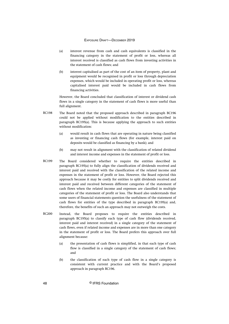- (a) interest revenue from cash and cash equivalents is classified in the financing category in the statement of profit or loss, whereas all interest received is classified as cash flows from investing activities in the statement of cash flows; and
- (b) interest capitalised as part of the cost of an item of property, plant and equipment would be recognised in profit or loss through depreciation expenses, which would be included in operating profit or loss, whereas capitalised interest paid would be included in cash flows from financing activities.

However, the Board concluded that classification of interest or dividend cash flows in a single category in the statement of cash flows is more useful than full alignment.

- The Board noted that the proposed approach described in paragraph BC196 could not be applied without modification to the entities described in paragraph BC195(a). This is because applying the approach to such entities without modification: BC198
	- (a) would result in cash flows that are operating in nature being classified as investing or financing cash flows (for example, interest paid on deposits would be classified as financing by a bank); and
	- (b) may not result in alignment with the classification of related dividend and interest income and expenses in the statement of profit or loss.
- The Board considered whether to require the entities described in paragraph BC195(a) to fully align the classification of dividends received and interest paid and received with the classification of the related income and expenses in the statement of profit or loss. However, the Board rejected this approach because it may be costly for entities to split dividends received and interest paid and received between different categories of the statement of cash flows when the related income and expenses are classified in multiple categories of the statement of profit or loss. The Board also understands that some users of financial statements question the usefulness of the statement of cash flows for entities of the type described in paragraph BC195(a) and, therefore, the benefits of such an approach may not outweigh the costs. BC199
- Instead, the Board proposes to require the entities described in paragraph BC195(a) to classify each type of cash flow (dividends received, interest paid and interest received) in a single category of the statement of cash flows, even if related income and expenses are in more than one category in the statement of profit or loss. The Board prefers this approach over full alignment because: BC200
	- (a) the presentation of cash flows is simplified, in that each type of cash flow is classified in a single category of the statement of cash flows; and
	- (b) the classification of each type of cash flow in a single category is consistent with current practice and with the Board's proposed approach in paragraph BC196.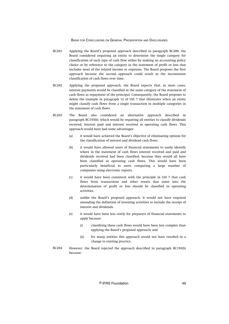- Applying the Board's proposed approach described in paragraph BC200, the Board considered requiring an entity to determine the single category for classification of each type of cash flow either by making an accounting policy choice or by reference to the category in the statement of profit or loss that includes most of the related income or expenses. The Board proposes the first approach because the second approach could result in the inconsistent classification of cash flows over time. BC201
- Applying the proposed approach, the Board expects that, in most cases, interest payments would be classified in the same category of the statement of cash flows as repayment of the principal. Consequently, the Board proposes to delete the example in paragraph 12 of IAS 7 that illustrates when an entity might classify cash flows from a single transaction in multiple categories in the statement of cash flows. BC202
- The Board also considered an alternative approach described in paragraph BC193(b), which would be requiring all entities to classify dividends received, interest paid and interest received as operating cash flows. This approach would have had some advantages: BC203
	- (a) it would have achieved the Board's objective of eliminating options for the classification of interest and dividend cash flows.
	- (b) it would have allowed users of financial statements to easily identify where in the statement of cash flows interest received and paid and dividends received had been classified, because they would all have been classified as operating cash flows. This would have been particularly beneficial to users comparing a large number of companies using electronic reports.
	- (c) it would have been consistent with the principle in IAS 7 that cash flows from transactions and other events that enter into the determination of profit or loss should be classified in operating activities.
	- (d) unlike the Board's proposed approach, it would not have required amending the definition of investing activities to include the receipt of interest and dividends.
	- (e) it would have been less costly for preparers of financial statements to apply because:
		- (i) classifying these cash flows would have been less complex than applying the Board's proposed approach; and
		- (ii) for many entities this approach would not have resulted in a change to existing practice.
- However, the Board rejected the approach described in paragraph BC193(b) because: BC204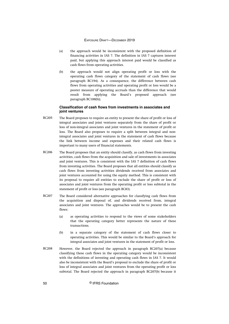- (a) the approach would be inconsistent with the proposed definition of financing activities in IAS 7. The definition in IAS 7 captures interest paid, but applying this approach interest paid would be classified as cash flows from operating activities.
- (b) the approach would not align operating profit or loss with the operating cash flows category of the statement of cash flows (see paragraph BC194). As a consequence, the difference between cash flows from operating activities and operating profit or loss would be a poorer measure of operating accruals than the difference that would result from applying the Board's proposed approach (see paragraph BC188(b)).

## **Classification of cash flows from investments in associates and joint ventures**

- The Board proposes to require an entity to present the share of profit or loss of integral associates and joint ventures separately from the share of profit or loss of non-integral associates and joint ventures in the statement of profit or loss. The Board also proposes to require a split between integral and nonintegral associates and joint ventures in the statement of cash flows because the link between income and expenses and their related cash flows is important to many users of financial statements. BC205
- The Board proposes that an entity should classify, as cash flows from investing activities, cash flows from the acquisition and sale of investments in associates and joint ventures. This is consistent with the IAS 7 definition of cash flows from investing activities. The Board proposes that all entities should classify as cash flows from investing activities dividends received from associates and joint ventures accounted for using the equity method. This is consistent with its proposal to require all entities to exclude the share of profit or loss of associates and joint ventures from the operating profit or loss subtotal in the statement of profit or loss (see paragraph BC83). BC206
- The Board considered alternative approaches for classifying cash flows from the acquisition and disposal of, and dividends received from, integral associates and joint ventures. The approaches would be to present the cash flows: BC207
	- (a) as operating activities to respond to the views of some stakeholders that the operating category better represents the nature of these transactions.
	- (b) in a separate category of the statement of cash flows closer to operating activities. This would be similar to the Board's approach for integral associates and joint ventures in the statement of profit or loss.
- However, the Board rejected the approach in paragraph BC207(a) because classifying these cash flows in the operating category would be inconsistent with the definitions of investing and operating cash flows in IAS 7. It would also be inconsistent with the Board's proposal to exclude the share of profit or loss of integral associates and joint ventures from the operating profit or loss subtotal. The Board rejected the approach in paragraph BC207(b) because it BC208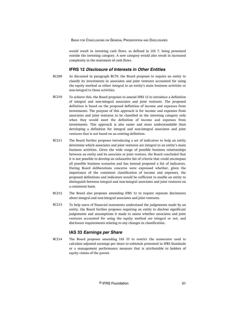would result in investing cash flows, as defined in IAS 7, being presented outside the investing category. A new category would also result in increased complexity in the statement of cash flows.

# **IFRS 12 Disclosure of Interests in Other Entities**

- As discussed in paragraph BC79, the Board proposes to require an entity to classify its investments in associates and joint ventures accounted for using the equity method as either integral to an entity's main business activities or non-integral to those activities. BC209
- To achieve this, the Board proposes to amend IFRS 12 to introduce a definition of integral and non-integral associates and joint ventures. The proposed definition is based on the proposed definition of income and expenses from investments. The purpose of this approach is for income and expenses from associates and joint ventures to be classified in the investing category only when they would meet the definition of income and expenses from investments. This approach is also easier and more understandable than developing a definition for integral and non-integral associates and joint ventures that is not based on an existing definition. BC210
- The Board further proposes introducing a set of indicators to help an entity determine which associates and joint ventures are integral to an entity's main business activities. Given the wide range of possible business relationships between an entity and its associate or joint venture, the Board concluded that it is not possible to develop an exhaustive list of criteria that could encompass all possible business scenarios and has instead proposed a list of indicators. During Board deliberations concerns were expressed whether, given the importance of the consistent classification of income and expenses, the proposed definitions and indicators would be sufficient to enable an entity to distinguish between integral and non-integral associates and joint ventures on a consistent basis. BC211
- The Board also proposes amending IFRS 12 to require separate disclosures about integral and non-integral associates and joint ventures.  $R$  $C$ 212
- To help users of financial statements understand the judgements made by an entity, the Board further proposes requiring an entity to disclose significant judgements and assumptions it made to assess whether associates and joint ventures accounted for using the equity method are integral or not, and disclosure requirements relating to any changes in classification. BC213

# **IAS 33 Earnings per Share**

The Board proposes amending IAS 33 to restrict the numerator used to calculate adjusted earnings per share to subtotals presented in IFRS Standards or a management performance measure that is attributable to holders of equity claims of the parent. BC214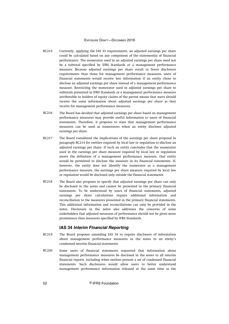- Currently, applying the IAS 33 requirements, an adjusted earnings per share could be calculated based on any component of the statement(s) of financial performance. The numerator used in an adjusted earnings per share need not be a subtotal specified by IFRS Standards or a management performance measure. Because adjusted earnings per share result in fewer disclosure requirements than those for management performance measures, users of financial statements would receive less information if an entity chose to disclose an adjusted earnings per share instead of a management performance measure. Restricting the numerator used in adjusted earnings per share to subtotals presented in IFRS Standards or a management performance measure attributable to holders of equity claims of the parent means that users should receive the same information about adjusted earnings per share as they receive for management performance measures. BC215
- The Board has decided that adjusted earnings per share based on management performance measures may provide useful information to users of financial statements. Therefore, it proposes to state that management performance measures can be used as numerators when an entity discloses adjusted earnings per share. BC216
- The Board considered the implications of the earnings per share proposal in paragraph BC214 for entities required by local law or regulation to disclose an adjusted earnings per share. If such an entity concludes that the numerator used in the earnings per share measure required by local law or regulation meets the definition of a management performance measure, that entity would be permitted to disclose the measure in its financial statements. If, however, the entity does not identify the numerator as a management performance measure, the earnings per share measure required by local law or regulation would be disclosed only outside the financial statements. BC217
- The Board also proposes to specify that adjusted earnings per share can only be disclosed in the notes and cannot be presented in the primary financial statements. To be understood by users of financial statements, adjusted earnings per share calculations require additional information and reconciliation to the measures presented in the primary financial statements. This additional information and reconciliations can only be provided in the notes. Disclosure in the notes also addresses the concerns of some stakeholders that adjusted measures of performance should not be given more prominence than measures specified by IFRS Standards. BC218

## **IAS 34 Interim Financial Reporting**

- The Board proposes amending IAS 34 to require disclosure of information about management performance measures in the notes to an entity's condensed interim financial statements. BC219
- Some users of financial statements requested that information about management performance measures be disclosed in the notes to all interim financial reports, including when entities present a set of condensed financial statements. Such disclosures would allow users to better understand management performance information released at the same time as the BC220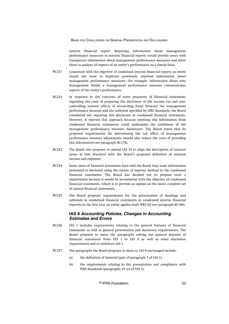interim financial report. Requiring information about management performance measures in interim financial reports would provide users with transparent information about management performance measures and allow them to analyse all aspects of an entity's performance on a timely basis.

- Consistent with the objective of condensed interim financial reports an entity would not need to duplicate previously reported information about management performance measures—for example, information about why management thinks a management performance measure communicates aspects of the entity's performance. BC221
- In response to the concerns of some preparers of financial statements regarding the costs of preparing the disclosure of the income tax and noncontrolling interest effects of reconciling items between the management performance measure and the subtotals specified by IFRS Standards, the Board considered not requiring this disclosure in condensed financial statements. However, it rejected this approach because omitting this information from condensed financial statements could undermine the usefulness of the management performance measure disclosures. The Board noted that its proposed requirements for determining the tax effect of management performance measure adjustments should also reduce the costs of providing this information (see paragraph BC178). BC222
- The Board also proposes to amend IAS 34 to align the description of unusual items in that Standard with the Board's proposed definition of unusual income and expenses. BC223
- Some users of financial statements have told the Board they want information presented or disclosed using the nature of expense method in the condensed financial statements. The Board has decided not to propose such a requirement because it would be inconsistent with the objective of condensed financial statements, which is to provide an update on the latest complete set of annual financial statements. BC224
- The Board proposes requirements for the presentation of headings and subtotals in condensed financial statements in condensed interim financial report(s) in the first year an entity applies draft IFRS [X] (see paragraph BC184). BC225

# **IAS 8 Accounting Policies, Changes in Accounting Estimates and Errors**

- IAS 1 includes requirements relating to the general features of financial statements as well as general presentation and disclosure requirements. The Board proposes to move the paragraphs setting out general features of financial statements from IAS 1 to IAS 8 as well as some disclosure requirements and to withdraw IAS 1. BC226
- The paragraphs the Board proposes to move to IAS 8 unchanged include: BC227
	- (a) the definition of material (part of paragraph 7 of IAS 1);
	- (b) the requirements relating to fair presentation and compliance with IFRS Standards (paragraphs 15–24 of IAS 1);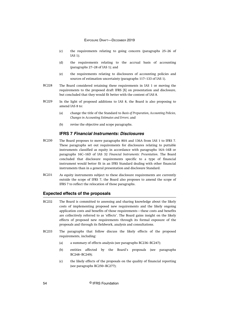- (c) the requirements relating to going concern (paragraphs 25–26 of IAS 1);
- (d) the requirements relating to the accrual basis of accounting (paragraphs 27–28 of IAS 1); and
- (e) the requirements relating to disclosures of accounting policies and sources of estimation uncertainty (paragraphs 117–133 of IAS 1).
- The Board considered retaining these requirements in IAS 1 or moving the requirements to the proposed draft IFRS [X] on presentation and disclosure, but concluded that they would fit better with the content of IAS 8. BC228
- In the light of proposed additions to IAS 8, the Board is also proposing to amend IAS 8 to: BC229
	- (a) change the title of the Standard to *Basis of Preparation, Accounting Policies, Changes in Accounting Estimates and Errors*; and
	- (b) revise the objective and scope paragraphs.

# **IFRS 7 Financial Instruments: Disclosures**

- The Board proposes to move paragraphs 80A and 136A from IAS 1 to IFRS 7. These paragraphs set out requirements for disclosures relating to puttable instruments classified as equity in accordance with paragraphs 16A–16B or paragraphs 16C–16D of IAS 32 *Financial Instruments: Presentation*. The Board concluded that disclosure requirements specific to a type of financial instrument would better fit in an IFRS Standard dealing with other financial instruments than in a general presentation and disclosure Standard. BC230
- As equity instruments subject to these disclosure requirements are currently outside the scope of IFRS 7, the Board also proposes to amend the scope of IFRS 7 to reflect the relocation of those paragraphs. BC231

## **Expected effects of the proposals**

- The Board is committed to assessing and sharing knowledge about the likely costs of implementing proposed new requirements and the likely ongoing application costs and benefits of those requirements—these costs and benefits are collectively referred to as 'effects'. The Board gains insight on the likely effects of proposed new requirements through its formal exposure of the proposals and through its fieldwork, analysis and consultations. BC232
- The paragraphs that follow discuss the likely effects of the proposed requirements, including: BC233
	- (a) a summary of effects analysis (see paragraphs BC236–BC247);
	- (b) entities affected by the Board's proposals (see paragraphs BC248–BC249);
	- (c) the likely effects of the proposals on the quality of financial reporting (see paragraphs BC250–BC277);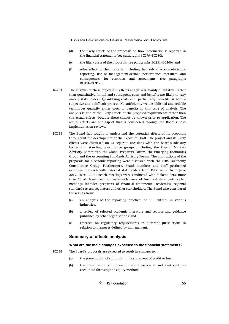- (d) the likely effects of the proposals on how information is reported in the financial statements (see paragraphs BC279–BC280);
- (e) the likely costs of the proposals (see paragraphs BC281–BC300); and
- (f) other effects of the proposals (including the likely effects on electronic reporting, use of management-defined performance measures, and consequences for contracts and agreements) (see paragraphs BC301–BC312).
- The analysis of these effects (the effects analysis) is mainly qualitative, rather than quantitative. Initial and subsequent costs and benefits are likely to vary among stakeholders. Quantifying costs and, particularly, benefits, is both a subjective and a difficult process. No sufficiently well-established and reliable techniques quantify either costs or benefits in this type of analysis. The analysis is also of the likely effects of the proposed requirements rather than the actual effects, because these cannot be known prior to application. The actual effects are one aspect that is considered through the Board's postimplementation reviews. BC234
- The Board has sought to understand the potential effects of its proposals throughout the development of the Exposure Draft. The project and its likely effects were discussed on 23 separate occasions with the Board's advisory bodies and standing consultative groups, including the Capital Markets Advisory Committee, the Global Preparers Forum, the Emerging Economies Group and the Accounting Standards Advisory Forum. The implications of the proposals for electronic reporting were discussed with the IFRS Taxonomy Consultative Group. Furthermore, Board members and staff performed extensive outreach with external stakeholders from February 2016 to June 2019. Over 100 outreach meetings were conducted with stakeholders; more than 50 of those meetings were with users of financial statements. Other meetings included preparers of financial statements, academics, regional standard-setters, regulators and other stakeholders. The Board also considered the results from: BC235
	- (a) an analysis of the reporting practices of 100 entities in various industries;
	- (b) a review of selected academic literature and reports and guidance published by other organisations; and
	- (c) research on regulatory requirements in different jurisdictions in relation to measures defined by management.

## **Summary of effects analysis**

#### **What are the main changes expected to the financial statements?**

The Board's proposals are expected to result in changes to: BC236

- (a) the presentation of subtotals in the statement of profit or loss;
- (b) the presentation of information about associates and joint ventures accounted for using the equity method;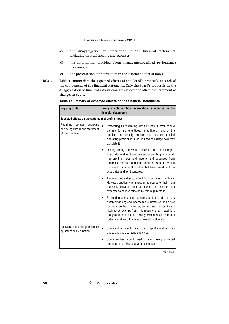- (c) the disaggregation of information in the financial statements, including unusual income and expenses;
- (d) the information provided about management-defined performance measures; and
- (e) the presentation of information in the statement of cash flows.
- Table 1 summarises the expected effects of the Board's proposals on each of the components of the financial statements. Only the Board's proposals on the disaggregation of financial information are expected to affect the statement of changes in equity. BC237

| <b>Key proposals</b>                                                                      | Likely effects on how information is reported in the<br>financial statements                                                                                                                                                                                                                                                                           |  |
|-------------------------------------------------------------------------------------------|--------------------------------------------------------------------------------------------------------------------------------------------------------------------------------------------------------------------------------------------------------------------------------------------------------------------------------------------------------|--|
| Expected effects on the statement of profit or loss                                       |                                                                                                                                                                                                                                                                                                                                                        |  |
| defined<br>Requiring<br>subtotals<br>and categories in the statement<br>of profit or loss | $\bullet$<br>Presenting an 'operating profit or loss' subtotal would<br>be new for some entities. In addition, many of the<br>entities that already present the measure labelled<br>operating profit or loss would need to change how they<br>calculate it.                                                                                            |  |
|                                                                                           | Distinguishing between 'integral' and 'non-integral'<br>associates and joint ventures and presenting an 'operat-<br>ing profit or loss and income and expenses from<br>integral associates and joint ventures' subtotal would<br>be new for almost all entities that have investments in<br>associates and joint ventures.                             |  |
|                                                                                           | The investing category would be new for most entities.<br>However, entities who invest in the course of their main<br>business activities such as banks and insurers are<br>expected to be less affected by this requirement.                                                                                                                          |  |
|                                                                                           | Presenting a financing category and a 'profit or loss<br>before financing and income tax' subtotal would be new<br>for most entities. However, entities such as banks are<br>likely to be exempt from this requirement. In addition,<br>many of the entities that already present such a subtotal<br>today would need to change how they calculate it. |  |
| Analysis of operating expenses<br>by nature or by function                                | Some entities would need to change the method they<br>$\bullet$<br>use to analyse operating expenses.                                                                                                                                                                                                                                                  |  |
|                                                                                           | Some entities would need to stop using a mixed<br>٠<br>approach to analyse operating expenses.                                                                                                                                                                                                                                                         |  |

## **Table 1 Summary of expected effects on the financial statements**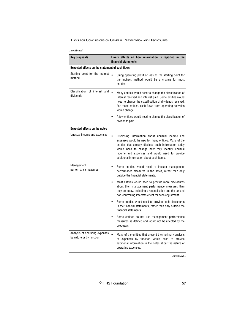*<sup>...</sup>continued*

| Key proposals                                              | Likely effects on how information is reported in the<br>financial statements                                                                                                                                                                                                                                                 |  |
|------------------------------------------------------------|------------------------------------------------------------------------------------------------------------------------------------------------------------------------------------------------------------------------------------------------------------------------------------------------------------------------------|--|
| <b>Expected effects on the statement of cash flows</b>     |                                                                                                                                                                                                                                                                                                                              |  |
| Starting point for the indirect<br>method                  | $\bullet$<br>Using operating profit or loss as the starting point for<br>the indirect method would be a change for most<br>entities.                                                                                                                                                                                         |  |
| Classification of interest and<br>dividends                | $\bullet$<br>Many entities would need to change the classification of<br>interest received and interest paid. Some entities would<br>need to change the classification of dividends received.<br>For those entities, cash flows from operating activities<br>would change.                                                   |  |
|                                                            | A few entities would need to change the classification of<br>dividends paid.                                                                                                                                                                                                                                                 |  |
| <b>Expected effects on the notes</b>                       |                                                                                                                                                                                                                                                                                                                              |  |
| Unusual income and expenses                                | $\bullet$<br>Disclosing information about unusual income and<br>expenses would be new for many entities. Many of the<br>entities that already disclose such information today<br>would need to change how they identify unusual<br>income and expenses and would need to provide<br>additional information about such items. |  |
| Management<br>performance measures                         | Some entities would need to include management<br>$\bullet$<br>performance measures in the notes, rather than only<br>outside the financial statements.                                                                                                                                                                      |  |
|                                                            | Most entities would need to provide more disclosures<br>$\bullet$<br>about their management performance measures than<br>they do today, including a reconciliation and the tax and<br>non-controlling interests effect for each adjustment.                                                                                  |  |
|                                                            | Some entities would need to provide such disclosures<br>in the financial statements, rather than only outside the<br>financial statements.                                                                                                                                                                                   |  |
|                                                            | Some entities do not use management performance<br>measures as defined and would not be affected by the<br>proposals.                                                                                                                                                                                                        |  |
| Analysis of operating expenses<br>by nature or by function | $\bullet$<br>Many of the entities that present their primary analysis<br>of expenses by function would need to provide<br>additional information in the notes about the nature of<br>operating expenses.                                                                                                                     |  |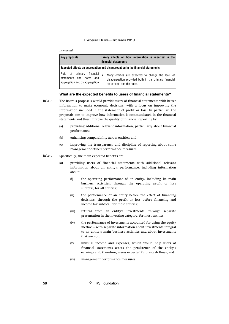#### *...continued*

| Key proposals                                                                                | Likely effects on how information is reported in the<br>financial statements                                                            |
|----------------------------------------------------------------------------------------------|-----------------------------------------------------------------------------------------------------------------------------------------|
|                                                                                              | Expected effects on aggregation and disaggregation in the financial statements                                                          |
| financial  <br>Role of primary<br>statements and notes and<br>aggregation and disaggregation | Many entities are expected to change the level of<br>disaggregation provided both in the primary financial<br>statements and the notes. |

## **What are the expected benefits to users of financial statements?**

- The Board's proposals would provide users of financial statements with better information to make economic decisions, with a focus on improving the information included in the statement of profit or loss. In particular, the proposals aim to improve how information is communicated in the financial statements and thus improve the quality of financial reporting by: BC238
	- (a) providing additional relevant information, particularly about financial performance;
	- (b) enhancing comparability across entities; and
	- (c) improving the transparency and discipline of reporting about some management-defined performance measures.
- Specifically, the main expected benefits are: BC239
	- (a) providing users of financial statements with additional relevant information about an entity's performance, including information about:
		- (i) the operating performance of an entity, including its main business activities, through the operating profit or loss subtotal, for all entities;
		- (ii) the performance of an entity before the effect of financing decisions, through the profit or loss before financing and income tax subtotal, for most entities;
		- (iii) returns from an entity's investments, through separate presentation in the investing category, for most entities;
		- (iv) the performance of investments accounted for using the equity method—with separate information about investments integral to an entity's main business activities and about investments that are not;
		- (v) unusual income and expenses, which would help users of financial statements assess the persistence of the entity's earnings and, therefore, assess expected future cash flows; and
		- (vi) management performance measures.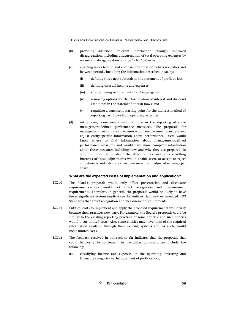- (b) providing additional relevant information through improved disaggregation, including disaggregation of total operating expenses by nature and disaggregation of large 'other' balances.
- (c) enabling users to find and compare information between entities and between periods, including the information described in (a), by:
	- (i) defining three new subtotals in the statement of profit or loss;
	- (ii) defining unusual income and expenses;
	- (iii) strengthening requirements for disaggregation;
	- (iv) removing options for the classification of interest and dividend cash flows in the statement of cash flows; and
	- (v) requiring a consistent starting point for the indirect method of reporting cash flows from operating activities.
- (d) introducing transparency and discipline in the reporting of some management-defined performance measures. The proposals for management performance measures would enable users to analyse and adjust entity-specific information about performance. Users would know where to find information about management-defined performance measures and would have more complete information about these measures including how and why they are prepared. In addition, information about the effect on tax and non-controlling interests of these adjustments would enable users to accept or reject adjustments and calculate their own measure of adjusted earnings per share.

#### **What are the expected costs of implementation and application?**

- The Board's proposals would only affect presentation and disclosure requirements—they would not affect recognition and measurement requirements. Therefore, in general, the proposals would be likely to have fewer significant system implications for entities than new or amended IFRS Standards that affect recognition and measurement requirements. BC240
- Entities' costs to implement and apply the proposed requirements would vary because their practices now vary. For example, the Board's proposals could be similar to the existing reporting practices of some entities, and such entities would incur limited costs. Also, some entities may have most of the required information available through their existing systems and, as such, would incur limited costs. BC241
- The feedback received in outreach so far indicates that the proposals that could be costly to implement in particular circumstances include the following: BC242
	- (a) classifying income and expenses in the operating, investing and financing categories in the statement of profit or loss;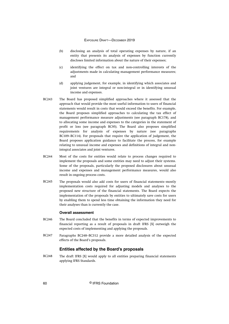- (b) disclosing an analysis of total operating expenses by nature, if an entity that presents its analysis of expenses by function currently discloses limited information about the nature of their expenses;
- (c) identifying the effect on tax and non-controlling interests of the adjustments made in calculating management performance measures; and
- (d) applying judgement, for example, in identifying which associates and joint ventures are integral or non-integral or in identifying unusual income and expenses.
- The Board has proposed simplified approaches where it assessed that the approach that would provide the most useful information to users of financial statements would result in costs that would exceed the benefits. For example, the Board proposes simplified approaches to calculating the tax effect of management performance measure adjustments (see paragraph BC178), and to allocating some income and expenses to the categories in the statement of profit or loss (see paragraph BC95). The Board also proposes simplified requirements for analysis of expenses by nature (see paragraphs BC109–BC114). For proposals that require the application of judgement, the Board proposes application guidance to facilitate the process, for example relating to unusual income and expenses and definitions of integral and nonintegral associates and joint ventures. BC243
- Most of the costs for entities would relate to process changes required to implement the proposals and some entities may need to adjust their systems. Some of the proposals, particularly the proposed disclosures about unusual income and expenses and management performance measures, would also result in ongoing process costs. BC244
- The proposals would also add costs for users of financial statements–mostly implementation costs required for adjusting models and analyses to the proposed new structure of the financial statements. The Board expects the implementation of the proposals by entities to ultimately save costs for users by enabling them to spend less time obtaining the information they need for their analyses than is currently the case. BC245

## **Overall assessment**

- The Board concluded that the benefits in terms of expected improvements to financial reporting as a result of proposals in draft IFRS [X] outweigh the expected costs of implementing and applying the proposals. BC246
- Paragraphs BC248–BC312 provide a more detailed analysis of the expected effects of the Board's proposals. BC247

## **Entities affected by the Board's proposals**

The draft IFRS [X] would apply to all entities preparing financial statements applying IFRS Standards. BC248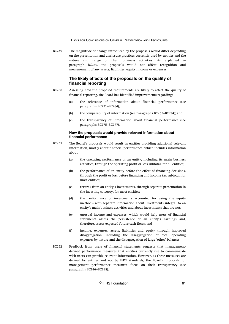The magnitude of change introduced by the proposals would differ depending on the presentation and disclosure practices currently used by entities and the nature and range of their business activities. As explained in paragraph BC240, the proposals would not affect recognition and measurement of any assets, liabilities, equity, income or expenses. BC249

# **The likely effects of the proposals on the quality of financial reporting**

- Assessing how the proposed requirements are likely to affect the quality of financial reporting, the Board has identified improvements regarding: BC250
	- (a) the relevance of information about financial performance (see paragraphs BC251–BC264);
	- (b) the comparability of information (see paragraphs BC265–BC274); and
	- (c) the transparency of information about financial performance (see paragraphs BC275–BC277).

## **How the proposals would provide relevant information about financial performance**

- The Board's proposals would result in entities providing additional relevant information, mostly about financial performance, which includes information about: BC251
	- (a) the operating performance of an entity, including its main business activities, through the operating profit or loss subtotal, for all entities;
	- (b) the performance of an entity before the effect of financing decisions, through the profit or loss before financing and income tax subtotal, for most entities;
	- (c) returns from an entity's investments, through separate presentation in the investing category, for most entities;
	- (d) the performance of investments accounted for using the equity method—with separate information about investments integral to an entity's main business activities and about investments that are not;
	- (e) unusual income and expenses, which would help users of financial statements assess the persistence of an entity's earnings and, therefore, assess expected future cash flows; and
	- (f) income, expenses, assets, liabilities and equity through improved disaggregation, including the disaggregation of total operating expenses by nature and the disaggregation of large 'other' balances.
- Feedback from users of financial statements suggests that managementdefined performance measures that entities currently use to communicate with users can provide relevant information. However, as these measures are defined by entities and not by IFRS Standards, the Board's proposals for management performance measures focus on their transparency (see paragraphs BC146–BC148). BC252

### © IFRS Foundation 61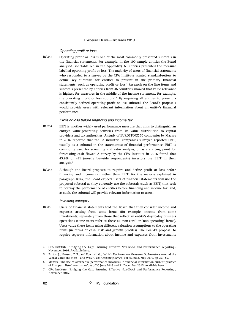#### Operating profit or loss

Operating profit or loss is one of the most commonly presented subtotals in the financial statements. For example, in the 100 sample entities the Board analysed (see Table A.1 in the Appendix), 63 entities presented the measure labelled operating profit or loss. The majority of users of financial statements who responded to a survey by the CFA Institute wanted standard-setters to define key subtotals for entities to present in the primary financial statements, such as operating profit or loss.<sup>4</sup> Research on the line items and subtotals presented by entities from 46 countries showed that value relevance is highest for measures in the middle of the income statement, for example, the operating profit or loss subtotal.<sup>5</sup> By requiring all entities to present a consistently defined operating profit or loss subtotal, the Board's proposals would provide users with relevant information about an entity's financial performance. BC253

## Profit or loss before financing and income tax

- EBIT is another widely used performance measure that aims to distinguish an entity's value-generating activities from its value distribution to capital providers and tax authorities. A study of EUROSTOXX 50 companies by Mazars in 2016 reported that the 34 industrial companies surveyed reported EBIT, usually as a subtotal in the statement(s) of financial performance. EBIT is commonly used for screening and ratio analysis, or as a starting point for forecasting cash flows.<sup>6</sup> A survey by the CFA Institute in 2016 found that 45.9% of 431 (mostly buy-side respondents) investors use EBIT in their analysis.<sup>7</sup> BC254
- Although the Board proposes to require and define profit or loss before financing and income tax rather than EBIT, for the reasons explained in paragraph BC47, the Board expects users of financial statements will use the proposed subtotal as they currently use the subtotals (such as EBIT) that seek to portray the performance of entities before financing and income tax, and, as such, the subtotal will provide relevant information to users. BC255

### Investing category

Users of financial statements told the Board that they consider income and expenses arising from some items (for example, income from some investments) separately from those that reflect an entity's day-to-day business operations (some users refer to these as 'non-core' or 'non-operating' items). Users value these items using different valuation assumptions to the operating items (in terms of cash, risk and growth profiles). The Board's proposal to require separate information about income and expenses from investments BC256

<sup>4</sup> CFA Institute, 'Bridging the Gap: Ensuring Effective Non-GAAP and Performance Reporting', November 2016. Available [here.](https://www.cfainstitute.org/-/media/documents/article/position-paper/bridging-the-gap-ensuring-non-gaap-and-performance-reporting.ashx)

<sup>5</sup> Barton J., Hansen, T. B., and Pownall, G., 'Which Performance Measures Do Investors Around the World Value the Most—and Why?', *The Accounting Review*, vol 85, no 3, May 2010, pp 753–89.

<sup>6</sup> Mazars, 'The use of alternative performance measures in financial information current practice of European listed companies', as of 30 June 2016 and 31 December 2015. Available [here](https://www.efrag.org/Assets/Download?assetUrl=%2Fsites%2Fwebpublishing%2FMeeting%20Documents%2F1901071411331719%2F05-04%20Mazars%20Report%20-%20Use%20of%20APMs%20in%20Europe%20for%20FY2016%20-%20TEG%2019-04-16%20-%20for%20background%20only.pdf).

<sup>7</sup> CFA Institute, 'Bridging the Gap: Ensuring Effective Non-GAAP and Performance Reporting', November 2016.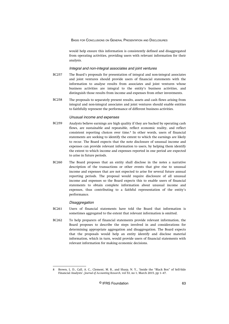would help ensure this information is consistently defined and disaggregated from operating activities, providing users with relevant information for their analysis.

#### Integral and non-integral associates and joint ventures

- The Board's proposals for presentation of integral and non-integral associates and joint ventures should provide users of financial statements with the information to analyse results from associates and joint ventures whose business activities are integral to the entity's business activities, and distinguish those results from income and expenses from other investments. BC257
- The proposals to separately present results, assets and cash flows arising from integral and non-integral associates and joint ventures should enable entities to faithfully represent the performance of different business activities. BC258

#### Unusual income and expenses

- Analysts believe earnings are high quality if they are backed by operating cash flows, are sustainable and repeatable, reflect economic reality, and reflect consistent reporting choices over time.<sup>8</sup> In other words, users of financial statements are seeking to identify the extent to which the earnings are likely to recur. The Board expects that the note disclosure of unusual income and expenses can provide relevant information to users, by helping them identify the extent to which income and expenses reported in one period are expected to arise in future periods. BC259
- The Board proposes that an entity shall disclose in the notes a narrative description of the transactions or other events that give rise to unusual income and expenses that are not expected to arise for several future annual reporting periods. The proposal would require disclosure of all unusual income and expenses so the Board expects this to enable users of financial statements to obtain complete information about unusual income and expenses, thus contributing to a faithful representation of the entity's performance. BC260

#### **Disaggregation**

- Users of financial statements have told the Board that information is sometimes aggregated to the extent that relevant information is omitted. BC261
- To help preparers of financial statements provide relevant information, the Board proposes to describe the steps involved in and considerations for determining appropriate aggregation and disaggregation. The Board expects that the proposals would help an entity identify and disclose material information, which in turn, would provide users of financial statements with relevant information for making economic decisions. BC262

<sup>8</sup> Brown, L. D., Call, A. C., Clement, M. B., and Sharp, N. Y., 'Inside the "Black Box" of Sell-Side Financial Analysts', *Journal of Accounting Research*, vol 53, no 1, March 2015, pp 1–47.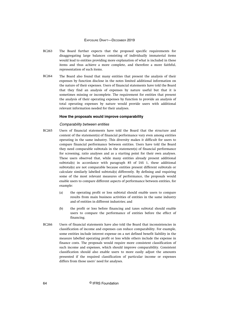- The Board further expects that the proposed specific requirements for disaggregating large balances consisting of individually immaterial items would lead to entities providing more explanation of what is included in these items and thus achieve a more complete, and therefore a more faithful, representation of such items. BC263
- The Board also found that many entities that present the analysis of their expenses by function disclose in the notes limited additional information on the nature of their expenses. Users of financial statements have told the Board that they find an analysis of expenses by nature useful but that it is sometimes missing or incomplete. The requirement for entities that present the analysis of their operating expenses by function to provide an analysis of total operating expenses by nature would provide users with additional relevant information needed for their analyses. BC264

#### **How the proposals would improve comparability**

## Comparability between entities

- Users of financial statements have told the Board that the structure and content of the statement(s) of financial performance vary even among entities operating in the same industry. This diversity makes it difficult for users to compare financial performance between entities. Users have told the Board they need comparable subtotals in the statement(s) of financial performance for screening, ratio analyses and as a starting point for their own analyses. These users observed that, while many entities already present additional subtotal(s) in accordance with paragraph 85 of IAS 1, these additional subtotal(s) are not comparable because entities present different subtotals or calculate similarly labelled subtotal(s) differently. By defining and requiring some of the most relevant measures of performance, the proposals would enable users to compare different aspects of performance between entities, for example: BC265
	- (a) the operating profit or loss subtotal should enable users to compare results from main business activities of entities in the same industry and of entities in different industries; and
	- (b) the profit or loss before financing and taxes subtotal should enable users to compare the performance of entities before the effect of financing.
- Users of financial statements have also told the Board that inconsistencies in classification of income and expenses can reduce comparability. For example, some entities include interest expense on a net defined benefit liability in the measure labelled operating profit or loss while others include the expense in finance costs. The proposals would require more consistent classification of such income and expenses, which should improve comparability. Consistent classification should also enable users to more easily adjust the amounts presented if the required classification of particular income or expenses differs from those users' need for analyses. BC266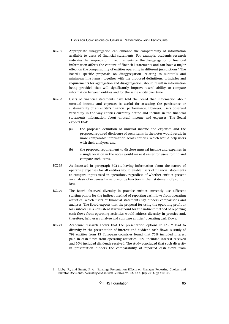- Appropriate disaggregation can enhance the comparability of information available to users of financial statements. For example, academic research indicates that imprecision in requirements on the disaggregation of financial information affects the content of financial statements and can have a major effect on the comparability of entities operating in different jurisdictions.<sup>9</sup> The Board's specific proposals on disaggregation (relating to subtotals and minimum line items), together with the proposed definitions, principles and requirements for aggregation and disaggregation, should result in information being provided that will significantly improve users' ability to compare information between entities and for the same entity over time. BC267
- Users of financial statements have told the Board that information about unusual income and expenses is useful for assessing the persistence or sustainability of an entity's financial performance. However, users observed variability in the way entities currently define and include in the financial statements information about unusual income and expenses. The Board expects that: BC268
	- (a) the proposed definition of unusual income and expenses and the proposed required disclosure of such items in the notes would result in more comparable information across entities, which would help users with their analyses; and
	- (b) the proposed requirement to disclose unusual income and expenses in a single location in the notes would make it easier for users to find and compare such items.
- As discussed in paragraph BC111, having information about the nature of operating expenses for all entities would enable users of financial statements to compare inputs used in operations, regardless of whether entities present an analysis of expenses by nature or by function in their statement of profit or loss. BC269
- The Board observed diversity in practice–entities currently use different starting points for the indirect method of reporting cash flows from operating activities, which users of financial statements say hinders comparisons and analyses. The Board expects that the proposal for using the operating profit or loss subtotal as a consistent starting point for the indirect method of reporting cash flows from operating activities would address diversity in practice and, therefore, help users analyse and compare entities' operating cash flows. BC270
- Academic research shows that the presentation options in IAS 7 lead to diversity in the presentation of interest and dividend cash flows. A study of 798 entities from 13 European countries found that 76% included interest paid in cash flows from operating activities, 60% included interest received and 50% included dividends received. The study concluded that such diversity in presentation hinders the comparability of reported cash flows from BC271

<sup>9</sup> Libby, R., and Emett, S. A., 'Earnings Presentation Effects on Manager Reporting Choices and Investor Decisions', *Accounting and Business Research*, vol 44, no 4, July 2014, pp 410–38.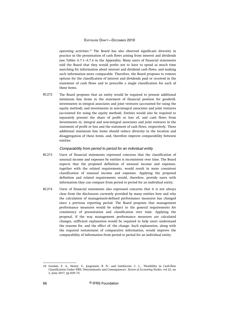operating activities.<sup>10</sup> The Board has also observed significant diversity in practice in the presentation of cash flows arising from interest and dividends (see Tables A.7.1–A.7.4 in the Appendix). Many users of financial statements told the Board that they would prefer not to have to spend as much time searching for information about interest and dividend cash flows, and making such information more comparable. Therefore, the Board proposes to remove options for the classification of interest and dividends paid or received in the statement of cash flows and to prescribe a single classification for each of these items.

The Board proposes that an entity would be required to present additional minimum line items in the statement of financial position for goodwill, investments in integral associates and joint ventures (accounted for using the equity method), and investments in non-integral associates and joint ventures (accounted for using the equity method). Entities would also be required to separately present the share of profit or loss of, and cash flows from investments in, integral and non-integral associates and joint ventures in the statement of profit or loss and the statement of cash flows, respectively. These additional minimum line items should reduce diversity in the location and disaggregation of these items, and, therefore improve comparability between entities. BC272

#### Comparability from period to period for an individual entity

- Users of financial statements expressed concerns that the classification of unusual income and expenses by entities is inconsistent over time. The Board expects that the proposed definition of unusual income and expenses, together with the related requirements, would result in more consistent classification of unusual income and expenses. Applying the proposed definition and related requirements would, therefore, provide users with information they can compare from period to period for an individual entity. BC273
- Users of financial statements also expressed concerns that it is not always clear from the disclosures currently provided by many entities how and why the calculation of management-defined performance measures has changed since a previous reporting period. The Board proposes that management performance measures would be subject to the general requirements for consistency of presentation and classification over time. Applying the proposal, if the way management performance measures are calculated changes, sufficient explanation would be required to help users understand the reasons for, and the effect of, the change. Such explanation, along with the required restatement of comparative information, would improve the comparability of information from period to period for an individual entity. BC274

<sup>10</sup> Gordon, E. A., Henry, E., Jorgensen, B. N., and Linthicum, C. L., 'Flexibility in Cash-flow Classification Under IFRS: Determinants and Consequences', *Review of Accounting Studies*, vol 22, no 2, June 2017, pp 839–72.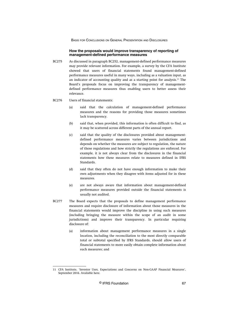## **How the proposals would improve transparency of reporting of management-defined performance measures**

- As discussed in paragraph BC252, management-defined performance measures may provide relevant information. For example, a survey by the CFA Institute showed that users of financial statements found management-defined performance measures useful in many ways, including as a valuation input, as an indicator of accounting quality and as a starting point for analysis.<sup>11</sup> The Board's proposals focus on improving the transparency of managementdefined performance measures thus enabling users to better assess their relevance. BC275
- Users of financial statements: BC276
	- (a) said that the calculation of management-defined performance measures and the reasons for providing those measures sometimes lack transparency.
	- (b) said that, when provided, this information is often difficult to find, as it may be scattered across different parts of the annual report.
	- (c) said that the quality of the disclosures provided about managementdefined performance measures varies between jurisdictions and depends on whether the measures are subject to regulation, the nature of those regulations and how strictly the regulations are enforced. For example, it is not always clear from the disclosures in the financial statements how these measures relate to measures defined in IFRS Standards.
	- (d) said that they often do not have enough information to make their own adjustments when they disagree with items adjusted for in these measures.
	- (e) are not always aware that information about management-defined performance measures provided outside the financial statements is usually not audited.
- The Board expects that the proposals to define management performance measures and require disclosure of information about those measures in the financial statements would improve the discipline in using such measures (including bringing the measure within the scope of an audit in some jurisdictions) and improve their transparency. In particular requiring disclosure of: BC277
	- (a) information about management performance measures in a single location, including the reconciliation to the most directly comparable total or subtotal specified by IFRS Standards, should allow users of financial statements to more easily obtain complete information about such measures; and

<sup>11</sup> CFA Institute, 'Investor Uses, Expectations and Concerns on Non-GAAP Financial Measures', September 2016. Available [here.](https://www.cfainstitute.org/-/media/documents/support/advocacy/investor-uses-expectations-concerns-on-non-gaap.ashx)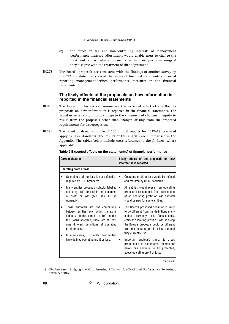- (b) the effect on tax and non-controlling interests of management performance measure adjustments would enable users to change the treatment of particular adjustments in their analysis of earnings if they disagree with the treatment of that adjustment.
- The Board's proposals are consistent with the findings of another survey by the CFA Institute that showed that users of financial statements supported reporting management-defined performance measures in the financial statements.<sup>12</sup> BC278

# **The likely effects of the proposals on how information is reported in the financial statements**

- The tables in this section summarise the expected effect of the Board's proposals on how information is reported in the financial statements. The Board expects no significant change to the statement of changes in equity to result from the proposals other than changes arising from the proposed requirements for disaggregation. BC279
- The Board analysed a sample of 100 annual reports for 2017–18, prepared applying IFRS Standards. The results of this analysis are summarised in the Appendix. The tables below include cross-references to the findings, where applicable. BC280

| <b>Current situation</b> |                                                                                                                                                                                                                                                                               | Likely effects of the proposals on how<br>information is reported                                                                                                                                                                                                                               |
|--------------------------|-------------------------------------------------------------------------------------------------------------------------------------------------------------------------------------------------------------------------------------------------------------------------------|-------------------------------------------------------------------------------------------------------------------------------------------------------------------------------------------------------------------------------------------------------------------------------------------------|
|                          | <b>Operating profit or loss</b>                                                                                                                                                                                                                                               |                                                                                                                                                                                                                                                                                                 |
|                          | Operating profit or loss is not defined or<br>required by IFRS Standards.                                                                                                                                                                                                     | Operating profit or loss would be defined<br>and required by IFRS Standards.                                                                                                                                                                                                                    |
|                          | Many entities present a subtotal labelled<br>operating profit or loss in the statement<br>of profit or loss (see Table A.1 in<br>Appendix).                                                                                                                                   | All entities would present an operating<br>profit or loss subtotal. The presentation<br>of an operating profit or loss subtotal<br>would be new for some entities.                                                                                                                              |
|                          | Those subtotals are not comparable<br>between entities, even within the same<br>industry (in the sample of 100 entities<br>the Board analysed, there are at least<br>nine different definitions of operating<br>profit or loss).<br>In some cases, it is unclear how entities | The Board's proposed definition is likely<br>to be different from the definitions many<br>entities currently use. Consequently,<br>entities' operating profit or loss applying<br>the Board's proposals could be different<br>from the operating profit or loss subtotal<br>they currently use. |
|                          | have defined operating profit or loss.                                                                                                                                                                                                                                        | Important subtotals similar to gross<br>profit, such as net interest income for<br>banks can continue to be presented,<br>above operating profit or loss.                                                                                                                                       |

#### **Table 2 Expected effects on the statement(s) of financial performance**

<sup>12</sup> CFA Institute, 'Bridging the Gap: Ensuring Effective Non-GAAP and Performance Reporting', November 2016.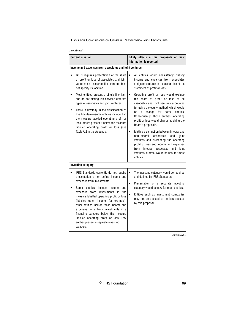| …continued |
|------------|
|------------|

| <b>Current situation</b>                                                                                                                                                                                                                                                                                                                                                                                                                                                                                                                                          | Likely effects of the proposals on how<br>information is reported                                                                                                                                                                                                                                                                                                                                                                                                                                                                                                                                                                                                                                                                                                                               |  |
|-------------------------------------------------------------------------------------------------------------------------------------------------------------------------------------------------------------------------------------------------------------------------------------------------------------------------------------------------------------------------------------------------------------------------------------------------------------------------------------------------------------------------------------------------------------------|-------------------------------------------------------------------------------------------------------------------------------------------------------------------------------------------------------------------------------------------------------------------------------------------------------------------------------------------------------------------------------------------------------------------------------------------------------------------------------------------------------------------------------------------------------------------------------------------------------------------------------------------------------------------------------------------------------------------------------------------------------------------------------------------------|--|
| Income and expenses from associates and joint ventures                                                                                                                                                                                                                                                                                                                                                                                                                                                                                                            |                                                                                                                                                                                                                                                                                                                                                                                                                                                                                                                                                                                                                                                                                                                                                                                                 |  |
| IAS 1 requires presentation of the share<br>of profit or loss of associates and joint<br>ventures as a separate line item but does<br>not specify its location.<br>Most entities present a single line item<br>and do not distinguish between different<br>types of associates and joint ventures.<br>There is diversity in the classification of<br>this line item-some entities include it in<br>the measure labelled operating profit or<br>loss, others present it below the measure<br>labelled operating profit or loss (see<br>Table A.2 in the Appendix). | All entities would consistently classify<br>income and expenses from associates<br>and joint ventures in the categories of the<br>statement of profit or loss.<br>Operating profit or loss would exclude<br>$\bullet$<br>the share of profit or loss of all<br>associates and joint ventures accounted<br>for using the equity method, which would<br>change<br>for<br>entities.<br>be<br>some<br>a<br>Consequently, those entities' operating<br>profit or loss would change applying the<br>Board's proposals.<br>Making a distinction between integral and<br>non-integral<br>associates<br>and<br>ioint<br>ventures and presenting the operating<br>profit or loss and income and expenses<br>from integral associates<br>and joint<br>ventures subtotal would be new for most<br>entities. |  |
| <b>Investing category</b>                                                                                                                                                                                                                                                                                                                                                                                                                                                                                                                                         |                                                                                                                                                                                                                                                                                                                                                                                                                                                                                                                                                                                                                                                                                                                                                                                                 |  |
| IFRS Standards currently do not require<br>presentation of or define income and<br>expenses from investments.<br>Some<br>entities<br>include<br>income<br>and<br>from investments<br>the<br>expenses<br>in<br>measure labelled operating profit or loss<br>(labelled other income, for example),<br>other entities include these income and<br>expenses items from investments in a<br>financing category below the measure<br>labelled operating profit or loss. Few<br>entities present a separate investing<br>category.                                       | The investing category would be required<br>$\bullet$<br>and defined by IFRS Standards.<br>Presentation of a separate investing<br>$\bullet$<br>category would be new for most entities.<br>Entities such as investment companies<br>may not be affected or be less affected<br>by this proposal.                                                                                                                                                                                                                                                                                                                                                                                                                                                                                               |  |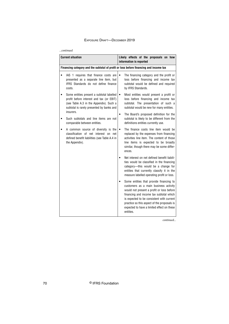#### *...continued*

| <b>Current situation</b>                                                                                                                                                                   | Likely effects of the proposals on how<br>information is reported                                                                                                                                                                                                                                                               |  |
|--------------------------------------------------------------------------------------------------------------------------------------------------------------------------------------------|---------------------------------------------------------------------------------------------------------------------------------------------------------------------------------------------------------------------------------------------------------------------------------------------------------------------------------|--|
| Financing category and the subtotal of profit or loss before financing and income tax                                                                                                      |                                                                                                                                                                                                                                                                                                                                 |  |
| IAS 1 requires that finance costs are<br>presented as a separate line item, but<br>IFRS Standards do not define finance<br>costs.                                                          | The financing category and the profit or<br>loss before financing and income tax<br>subtotal would be defined and required<br>by IFRS Standards.                                                                                                                                                                                |  |
| Some entities present a subtotal labelled<br>profit before interest and tax (or EBIT)<br>(see Table A.3 in the Appendix). Such a<br>subtotal is rarely presented by banks and<br>insurers. | Most entities would present a profit or<br>$\bullet$<br>loss before financing and income tax<br>subtotal. The presentation of such a<br>subtotal would be new for many entities.                                                                                                                                                |  |
| Such subtotals and line items are not<br>comparable between entities.                                                                                                                      | The Board's proposed definition for the<br>$\bullet$<br>subtotal is likely to be different from the<br>definitions entities currently use.                                                                                                                                                                                      |  |
| A common source of diversity is the<br>classification of net interest on net<br>defined benefit liabilities (see Table A.4 in<br>the Appendix).                                            | The finance costs line item would be<br>$\bullet$<br>replaced by the expenses from financing<br>activities line item. The content of those<br>line items is expected to be broadly<br>similar, though there may be some differ-<br>ences.                                                                                       |  |
|                                                                                                                                                                                            | Net interest on net defined benefit liabili-<br>ties would be classified in the financing<br>category-this would be a change for<br>entities that currently classify it in the<br>measure labelled operating profit or loss.                                                                                                    |  |
|                                                                                                                                                                                            | Some entities that provide financing to<br>customers as a main business activity<br>would not present a profit or loss before<br>financing and income tax subtotal which<br>is expected to be consistent with current<br>practice so this aspect of the proposals is<br>expected to have a limited effect on these<br>entities. |  |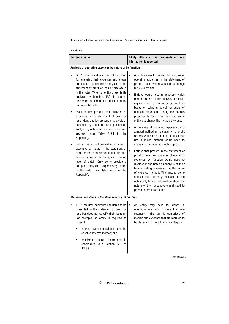| …continued |  |
|------------|--|
|------------|--|

| <b>Current situation</b>                                                                                                                                                                                                                                                                                                                                                                                                                                                                                                                                                                                                                                                                                                                                                                                                                                                                                                                                   | Likely effects of the proposals on how<br>information is reported                                                                                                                                                                                                                                                                                                                                                                                                                                                                                                                                                                                                                                                                                                                                                                                                                                                                                                                                                                                                                                                                            |  |  |
|------------------------------------------------------------------------------------------------------------------------------------------------------------------------------------------------------------------------------------------------------------------------------------------------------------------------------------------------------------------------------------------------------------------------------------------------------------------------------------------------------------------------------------------------------------------------------------------------------------------------------------------------------------------------------------------------------------------------------------------------------------------------------------------------------------------------------------------------------------------------------------------------------------------------------------------------------------|----------------------------------------------------------------------------------------------------------------------------------------------------------------------------------------------------------------------------------------------------------------------------------------------------------------------------------------------------------------------------------------------------------------------------------------------------------------------------------------------------------------------------------------------------------------------------------------------------------------------------------------------------------------------------------------------------------------------------------------------------------------------------------------------------------------------------------------------------------------------------------------------------------------------------------------------------------------------------------------------------------------------------------------------------------------------------------------------------------------------------------------------|--|--|
| Analysis of operating expenses by nature or by function                                                                                                                                                                                                                                                                                                                                                                                                                                                                                                                                                                                                                                                                                                                                                                                                                                                                                                    |                                                                                                                                                                                                                                                                                                                                                                                                                                                                                                                                                                                                                                                                                                                                                                                                                                                                                                                                                                                                                                                                                                                                              |  |  |
| IAS 1 requires entities to select a method<br>for analysing their expenses and allows<br>entities to present their analyses in the<br>statement of profit or loss or disclose it<br>in the notes. When an entity presents its<br>analysis by function, IAS 1 requires<br>disclosure of additional information by<br>nature in the notes.<br>Most entities present their analyses of<br>expenses in the statement of profit or<br>loss. Many entities present an analysis of<br>expenses by function, some present an<br>analysis by nature and some use a mixed<br>A.5.1<br>approach (see<br>Table<br>in<br>the<br>Appendix).<br>Entities that do not present an analysis of<br>expenses by nature in the statement of<br>profit or loss provide additional informa-<br>tion by nature in the notes, with varying<br>level of detail. Only some provide a<br>complete analysis of expenses by nature<br>in the notes (see Table A.5.2 in the<br>Appendix). | $\bullet$<br>All entities would present the analysis of<br>operating expenses in the statement of<br>profit or loss, which would be a change<br>for a few entities.<br>Entities would need to reassess which<br>$\bullet$<br>method to use for the analysis of operat-<br>ing expenses (by nature or by function)<br>based on what is useful for users of<br>financial statements, using the Board's<br>proposed factors. This may lead some<br>entities to change the method they use.<br>An analysis of operating expenses using<br>a mixed method in the statement of profit<br>or loss would be prohibited. Entities that<br>use a mixed method would need to<br>change to the required single approach.<br>Entities that present in the statement of<br>profit or loss their analyses of operating<br>expenses by function would need to<br>disclose in the notes an analysis of their<br>total operating expenses using the nature<br>of expense method. This means some<br>entities that currently disclose in the<br>notes only limited information about the<br>nature of their expenses would need to<br>provide more information. |  |  |
| Minimum line items in the statement of profit or loss                                                                                                                                                                                                                                                                                                                                                                                                                                                                                                                                                                                                                                                                                                                                                                                                                                                                                                      |                                                                                                                                                                                                                                                                                                                                                                                                                                                                                                                                                                                                                                                                                                                                                                                                                                                                                                                                                                                                                                                                                                                                              |  |  |
| IAS 1 requires minimum line items to be<br>presented in the statement of profit or<br>loss but does not specify their location.<br>For example, an entity is required to<br>present:<br>interest revenue calculated using the<br>effective interest method; and<br>impairment losses determined<br>in<br>accordance with Section 5.5<br>0f<br>IFRS 9.                                                                                                                                                                                                                                                                                                                                                                                                                                                                                                                                                                                                      | entity may need to present a<br>An<br>minimum line item in more than one<br>category if the item is comprised of<br>income and expenses that are required to<br>be classified in more than one category.                                                                                                                                                                                                                                                                                                                                                                                                                                                                                                                                                                                                                                                                                                                                                                                                                                                                                                                                     |  |  |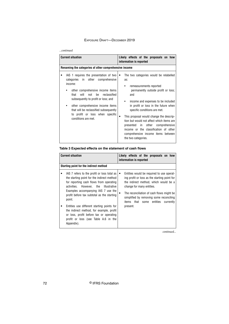## *...continued*

| <b>Current situation</b>                                                                                                                                                                                                                                                                                                                                  | Likely effects of the proposals on how<br>information is reported                                                                                                                                                                                                                                                                                                                                                                                                                           |
|-----------------------------------------------------------------------------------------------------------------------------------------------------------------------------------------------------------------------------------------------------------------------------------------------------------------------------------------------------------|---------------------------------------------------------------------------------------------------------------------------------------------------------------------------------------------------------------------------------------------------------------------------------------------------------------------------------------------------------------------------------------------------------------------------------------------------------------------------------------------|
| Renaming the categories of other comprehensive income                                                                                                                                                                                                                                                                                                     |                                                                                                                                                                                                                                                                                                                                                                                                                                                                                             |
| IAS 1 requires the presentation of two<br>categories in other<br>comprehensive<br>income:<br>other comprehensive income items<br>be<br>reclassified<br>that<br>will<br>not<br>subsequently to profit or loss; and<br>other comprehensive income items<br>that will be reclassified subsequently<br>to profit or loss when specific<br>conditions are met. | The two categories would be relabelled<br>$\bullet$<br>as:<br>remeasurements reported<br>permanently outside profit or loss;<br>and<br>income and expenses to be included<br>in profit or loss in the future when<br>specific conditions are met.<br>This proposal would change the descrip-<br>٠<br>tion but would not affect which items are<br>presented in other<br>comprehensive<br>income or the classification of other<br>comprehensive income items between<br>the two categories. |

# **Table 3 Expected effects on the statement of cash flows**

| <b>Current situation</b>                                                                                                                                                                                                                                                                                                                                                                                                                                                   | Likely effects of the proposals on how<br>information is reported                                                                                                                                                                                                                                          |
|----------------------------------------------------------------------------------------------------------------------------------------------------------------------------------------------------------------------------------------------------------------------------------------------------------------------------------------------------------------------------------------------------------------------------------------------------------------------------|------------------------------------------------------------------------------------------------------------------------------------------------------------------------------------------------------------------------------------------------------------------------------------------------------------|
| Starting point for the indirect method                                                                                                                                                                                                                                                                                                                                                                                                                                     |                                                                                                                                                                                                                                                                                                            |
| IAS 7 refers to the profit or loss total as<br>the starting point for the indirect method<br>for reporting cash flows from operating<br>However, the Illustrative<br>activities.<br>Examples accompanying IAS 7 use the<br>profit before tax subtotal as the starting<br>point.<br>Entities use different starting points for<br>the indirect method, for example, profit<br>or loss, profit before tax or operating<br>profit or loss (see Table A.6 in the<br>Appendix). | Entities would be required to use operat-<br>ing profit or loss as the starting point for<br>the indirect method, which would be a<br>change for many entities.<br>The reconciliation of cash flows might be.<br>simplified by removing some reconciling<br>items that some entities currently<br>present. |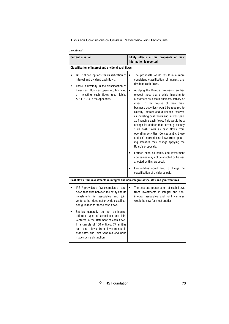| …continued |
|------------|
|------------|

| <b>Current situation</b>                                                                                                                                                                                                                                                             | Likely effects of the proposals on how<br>information is reported                                                                                                                                                                                                                                                                                                                                                                                                                                                                                                                                                                                                                                                                                                                                                                                                                                                     |  |  |  |
|--------------------------------------------------------------------------------------------------------------------------------------------------------------------------------------------------------------------------------------------------------------------------------------|-----------------------------------------------------------------------------------------------------------------------------------------------------------------------------------------------------------------------------------------------------------------------------------------------------------------------------------------------------------------------------------------------------------------------------------------------------------------------------------------------------------------------------------------------------------------------------------------------------------------------------------------------------------------------------------------------------------------------------------------------------------------------------------------------------------------------------------------------------------------------------------------------------------------------|--|--|--|
| <b>Classification of interest and dividend cash flows</b>                                                                                                                                                                                                                            |                                                                                                                                                                                                                                                                                                                                                                                                                                                                                                                                                                                                                                                                                                                                                                                                                                                                                                                       |  |  |  |
| IAS 7 allows options for classification of<br>$\bullet$<br>interest and dividend cash flows.<br>There is diversity in the classification of<br>$\bullet$<br>these cash flows as operating, financing<br>or investing cash flows (see Tables<br>A.7.1-A.7.4 in the Appendix).         | The proposals would result in a more<br>consistent classification of interest and<br>dividend cash flows.<br>Applying the Board's proposals, entities<br>(except those that provide financing to<br>customers as a main business activity or<br>invest in the course of their main<br>business activities) would be required to<br>classify interest and dividends received<br>as investing cash flows and interest paid<br>as financing cash flows. This would be a<br>change for entities that currently classify<br>such cash flows as cash flows from<br>operating activities. Consequently, those<br>entities' reported cash flows from operat-<br>ing activities may change applying the<br>Board's proposals.<br>Entities such as banks and investment<br>companies may not be affected or be less<br>affected by this proposal.<br>Few entities would need to change the<br>classification of dividends paid. |  |  |  |
| Cash flows from investments in integral and non-integral associates and joint ventures                                                                                                                                                                                               |                                                                                                                                                                                                                                                                                                                                                                                                                                                                                                                                                                                                                                                                                                                                                                                                                                                                                                                       |  |  |  |
| IAS 7 provides a few examples of cash<br>flows that arise between the entity and its<br>investments in associates and joint<br>ventures but does not provide classifica-<br>tion guidance for those cash flows.                                                                      | The separate presentation of cash flows<br>from investments in integral and non-<br>integral associates and joint ventures<br>would be new for most entities.                                                                                                                                                                                                                                                                                                                                                                                                                                                                                                                                                                                                                                                                                                                                                         |  |  |  |
| Entities generally do not distinguish<br>different types of associates and joint<br>ventures in the statement of cash flows.<br>In a sample of 100 entities, 77 entities<br>had cash flows from investments in<br>associates and joint ventures and none<br>made such a distinction. |                                                                                                                                                                                                                                                                                                                                                                                                                                                                                                                                                                                                                                                                                                                                                                                                                                                                                                                       |  |  |  |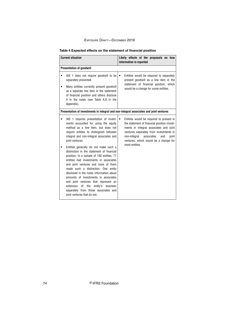# **Table 4 Expected effects on the statement of financial position**

| <b>Current situation</b>                                                                                                                                                                                                                                                                                                                                                                                                                                                                                                                                                                                                                                                                                                                        | Likely effects of the proposals on how<br>information is reported                                                                                                                                                                                                                     |
|-------------------------------------------------------------------------------------------------------------------------------------------------------------------------------------------------------------------------------------------------------------------------------------------------------------------------------------------------------------------------------------------------------------------------------------------------------------------------------------------------------------------------------------------------------------------------------------------------------------------------------------------------------------------------------------------------------------------------------------------------|---------------------------------------------------------------------------------------------------------------------------------------------------------------------------------------------------------------------------------------------------------------------------------------|
| <b>Presentation of goodwill</b>                                                                                                                                                                                                                                                                                                                                                                                                                                                                                                                                                                                                                                                                                                                 |                                                                                                                                                                                                                                                                                       |
| IAS 1 does not require goodwill to be<br>separately presented.<br>Many entities currently present goodwill<br>٠<br>as a separate line item in the statement<br>of financial position and others disclose<br>it in the notes (see Table A.8 in the<br>Appendix).                                                                                                                                                                                                                                                                                                                                                                                                                                                                                 | Entities would be required to separately<br>$\bullet$<br>present goodwill as a line item in the<br>statement of financial position, which<br>would be a change for some entities.                                                                                                     |
| Presentation of investments in integral and non-integral associates and joint ventures                                                                                                                                                                                                                                                                                                                                                                                                                                                                                                                                                                                                                                                          |                                                                                                                                                                                                                                                                                       |
| IAS 1 requires presentation of invest-<br>ments accounted for using the equity<br>method as a line item, but does not<br>require entities to distinguish between<br>integral and non-integral associates and<br>joint ventures.<br>Entities generally do not make such a<br>distinction in the statement of financial<br>position. In a sample of 100 entities, 77<br>entities had investments in associates<br>and joint ventures and none of them<br>made such a distinction. One entity<br>disclosed in the notes information about<br>amounts of investments in associates<br>and joint ventures that represent an<br>extension<br>0f<br>the<br>entity's<br>business<br>separately from those associates and<br>joint ventures that do not. | Entities would be required to present in<br>the statement of financial position invest-<br>ments in integral associates and joint<br>ventures separately from investments in<br>non-integral<br>associates<br>and<br>joint<br>ventures, which would be a change for<br>most entities. |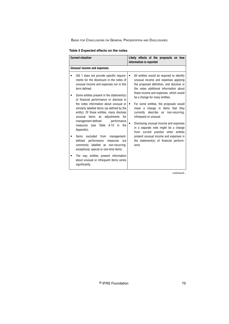## **Table 5 Expected effects on the notes**

| <b>Current situation</b>                                                                                                                                                                                                                                                                                                                                                                                                                                                                                                                                                                                                                                                                                                                                                                                  | Likely effects of the proposals on how<br>information is reported                                                                                                                                                                                                                                                                                                                                                                                                                                                                                                                                                             |
|-----------------------------------------------------------------------------------------------------------------------------------------------------------------------------------------------------------------------------------------------------------------------------------------------------------------------------------------------------------------------------------------------------------------------------------------------------------------------------------------------------------------------------------------------------------------------------------------------------------------------------------------------------------------------------------------------------------------------------------------------------------------------------------------------------------|-------------------------------------------------------------------------------------------------------------------------------------------------------------------------------------------------------------------------------------------------------------------------------------------------------------------------------------------------------------------------------------------------------------------------------------------------------------------------------------------------------------------------------------------------------------------------------------------------------------------------------|
| <b>Unusual income and expenses</b>                                                                                                                                                                                                                                                                                                                                                                                                                                                                                                                                                                                                                                                                                                                                                                        |                                                                                                                                                                                                                                                                                                                                                                                                                                                                                                                                                                                                                               |
| IAS 1 does not provide specific require-<br>ments for the disclosure in the notes of<br>unusual income and expenses nor is this<br>term defined.<br>Some entities present in the statement(s)<br>of financial performance or disclose in<br>the notes information about unusual or<br>similarly labelled items (as defined by the<br>entity). Of those entities, many disclose<br>adjustments for<br>items<br>unusual<br>as<br>management-defined<br>performance<br>measures (see Table A.15 in the<br>Appendix).<br>from<br><b>Items</b><br>excluded<br>management-<br>performance<br>defined<br>measures<br>are<br>commonly labelled as non-recurring,<br>exceptional, special or one-time items.<br>The way entities present information<br>about unusual or infrequent items varies<br>significantly. | All entities would be required to identify<br>unusual income and expenses applying<br>the proposed definition, and disclose in<br>the notes additional information about<br>these income and expenses, which would<br>be a change for many entities.<br>For some entities, the proposals would<br>mean a change in items that they<br>currently describe as<br>non-recurring,<br>infrequent or unusual.<br>Disclosing unusual income and expenses<br>in a separate note might be a change<br>from current practice when entities<br>present unusual income and expenses in<br>the statement(s) of financial perform-<br>ance. |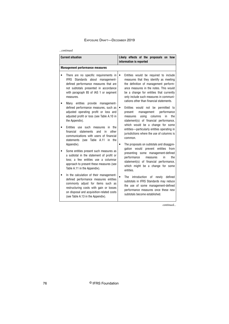#### *...continued*

| <b>Current situation</b>                                                                                                                                                                                                                           |           | Likely effects of the proposals on how<br>information is reported                                                                                                                                                                                                                                   |
|----------------------------------------------------------------------------------------------------------------------------------------------------------------------------------------------------------------------------------------------------|-----------|-----------------------------------------------------------------------------------------------------------------------------------------------------------------------------------------------------------------------------------------------------------------------------------------------------|
| <b>Management performance measures</b>                                                                                                                                                                                                             |           |                                                                                                                                                                                                                                                                                                     |
| There are no specific requirements in<br>IFRS Standards about management-<br>defined performance measures that are<br>not subtotals presented in accordance<br>with paragraph 85 of IAS 1 or segment<br>measures.                                  | $\bullet$ | Entities would be required to include<br>measures that they identify as meeting<br>the definition of management perform-<br>ance measures in the notes. This would<br>be a change for entities that currently<br>only include such measures in communi-<br>cations other than financial statements. |
| Many entities provide management-<br>defined performance measures, such as<br>adjusted operating profit or loss and<br>adjusted profit or loss (see Table A.10 in<br>the Appendix).                                                                | $\bullet$ | Entities would not be<br>permitted to<br>management<br>performance<br>present<br>using<br>in<br>columns<br>the<br>measures<br>statement(s) of financial performance,                                                                                                                                |
| Entities use such measures<br>in the<br>other<br>financial<br>statements<br>and<br>in<br>communications with users of financial<br>(see Table A.11 in the<br>statements<br>Appendix).                                                              | $\bullet$ | which would be a change for some<br>entities-particularly entities operating in<br>jurisdictions where the use of columns is<br>common.                                                                                                                                                             |
| Some entities present such measures as<br>a subtotal in the statement of profit or<br>loss; a few entities use a columnar<br>approach to present these measures (see<br>Table A.11 in the Appendix).                                               |           | The proposals on subtotals and disaggre-<br>gation would<br>prevent entities<br>from<br>presenting some management-defined<br>performance<br>measures<br>the<br>in<br>statement(s) of financial performance,<br>which might be a change for some<br>entities.                                       |
| In the calculation of their management-<br>defined performance measures entities<br>commonly adjust for items such as<br>restructuring costs with gain or losses<br>on disposal and acquisition-related costs<br>(see Table A.13 in the Appendix). |           | The<br>introduction of newly defined<br>subtotals in IFRS Standards may reduce<br>the use of some management-defined<br>performance measures once these new<br>subtotals become established.                                                                                                        |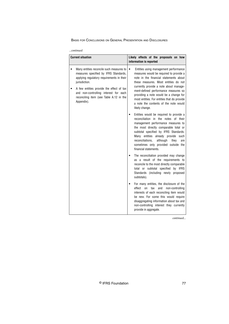| continued |
|-----------|
|-----------|

| <b>Current situation</b>                                                                                                                                                                                                                                                                      | Likely effects of the proposals on how<br>information is reported                                                                                                                                                                                                                                                                                                                                             |  |
|-----------------------------------------------------------------------------------------------------------------------------------------------------------------------------------------------------------------------------------------------------------------------------------------------|---------------------------------------------------------------------------------------------------------------------------------------------------------------------------------------------------------------------------------------------------------------------------------------------------------------------------------------------------------------------------------------------------------------|--|
| Many entities reconcile such measures to<br>measures specified by IFRS Standards,<br>applying regulatory requirements in their<br>jurisdiction.<br>A few entities provide the effect of tax<br>and non-controlling interest for each<br>reconciling item (see Table A.12 in the<br>Appendix). | Entities using management performance<br>٠<br>measures would be required to provide a<br>note in the financial statements about<br>these measures. Most entities do not<br>currently provide a note about manage-<br>ment-defined performance measures so<br>providing a note would be a change for<br>most entities. For entities that do provide<br>a note the contents of the note would<br>likely change. |  |
|                                                                                                                                                                                                                                                                                               | Entities would be required to provide a<br>reconciliation<br>in the notes of their<br>management performance measures to<br>the most directly comparable total or<br>subtotal specified by IFRS Standards.<br>Many entities already provide such<br>reconciliations,<br>although<br>they<br>are<br>sometimes only provided outside the<br>financial statements.                                               |  |
|                                                                                                                                                                                                                                                                                               | The reconciliation provided may change<br>as a result of the requirements to<br>reconcile to the most directly comparable<br>total or subtotal specified by IFRS<br>Standards (including newly proposed<br>subtotals).                                                                                                                                                                                        |  |
|                                                                                                                                                                                                                                                                                               | For many entities, the disclosure of the<br>$\bullet$<br>effect<br>tax<br>non-controlling<br>$_{0n}$<br>and<br>interests of each reconciling item would<br>be new. For some this would require<br>disaggregating information about tax and<br>non-controlling interest they currently<br>provide in aggregate.                                                                                                |  |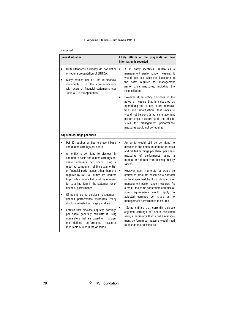#### *...continued*

| <b>Current situation</b>                                                                                                                                                                                                                                                                                                                                                                                                                                                                                                                                                                                                                                                                                                                                                                                    | Likely effects of the proposals on how<br>information is reported                                                                                                                                                                                                                                                                                                                                                                                                                                                                                                                                                                                                                                                                                                                   |  |
|-------------------------------------------------------------------------------------------------------------------------------------------------------------------------------------------------------------------------------------------------------------------------------------------------------------------------------------------------------------------------------------------------------------------------------------------------------------------------------------------------------------------------------------------------------------------------------------------------------------------------------------------------------------------------------------------------------------------------------------------------------------------------------------------------------------|-------------------------------------------------------------------------------------------------------------------------------------------------------------------------------------------------------------------------------------------------------------------------------------------------------------------------------------------------------------------------------------------------------------------------------------------------------------------------------------------------------------------------------------------------------------------------------------------------------------------------------------------------------------------------------------------------------------------------------------------------------------------------------------|--|
| IFRS Standards currently do not define<br>or require presentation of EBITDA.<br>Many entities use EBITDA in financial<br>statements or in other communications<br>with users of financial statements (see<br>Table A.9 in the Appendix).                                                                                                                                                                                                                                                                                                                                                                                                                                                                                                                                                                    | If an entity identifies EBITDA as a<br>$\bullet$<br>management performance measure, it<br>would need to provide the disclosures in<br>the notes required for management<br>performance measures, including the<br>reconciliation.<br>However, if an entity discloses in the<br>notes a measure that is calculated as<br>operating profit or loss before deprecia-<br>tion and amortisation, that measure<br>would not be considered a management<br>performance measure and the disclo-<br>sures for management performance<br>measures would not be required.                                                                                                                                                                                                                      |  |
| Adjusted earnings per share                                                                                                                                                                                                                                                                                                                                                                                                                                                                                                                                                                                                                                                                                                                                                                                 |                                                                                                                                                                                                                                                                                                                                                                                                                                                                                                                                                                                                                                                                                                                                                                                     |  |
| IAS 33 requires entities to present basic<br>and diluted earnings per share.<br>An entity is permitted to disclose, in<br>addition to basic and diluted earnings per<br>share, amounts per share using a<br>reported component of the statement(s)<br>of financial performance other than one<br>required by IAS 33. Entities are required<br>to provide a reconciliation of the numera-<br>tor to a line item in the statement(s) of<br>financial performance.<br>Of the entities that disclose management-<br>defined performance measures, many<br>disclose adjusted earnings per share.<br>Entities that disclose adjusted earnings<br>per share generally calculate it using<br>numerators that are based on manage-<br>ment-defined<br>performance<br>measures<br>(see Table A.14.2 in the Appendix). | An entity would still be permitted to<br>disclose in the notes, in addition to basic<br>and diluted earnings per share, per share<br>of performance<br>usina<br>measures<br>a<br>numerator different from that required by<br>IAS 33.<br>However, such numerator(s) would be<br>limited to amounts based on a subtotal<br>or total specified by IFRS Standards or<br>management performance measures. As<br>a result, the same constraints and disclo-<br>requirements would<br>apply<br>sure<br>tо<br>adjusted earnings per share as<br>to<br>management performance measures.<br>Some entities that currently disclose<br>adjusted earnings per share calculated<br>using a numerator that is not a manage-<br>ment performance measure would need<br>to change their disclosure. |  |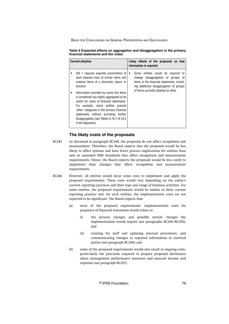| <b>Current situation</b>                                                                                                                                                                                                                                                                                                                                                                                                                                                        | Likely effects of the proposals on how<br>information is reported                                                                                                                                          |
|---------------------------------------------------------------------------------------------------------------------------------------------------------------------------------------------------------------------------------------------------------------------------------------------------------------------------------------------------------------------------------------------------------------------------------------------------------------------------------|------------------------------------------------------------------------------------------------------------------------------------------------------------------------------------------------------------|
| IAS 1 requires separate presentation of<br>each material class of similar items and<br>material items of a dissimilar nature or<br>function.<br>Information provided by some line items<br>is sometimes too highly aggregated to be<br>useful for users of financial statements.<br>For example, some entities present<br>'other' categories in the primary financial<br>statements without providing further<br>disaggregation (see Tables A.16.1–A.16.2)<br>in the Appendix). | Some entities would be required to<br>change disaggregation of groups of<br>items in the financial statements, includ-<br>ing additional disaggregation of groups<br>of items currently labelled as other. |

| Table 6 Expected effects on aggregation and disaggregation in the primary |  |  |
|---------------------------------------------------------------------------|--|--|
| financial statements and the notes                                        |  |  |

# **The likely costs of the proposals**

- As discussed in paragraph BC240, the proposals do not affect recognition and measurement. Therefore, the Board expects that the proposals would be less likely to affect systems and have fewer process implications for entities than new or amended IFRS Standards that affect recognition and measurement requirements. Hence, the Board expects the proposals would be less costly to implement than changes that affect recognition and measurement requirements. BC281
- However, all entities would incur some costs to implement and apply the proposed requirements. These costs would vary depending on the entity's current reporting practices and their type and range of business activities. For some entities, the proposed requirements would be similar to their current reporting practice and, for such entities, the implementation costs are not expected to be significant. The Board expects that: BC282
	- (a) most of the proposed requirements' implementation costs for preparers of financial statements would relate to:
		- (i) the process changes and possible system changes the implementation would require (see paragraphs BC284–BC295); and
		- (ii) training for staff and updating internal procedures, and communicating changes to reported information to external parties (see paragraph BC296); and
	- (b) some of the proposed requirements would also result in ongoing costs, particularly the processes required to prepare proposed disclosures about management performance measures and unusual income and expenses (see paragraph BC297).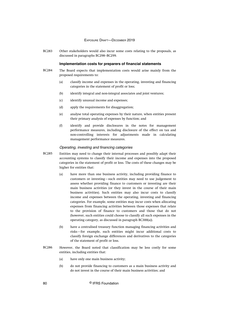Other stakeholders would also incur some costs relating to the proposals, as discussed in paragraphs BC298–BC299. BC283

## **Implementation costs for preparers of financial statements**

- The Board expects that implementation costs would arise mainly from the proposed requirements to: BC284
	- (a) classify income and expenses in the operating, investing and financing categories in the statement of profit or loss;
	- (b) identify integral and non-integral associates and joint ventures;
	- (c) identify unusual income and expenses;
	- (d) apply the requirements for disaggregation;
	- (e) analyse total operating expenses by their nature, when entities present their primary analysis of expenses by function; and
	- (f) identify and provide disclosures in the notes for management performance measures, including disclosure of the effect on tax and non-controlling interests for adjustments made in calculating management performance measures.

## Operating, investing and financing categories

- Entities may need to change their internal processes and possibly adapt their accounting systems to classify their income and expenses into the proposed categories in the statement of profit or loss. The costs of these changes may be higher for entities that: BC285
	- (a) have more than one business activity, including providing finance to customers or investing—such entities may need to use judgement to assess whether providing finance to customers or investing are their main business activities (or they invest in the course of their main business activities). Such entities may also incur costs to classify income and expenses between the operating, investing and financing categories. For example, some entities may incur costs when allocating expenses from financing activities between those expenses that relate to the provision of finance to customers and those that do not (however, such entities could choose to classify all such expenses in the operating category, as discussed in paragraph BC300(a)).
	- (b) have a centralised treasury function managing financing activities and risks—for example, such entities might incur additional costs to classify foreign exchange differences and derivatives to the categories of the statement of profit or loss.
- However, the Board noted that classification may be less costly for some entities, including entities that: BC286
	- (a) have only one main business activity;
	- (b) do not provide financing to customers as a main business activity and do not invest in the course of their main business activities; and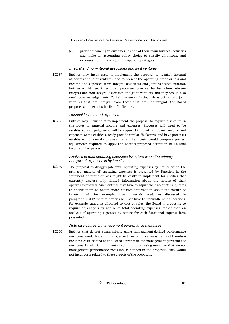(c) provide financing to customers as one of their main business activities and make an accounting policy choice to classify all income and expenses from financing in the operating category.

#### Integral and non-integral associates and joint ventures

Entities may incur costs to implement the proposal to identify integral associates and joint ventures, and to present the operating profit or loss and income and expenses from integral associates and joint ventures subtotal. Entities would need to establish processes to make the distinction between integral and non-integral associates and joint ventures and they would also need to make judgements. To help an entity distinguish associates and joint ventures that are integral from those that are non-integral, the Board proposes a non-exhaustive list of indicators. BC287

#### Unusual income and expenses

Entities may incur costs to implement the proposal to require disclosure in the notes of unusual income and expenses. Processes will need to be established and judgement will be required to identify unusual income and expenses. Some entities already provide similar disclosures and have processes established to identify unusual items; their costs would comprise process adjustments required to apply the Board's proposed definition of unusual income and expenses. BC288

## Analysis of total operating expenses by nature when the primary analysis of expenses is by function

The proposal to disaggregate total operating expenses by nature when the primary analysis of operating expenses is presented by function in the statement of profit or loss might be costly to implement for entities that currently disclose only limited information about the nature of their operating expenses. Such entities may have to adjust their accounting systems to enable them to obtain more detailed information about the nature of inputs used, for example, raw materials used. As discussed in paragraph BC112, so that entities will not have to unbundle cost allocations, for example, amounts allocated to cost of sales, the Board is proposing to require an analysis by nature of total operating expenses, rather than an analysis of operating expenses by nature for each functional expense item presented. BC289

## Note disclosures of management performance measures

Entities that do not communicate using management-defined performance measures would have no management performance measures and therefore incur no costs related to the Board's proposals for management performance measures. In addition, if an entity communicates using measures that are not management performance measures as defined in the proposals, they would not incur costs related to these aspects of the proposals. BC290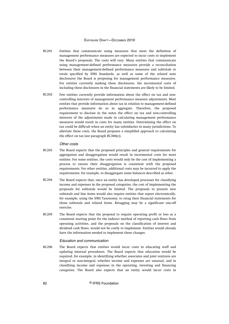- Entities that communicate using measures that meet the definition of management performance measures are expected to incur costs to implement the Board's proposals. The costs will vary. Many entities that communicate using management-defined performance measures provide a reconciliation between their management-defined performance measures and subtotals or totals specified by IFRS Standards, as well as some of the related note disclosures the Board is proposing for management performance measures. For entities currently making these disclosures, the incremental costs of including these disclosures in the financial statements are likely to be limited. BC291
- Few entities currently provide information about the effect on tax and noncontrolling interests of management performance measure adjustments. Most entities that provide information about tax in relation to management-defined performance measures do so in aggregate. Therefore, the proposed requirement to disclose in the notes the effect on tax and non-controlling interests of the adjustments made in calculating management performance measures would result in costs for many entities. Determining the effect on tax could be difficult when an entity has subsidiaries in many jurisdictions. To alleviate these costs, the Board proposes a simplified approach to calculating the effect on tax (see paragraph BC300(c)). BC292

#### Other costs

- The Board expects that the proposed principles and general requirements for aggregation and disaggregation would result in incremental costs for most entities. For some entities, the costs would only be the cost of implementing a process to ensure their disaggregation is consistent with the proposed requirements. For other entities, additional costs may be incurred to apply the requirements, for example, to disaggregate some balances described as other. BC293
- The Board expects that, once an entity has developed processes for classifying income and expenses in the proposed categories, the cost of implementing the proposals for subtotals would be limited. The proposals to present new subtotals and line items would also require entities that report electronically, for example, using the IFRS Taxonomy, to retag their financial statements for those subtotals and related items. Retagging may be a significant one-off exercise. BC294
- The Board expects that the proposal to require operating profit or loss as a consistent starting point for the indirect method of reporting cash flows from operating activities, and the proposals on the classification of interest and dividend cash flows, would not be costly to implement. Entities would already have the information needed to implement these changes. BC295

#### Education and communication

The Board expects that entities would incur costs in educating staff and updating internal procedures. The Board expects that education would be required, for example, in identifying whether associates and joint ventures are integral or non-integral, whether income and expenses are unusual, and in classifying income and expenses in the operating, investing and financing categories. The Board also expects that an entity would incur costs in BC296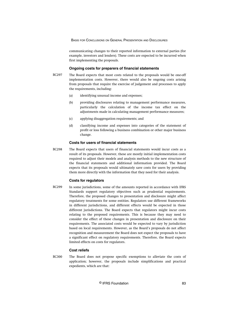communicating changes to their reported information to external parties (for example, investors and lenders). These costs are expected to be incurred when first implementing the proposals.

## **Ongoing costs for preparers of financial statements**

- The Board expects that most costs related to the proposals would be one-off implementation costs. However, there would also be ongoing costs arising from proposals that require the exercise of judgement and processes to apply the requirements, including: BC297
	- (a) identifying unusual income and expenses;
	- (b) providing disclosures relating to management performance measures, particularly the calculation of the income tax effect on the adjustments made in calculating management performance measures;
	- (c) applying disaggregation requirements; and
	- (d) classifying income and expenses into categories of the statement of profit or loss following a business combination or other major business change.

## **Costs for users of financial statements**

The Board expects that users of financial statements would incur costs as a result of its proposals. However, these are mostly initial implementation costs required to adjust their models and analysis methods to the new structure of the financial statements and additional information provided. The Board expects that its proposals would ultimately save costs for users by providing them more directly with the information that they need for their analysis. BC298

### **Costs for regulators**

In some jurisdictions, some of the amounts reported in accordance with IFRS Standards support regulatory objectives such as prudential requirements. Therefore, the proposed changes to presentation and disclosure might affect regulatory treatments for some entities. Regulators use different frameworks in different jurisdictions, and different effects would be expected in those different jurisdictions. The Board expects that regulators might incur costs relating to the proposed requirements. This is because they may need to consider the effect of these changes in presentation and disclosure on their requirements. The associated costs would be expected to vary by jurisdiction based on local requirements. However, as the Board's proposals do not affect recognition and measurement the Board does not expect the proposals to have a significant effect on regulatory requirements. Therefore, the Board expects limited effects on costs for regulators. BC299

## **Cost reliefs**

The Board does not propose specific exemptions to alleviate the costs of application; however, the proposals include simplifications and practical expedients, which are that: BC300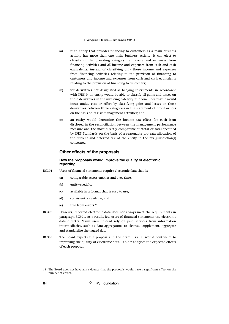- (a) if an entity that provides financing to customers as a main business activity has more than one main business activity, it can elect to classify in the operating category *all* income and expenses from financing activities and *all* income and expenses from cash and cash equivalents, instead of classifying only those income and expenses from financing activities relating to the provision of financing to customers and income and expenses from cash and cash equivalents relating to the provision of financing to customers;
- (b) for derivatives not designated as hedging instruments in accordance with IFRS 9, an entity would be able to classify *all* gains and losses on those derivatives in the investing category if it concludes that it would incur undue cost or effort by classifying gains and losses on those derivatives between three categories in the statement of profit or loss on the basis of its risk management activities; and
- (c) an entity would determine the income tax effect for each item disclosed in the reconciliation between the management performance measure and the most directly comparable subtotal or total specified by IFRS Standards on the basis of a reasonable pro rata allocation of the current and deferred tax of the entity in the tax jurisdiction(s) concerned.

## **Other effects of the proposals**

## **How the proposals would improve the quality of electronic reporting**

- Users of financial statements require electronic data that is: BC301
	- (a) comparable across entities and over time;
	- (b) entity-specific;
	- (c) available in a format that is easy to use;
	- (d) consistently available; and
	- (e) free from errors.<sup>13</sup>
- However, reported electronic data does not always meet the requirements in paragraph BC301. As a result, few users of financial statements use electronic data directly. Many users instead rely on paid services from information intermediaries, such as data aggregators, to cleanse, supplement, aggregate and standardise the tagged data. BC302
- The Board expects the proposals in the draft IFRS [X] would contribute to improving the quality of electronic data. Table 7 analyses the expected effects of each proposal. BC303

<sup>13</sup> The Board does not have any evidence that the proposals would have a significant effect on the number of errors.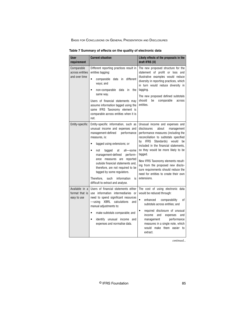| User<br>requirement                             | <b>Current situation</b>                                                                                                                                                                                                                                                                                                                                                                                                                                                          | Likely effects of the proposals in the<br>draft IFRS [X]                                                                                                                                                                                                                                                                                                                                                                                                                 |
|-------------------------------------------------|-----------------------------------------------------------------------------------------------------------------------------------------------------------------------------------------------------------------------------------------------------------------------------------------------------------------------------------------------------------------------------------------------------------------------------------------------------------------------------------|--------------------------------------------------------------------------------------------------------------------------------------------------------------------------------------------------------------------------------------------------------------------------------------------------------------------------------------------------------------------------------------------------------------------------------------------------------------------------|
| Comparable<br>across entities<br>and over time  | Different reporting practices result in<br>entities tagging:<br>different<br>$\bullet$<br>data in<br>comparable<br>ways; and<br>non-comparable<br>data<br>the<br>$\bullet$<br>in<br>same way.<br>Users of financial statements may<br>assume information tagged using the<br>same IFRS Taxonomy element is<br>comparable across entities when it is<br>not.                                                                                                                       | The new proposed structure for the<br>statement of profit or loss and<br>illustrative examples would reduce<br>diversity in reporting practices, which<br>in turn would reduce diversity in<br>tagging.<br>The new proposed defined subtotals<br>should<br>comparable<br>be<br>across<br>entities.                                                                                                                                                                       |
| Entity-specific                                 | Entity-specific information, such as<br>unusual income and expenses and<br>performance<br>management-defined<br>measures, is:<br>tagged using extensions; or<br>$\bullet$<br>$\bullet$<br>not<br>tagged<br>at<br>all—some<br>management-defined<br>perform-<br>ance measures are reported<br>outside financial statements and,<br>therefore, are not required to be<br>tagged by some regulators.<br>Therefore.<br>such<br>information<br>is<br>difficult to extract and analyse. | Unusual income and expenses and<br>disclosures<br>about<br>management<br>performance measures (including the<br>reconciliation to subtotals specified<br><b>IFRS</b><br>Standards) would<br>be<br>bv<br>included in the financial statements,<br>so they would be more likely to be<br>tagged.<br>New IFRS Taxonomy elements result-<br>ing from the proposed new disclo-<br>sure requirements should reduce the<br>need for entities to create their own<br>extensions. |
| Available in a<br>format that is<br>easy to use | Users of financial statements either<br>use information intermediaries or<br>need to spend significant resources<br><b>XBRL</b><br>calculations<br>$-\mathsf{using}$<br>and<br>manual adjustments to:<br>make subtotals comparable; and<br>$\bullet$<br>identify unusual income and<br>$\bullet$<br>expenses and normalise data.                                                                                                                                                  | The cost of using electronic data<br>would be reduced through:<br>enhanced<br>comparability<br>0f<br>$\bullet$<br>subtotals across entities; and<br>required disclosure of unusual<br>income<br>and<br>expenses<br>and<br>management<br>performance<br>measures in a single note, which<br>would make them easier to<br>extract.                                                                                                                                         |

**Table 7 Summary of effects on the quality of electronic data**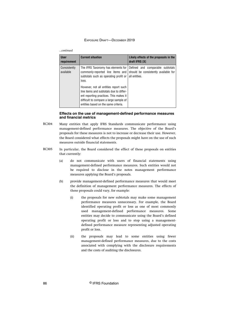#### *...continued*

| <b>User</b><br>requirement | <b>Current situation</b>                                                                                                                                                                                                                                                                                                                 | Likely effects of the proposals in the<br>draft IFRS [X]                                  |
|----------------------------|------------------------------------------------------------------------------------------------------------------------------------------------------------------------------------------------------------------------------------------------------------------------------------------------------------------------------------------|-------------------------------------------------------------------------------------------|
| Consistently<br>available  | The IFRS Taxonomy has elements for<br>commonly-reported line items and<br>subtotals such as operating profit or<br>loss.<br>However, not all entities report such<br>line items and subtotals due to differ-<br>ent reporting practices. This makes it<br>difficult to compare a large sample of<br>entities based on the same criteria. | Defined and comparable subtotals<br>should be consistently available for<br>all entities. |

## **Effects on the use of management-defined performance measures and financial metrics**

- Many entities that apply IFRS Standards communicate performance using management-defined performance measures. The objective of the Board's proposals for these measures is not to increase or decrease their use. However, the Board considered what effects the proposals might have on the use of such measures outside financial statements. BC304
- In particular, the Board considered the effect of these proposals on entities that currently: BC305
	- (a) do not communicate with users of financial statements using management-defined performance measures. Such entities would not be required to disclose in the notes management performance measures applying the Board's proposals.
	- (b) provide management-defined performance measures that would meet the definition of management performance measures. The effects of these proposals could vary, for example:
		- (i) the proposals for new subtotals may make some management performance measures unnecessary. For example, the Board identified operating profit or loss as one of most commonly used management-defined performance measures. Some entities may decide to communicate using the Board's defined operating profit or loss and to stop using a managementdefined performance measure representing adjusted operating profit or loss.
		- (ii) the proposals may lead to some entities using fewer management-defined performance measures, due to the costs associated with complying with the disclosure requirements and the costs of auditing the disclosures.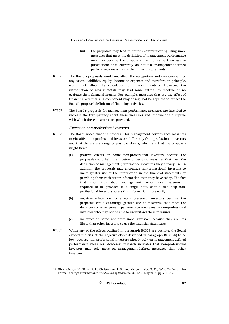- (iii) the proposals may lead to entities communicating using more measures that meet the definition of management performance measures because the proposals may normalise their use in jurisdictions that currently do not use management-defined performance measures in the financial statements.
- The Board's proposals would not affect the recognition and measurement of any assets, liabilities, equity, income or expenses and therefore, in principle, would not affect the calculation of financial metrics. However, the introduction of new subtotals may lead some entities to redefine or reevaluate their financial metrics. For example, measures that use the effect of financing activities as a component may or may not be adjusted to reflect the Board's proposed definition of financing activities. **BC306**
- The Board's proposals for management performance measures are intended to increase the transparency about these measures and improve the discipline with which these measures are provided. BC307

#### Effects on non-professional investors

- The Board noted that the proposals for management performance measures might affect non-professional investors differently from professional investors and that there are a range of possible effects, which are that the proposals might have: BC308
	- (a) positive effects on some non-professional investors because the proposals could help them better understand measures that meet the definition of management performance measures they already use. In addition, the proposals may encourage non-professional investors to make greater use of the information in the financial statements by providing them with better information than they have today. The fact that information about management performance measures is required to be provided in a single note, should also help nonprofessional investors access this information more easily.
	- (b) negative effects on some non-professional investors because the proposals could encourage greater use of measures that meet the definition of management performance measures by non-professional investors who may not be able to understand these measures.
	- (c) no effect on some non-professional investors because they are less likely than other investors to use the financial statements.
- While any of the effects outlined in paragraph BC308 are possible, the Board expects the risk of the negative effect described in paragraph BC308(b) to be low, because non-professional investors already rely on management-defined performance measures. Academic research indicates that non-professional investors may rely more on management-defined measures than other investors.<sup>14</sup> BC309

<sup>14</sup> Bhattacharya, N., Black, E. L., Christensen, T. E., and Mergenthaler, R. D., 'Who Trades on Pro Forma Earnings Information?', *The Accounting Review*, vol 82, no 3, May 2007, pp 581–619.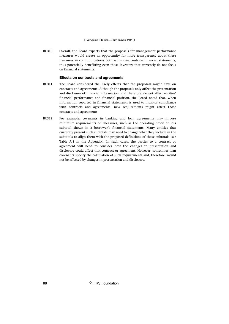Overall, the Board expects that the proposals for management performance measures would create an opportunity for more transparency about these measures in communications both within and outside financial statements, thus potentially benefitting even those investors that currently do not focus on financial statements. BC310

### **Effects on contracts and agreements**

- The Board considered the likely effects that the proposals might have on contracts and agreements. Although the proposals only affect the presentation and disclosure of financial information, and therefore, do not affect entities' financial performance and financial position, the Board noted that, when information reported in financial statements is used to monitor compliance with contracts and agreements, new requirements might affect those contracts and agreements. BC311
- For example, covenants in banking and loan agreements may impose minimum requirements on measures, such as the operating profit or loss subtotal shown in a borrower's financial statements. Many entities that currently present such subtotals may need to change what they include in the subtotals to align them with the proposed definitions of those subtotals (see Table A.1 in the Appendix). In such cases, the parties to a contract or agreement will need to consider how the changes to presentation and disclosure could affect that contract or agreement. However, sometimes loan covenants specify the calculation of such requirements and, therefore, would not be affected by changes in presentation and disclosure. BC312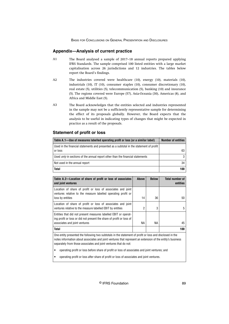## **Appendix—Analysis of current practice**

- The Board analysed a sample of 2017–18 annual reports prepared applying IFRS Standards. The sample comprised 100 listed entities with a large market capitalisation across 26 jurisdictions and 12 industries. The tables below report the Board's findings. A1
- The industries covered were healthcare (10), energy (10), materials (10), industrials (10), IT (10), consumer staples (10), consumer discretionary (10), real estate (5), utilities (5), telecommunication (5), banking (10) and insurance (5). The regions covered were Europe (57), Asia-Oceania (30), Americas (8), and Africa and Middle East (5). A2
- The Board acknowledges that the entities selected and industries represented in the sample may not be a sufficiently representative sample for determining the effect of its proposals globally. However, the Board expects that the analysis to be useful in indicating types of changes that might be expected in practice as a result of the proposals. A3

## **Statement of profit or loss**

| Table A.1—Use of measures labelled operating profit or loss (or a similar label)                   | <b>Number of entities</b> |
|----------------------------------------------------------------------------------------------------|---------------------------|
| Used in the financial statements and presented as a subtotal in the statement of profit<br>or loss | 63                        |
| Used <i>only</i> in sections of the annual report other than the financial statements              | 3                         |
| Not used in the annual report                                                                      | 34                        |
| Total                                                                                              | 100                       |

| Table A.2-Location of share of profit or loss of associates<br>and joint ventures                                                                                        | Above | <b>Below</b> | <b>Total number of</b><br>entities |
|--------------------------------------------------------------------------------------------------------------------------------------------------------------------------|-------|--------------|------------------------------------|
| Location of share of profit or loss of associates and joint<br>ventures relative to the measure labelled operating profit or<br>loss by entities                         | 14    | 36           | 50                                 |
| Location of share of profit or loss of associates and joint<br>ventures relative to the measure labelled EBIT by entities                                                | 2     | 3            | 5                                  |
| Entities that did not present measures labelled EBIT or operat-<br>ing profit or loss or did not present the share of profit or loss of<br>associates and joint ventures | ΝA    | NА           | 45                                 |
| <b>Total</b>                                                                                                                                                             |       |              | 100                                |

One entity presented the following two subtotals in the statement of profit or loss and disclosed in the notes information about associates and joint ventures that represent an extension of the entity's business separately from those associates and joint ventures that do not:

- operating profit or loss before share of profit or loss of associates and joint ventures; and
- operating profit or loss after share of profit or loss of associates and joint ventures.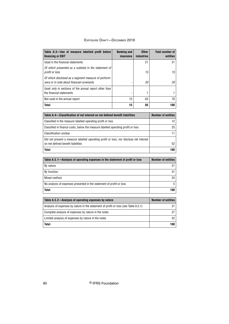| Table A.3-Use of measure labelled profit before<br>financing or EBIT                                                         | <b>Banking and</b><br>insurance | <b>Other</b><br><b>industries</b> | <b>Total number of</b><br>entities |
|------------------------------------------------------------------------------------------------------------------------------|---------------------------------|-----------------------------------|------------------------------------|
| Used in the financial statements                                                                                             |                                 | 21                                | 21                                 |
| Of which presented as a subtotal in the statement of<br>profit or loss                                                       |                                 | 15                                | 15                                 |
| Of which disclosed as a segment measure of perform-<br>ance or in note about financial covenants                             |                                 | 20                                | 20                                 |
| Used only in sections of the annual report other than<br>the financial statements                                            |                                 | 1                                 | 1                                  |
| Not used in the annual report                                                                                                | 15                              | 63                                | 78                                 |
| <b>Total</b>                                                                                                                 | 15                              | 85                                | 100                                |
|                                                                                                                              |                                 |                                   |                                    |
| Table A.4-Classification of net interest on net defined benefit liabilities                                                  |                                 |                                   | <b>Number of entities</b>          |
| Classified in the measure labelled operating profit or loss                                                                  |                                 |                                   | 12                                 |
| Classified in finance costs, below the measure labelled operating profit or loss                                             |                                 |                                   | 25                                 |
| <b>Classification unclear</b>                                                                                                |                                 |                                   | 11                                 |
| Did not present a measure labelled operating profit or loss, nor disclose net interest<br>on net defined benefit liabilities |                                 |                                   | 52                                 |
| <b>Total</b>                                                                                                                 |                                 |                                   | 100                                |
|                                                                                                                              |                                 |                                   |                                    |
| Table A.5.1-Analysis of operating expenses in the statement of profit or loss                                                |                                 |                                   | <b>Number of entities</b>          |
| By nature                                                                                                                    |                                 |                                   | 21                                 |
| By function                                                                                                                  |                                 |                                   | 41                                 |
| Mixed method                                                                                                                 |                                 |                                   | 33                                 |
| No analysis of expenses presented in the statement of profit or loss                                                         |                                 | 5                                 |                                    |
| Total                                                                                                                        |                                 | 100                               |                                    |
|                                                                                                                              |                                 |                                   |                                    |
| Table A.5.2-Analysis of operating expenses by nature                                                                         |                                 |                                   | <b>Number of entities</b>          |
| Analysis of expenses by nature in the statement of profit or loss (see Table A.5.1)                                          |                                 |                                   | 21                                 |

| rasia riigia - riigitala of aparating aspellada st hatara                           |     |
|-------------------------------------------------------------------------------------|-----|
| Analysis of expenses by nature in the statement of profit or loss (see Table A.5.1) | 21  |
| Complete analysis of expenses by nature in the notes                                | 27  |
| Limited analysis of expenses by nature in the notes                                 | 52  |
| <b>Total</b>                                                                        | 100 |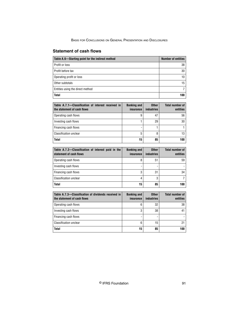# **Statement of cash flows**

| Table A.6-Starting point for the indirect method | <b>Number of entities</b> |
|--------------------------------------------------|---------------------------|
| Profit or loss                                   | 38                        |
| Profit before tax                                | 30                        |
| Operating profit or loss                         | 10                        |
| Other subtotals                                  | 15                        |
| Entities using the direct method                 |                           |
| <b>Total</b>                                     | 100                       |

| Table A.7.1-Classification of interest received in<br>the statement of cash flows | <b>Banking and</b><br>insurance | <b>Other</b><br><b>industries</b> | <b>Total number of</b><br>entities |
|-----------------------------------------------------------------------------------|---------------------------------|-----------------------------------|------------------------------------|
| Operating cash flows                                                              | 9                               | 47                                | 56                                 |
| Investing cash flows                                                              |                                 | 29                                | 30                                 |
| Financing cash flows                                                              |                                 |                                   |                                    |
| <b>Classification unclear</b>                                                     | 5                               | 8                                 | 13                                 |
| <b>Total</b>                                                                      | 15                              | 85                                | 100                                |

| Table A.7.2-Classification of interest paid in the<br>statement of cash flows | <b>Banking and</b><br>insurance | <b>Other</b><br><b>industries</b> | <b>Total number of</b><br>entities |
|-------------------------------------------------------------------------------|---------------------------------|-----------------------------------|------------------------------------|
| Operating cash flows                                                          | 8                               | 51                                | 59                                 |
| Investing cash flows                                                          |                                 |                                   |                                    |
| Financing cash flows                                                          | 3                               | 31                                | 34                                 |
| <b>Classification unclear</b>                                                 | 4                               | 3                                 |                                    |
| <b>Total</b>                                                                  | 15                              | 85                                | 100                                |

| Table A.7.3-Classification of dividends received in  <br>the statement of cash flows | <b>Banking and</b><br>insurance | <b>Other</b><br><b>industries</b> | <b>Total number of</b><br>entities |
|--------------------------------------------------------------------------------------|---------------------------------|-----------------------------------|------------------------------------|
| Operating cash flows                                                                 | 6                               | 32                                | 38                                 |
| Investing cash flows                                                                 | 3                               | 38                                | 41                                 |
| Financing cash flows                                                                 |                                 |                                   |                                    |
| Classification unclear                                                               | 6                               | 15                                | 21                                 |
| <b>Total</b>                                                                         | 15                              | 85                                | 100                                |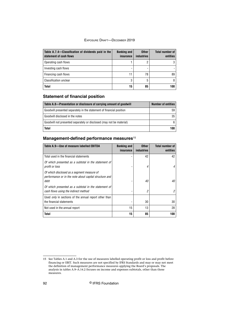| Table A.7.4–Classification of dividends paid in the<br>statement of cash flows | <b>Banking and</b><br>insurance | <b>Other</b><br><b>industries</b> | <b>Total number of</b><br>entities |
|--------------------------------------------------------------------------------|---------------------------------|-----------------------------------|------------------------------------|
| Operating cash flows                                                           |                                 |                                   | 3                                  |
| Investing cash flows                                                           |                                 |                                   |                                    |
| Financing cash flows                                                           | 11                              | 78                                | 89                                 |
| <b>Classification unclear</b>                                                  | 3                               | 5                                 | 8                                  |
| <b>Total</b>                                                                   | 15                              | 85                                | 100                                |

# **Statement of financial position**

| Table A.8—Presentation or disclosure of carrying amount of goodwill  | <b>Number of entities</b> |
|----------------------------------------------------------------------|---------------------------|
| Goodwill presented separately in the statement of financial position | 59                        |
| Goodwill disclosed in the notes                                      | 35                        |
| Goodwill not presented separately or disclosed (may not be material) | 6.                        |
| <b>Total</b>                                                         | 100                       |

# **Management-defined performance measures**<sup>15</sup>

| Table A.9-Use of measure labelled EBITDA                                                                     | <b>Banking and</b><br>insurance | <b>Other</b><br>industries | <b>Total number of</b><br>entities |
|--------------------------------------------------------------------------------------------------------------|---------------------------------|----------------------------|------------------------------------|
| Total used in the financial statements                                                                       |                                 | 42                         | 42                                 |
| Of which presented as a subtotal in the statement of<br>profit or loss                                       |                                 | 4                          |                                    |
| Of which disclosed as a segment measure of<br>performance or in the note about capital structure and<br>debt |                                 | 40                         | 40                                 |
| Of which presented as a subtotal in the statement of<br>cash flows using the indirect method                 |                                 | 2                          | 2                                  |
| Used <i>only</i> in sections of the annual report other than<br>the financial statements                     |                                 | 30                         | 30                                 |
| Not used in the annual report                                                                                | 15                              | 13                         | 28                                 |
| <b>Total</b>                                                                                                 | 15                              | 85                         | 100                                |

<sup>15</sup> See Tables A.1 and A.3 for the use of measures labelled operating profit or loss and profit before financing or EBIT. Such measures are not specified by IFRS Standards and may or may not meet the definition of management performance measures applying the Board's proposals. The analysis in tables A.9–A.14.2 focuses on income and expenses subtotals, other than those measures.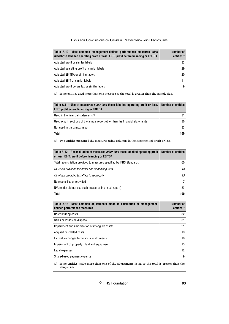| Table A.10—Most common management-defined performance measures other<br><i>than</i> those labelled operating profit or loss, EBIT, profit before financing or EBITDA | Number of<br>entities <sup>(a)</sup> |
|----------------------------------------------------------------------------------------------------------------------------------------------------------------------|--------------------------------------|
| Adjusted profit or similar labels                                                                                                                                    | 33                                   |
| Adjusted operating profit or similar labels                                                                                                                          | 29                                   |
|                                                                                                                                                                      |                                      |
| Adjusted EBITDA or similar labels                                                                                                                                    | 20                                   |
| Adjusted EBIT or similar labels                                                                                                                                      | 11                                   |
| Adjusted profit before tax or similar labels                                                                                                                         | 9                                    |
|                                                                                                                                                                      |                                      |

 $\vert$  (a) Some entities used more than one measure so the total is greater than the sample size.

| Table A.11—Use of measures <i>other than</i> those labelled operating profit or loss,<br><b>EBIT, profit before financing or EBITDA</b> | <b>Number of entities</b> |
|-----------------------------------------------------------------------------------------------------------------------------------------|---------------------------|
| Used in the financial statements <sup>(a)</sup>                                                                                         | 31                        |
| Used <i>only</i> in sections of the annual report other than the financial statements                                                   | 36                        |
| Not used in the annual report                                                                                                           | 33                        |
| <b>Total</b>                                                                                                                            | 100                       |
| Two entities presented the measures using columns in the statement of profit or loss.<br>(a)                                            |                           |

| Table A.12—Reconciliation of measures <i>other than</i> those labelled operating profit<br>or loss, EBIT, profit before financing or EBITDA | <b>Number of entities</b> |
|---------------------------------------------------------------------------------------------------------------------------------------------|---------------------------|
| Total reconciliation provided to measures specified by IFRS Standards                                                                       | 60                        |
| Of which provided tax effect per reconciling item                                                                                           | 13                        |
| Of which provided tax effect in aggregate                                                                                                   | 13                        |
| No reconciliation provided                                                                                                                  | 7                         |
| N/A (entity did not use such measures in annual report)                                                                                     | 33                        |
| <b>Total</b>                                                                                                                                | 100                       |

| Table A.13—Most common adjustments made in calculation of management-<br>defined performance measures              | Number of<br>entities <sup>(a)</sup> |
|--------------------------------------------------------------------------------------------------------------------|--------------------------------------|
| Restructuring costs                                                                                                | 32                                   |
| Gains or losses on disposal                                                                                        | 31                                   |
| Impairment and amortisation of intangible assets                                                                   | 21                                   |
| Acquisition-related costs                                                                                          | 19                                   |
| Fair value changes for financial instruments                                                                       | 16                                   |
| Impairment of property, plant and equipment                                                                        | 15                                   |
| Legal expenses                                                                                                     | 12                                   |
| Share-based payment expense                                                                                        | 9                                    |
| Some entities made more than one of the adjustments listed so the total is greater than the<br>(a)<br>sample size. |                                      |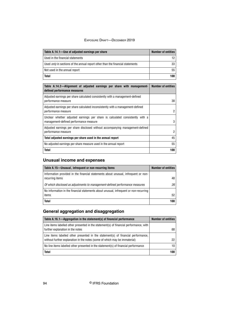| Table A.14.1-Use of adjusted earnings per share                                       | <b>Number of entities</b> |
|---------------------------------------------------------------------------------------|---------------------------|
| Used in the financial statements                                                      | 12                        |
| Used <i>only</i> in sections of the annual report other than the financial statements | 33                        |
| Not used in the annual report                                                         | 55                        |
| <b>Total</b>                                                                          | 100                       |

| Table A.14.2—Alignment of adjusted earnings per share with management-<br>defined performance measures                  | <b>Number of entities</b> |
|-------------------------------------------------------------------------------------------------------------------------|---------------------------|
| Adjusted earnings per share calculated consistently with a management-defined<br>performance measure                    | 38                        |
| Adjusted earnings per share calculated inconsistently with a management-defined<br>performance measure                  | 2                         |
| Unclear whether adjusted earnings per share is calculated consistently with a<br>management-defined performance measure | 3                         |
| Adjusted earnings per share disclosed without accompanying management-defined<br>performance measure                    | 2                         |
| Total adjusted earnings per share used in the annual report                                                             | 45                        |
| No adjusted earnings per share measure used in the annual report                                                        | 55                        |
| <b>Total</b>                                                                                                            | 100                       |

# **Unusual income and expenses**

| Table A.15—Unusual, infrequent or non-recurring items                                                 | <b>Number of entities</b> |
|-------------------------------------------------------------------------------------------------------|---------------------------|
| Information provided in the financial statements about unusual, infrequent or non-<br>recurring items | 48                        |
| Of which disclosed as adjustments to management-defined performance measures                          | 26                        |
| No information in the financial statements about unusual, infrequent or non-recurring<br>items        | 52                        |
| <b>Total</b>                                                                                          | 100                       |

# **General aggregation and disaggregation**

| Table A.16.1—Aggregation in the statement(s) of financial performance                                                                                           | <b>Number of entities</b> |
|-----------------------------------------------------------------------------------------------------------------------------------------------------------------|---------------------------|
| Line items labelled other presented in the statement(s) of financial performance, with<br>further explanation in the notes                                      | 68                        |
| Line items labelled other presented in the statement(s) of financial performance,<br>without further explanation in the notes (some of which may be immaterial) | 22                        |
| No line items labelled other presented in the statement(s) of financial performance                                                                             | 10                        |
| <b>Total</b>                                                                                                                                                    | 100                       |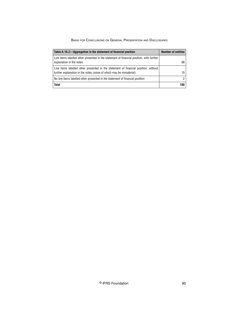| Table A.16.2-Aggregation in the statement of financial position                                                                                           | <b>Number of entities</b> |
|-----------------------------------------------------------------------------------------------------------------------------------------------------------|---------------------------|
| Line items labelled other presented in the statement of financial position, with further<br>explanation in the notes                                      | 88                        |
| Line items labelled other presented in the statement of financial position, without<br>further explanation in the notes (some of which may be immaterial) | 10                        |
| No line items labelled other presented in the statement of financial position                                                                             | 2                         |
| <b>Total</b>                                                                                                                                              | 100                       |